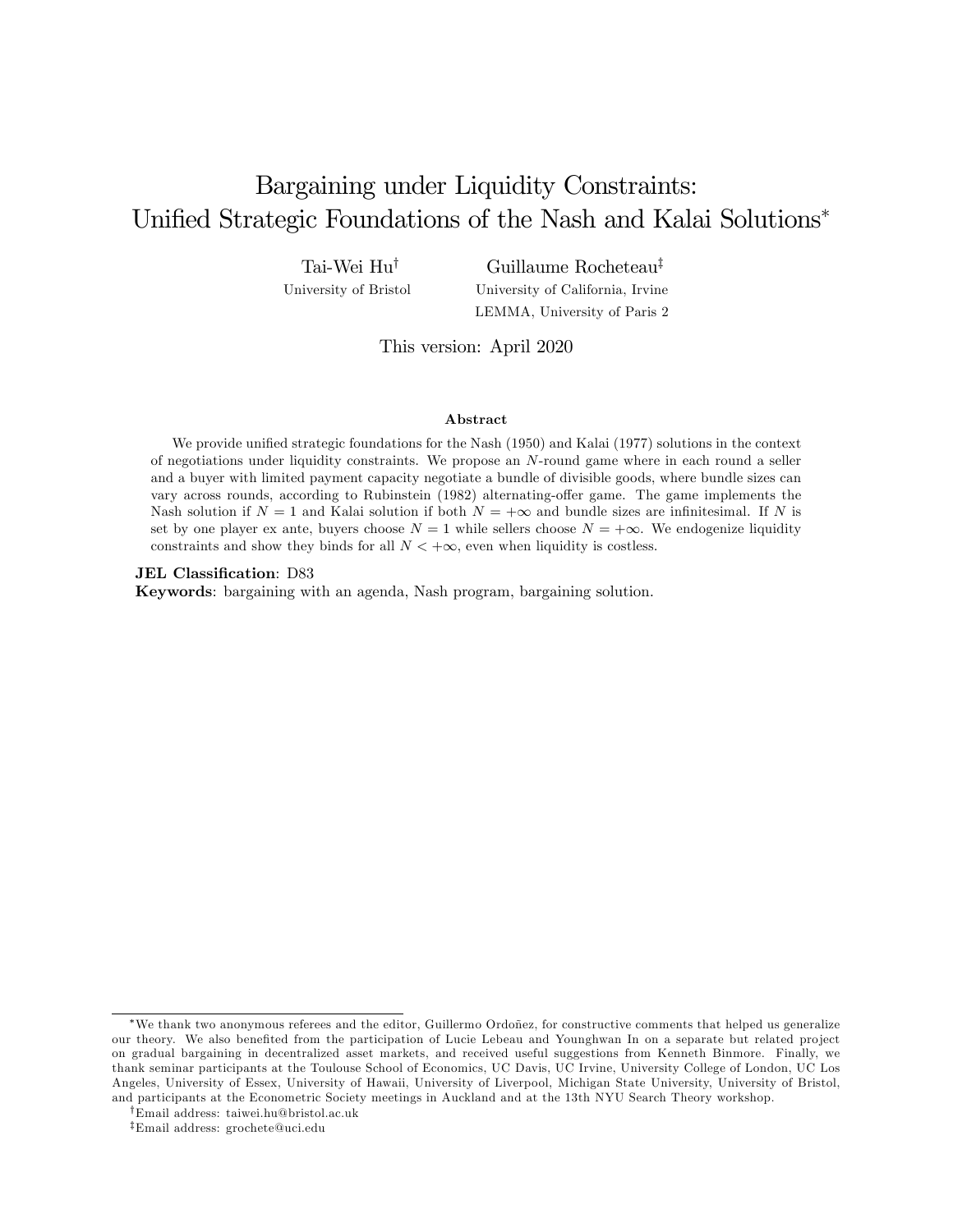# Bargaining under Liquidity Constraints: Unified Strategic Foundations of the Nash and Kalai Solutions<sup>\*</sup>

Tai-Wei Hu<sup>†</sup> University of Bristol

Guillaume Rocheteau<sup>‡</sup> University of California, Irvine LEMMA, University of Paris 2

This version: April 2020

#### Abstract

We provide unified strategic foundations for the Nash (1950) and Kalai (1977) solutions in the context of negotiations under liquidity constraints. We propose an N-round game where in each round a seller and a buyer with limited payment capacity negotiate a bundle of divisible goods, where bundle sizes can vary across rounds, according to Rubinstein (1982) alternating-offer game. The game implements the Nash solution if  $N = 1$  and Kalai solution if both  $N = +\infty$  and bundle sizes are infinitesimal. If N is set by one player ex ante, buyers choose  $N = 1$  while sellers choose  $N = +\infty$ . We endogenize liquidity constraints and show they binds for all  $N < +\infty$ , even when liquidity is costless.

JEL Classification: D83

Keywords: bargaining with an agenda, Nash program, bargaining solution.

<sup>\*</sup>We thank two anonymous referees and the editor, Guillermo Ordoñez, for constructive comments that helped us generalize our theory. We also benefited from the participation of Lucie Lebeau and Younghwan In on a separate but related project on gradual bargaining in decentralized asset markets, and received useful suggestions from Kenneth Binmore. Finally, we thank seminar participants at the Toulouse School of Economics, UC Davis, UC Irvine, University College of London, UC Los Angeles, University of Essex, University of Hawaii, University of Liverpool, Michigan State University, University of Bristol, and participants at the Econometric Society meetings in Auckland and at the 13th NYU Search Theory workshop.

yEmail address: taiwei.hu@bristol.ac.uk

zEmail address: grochete@uci.edu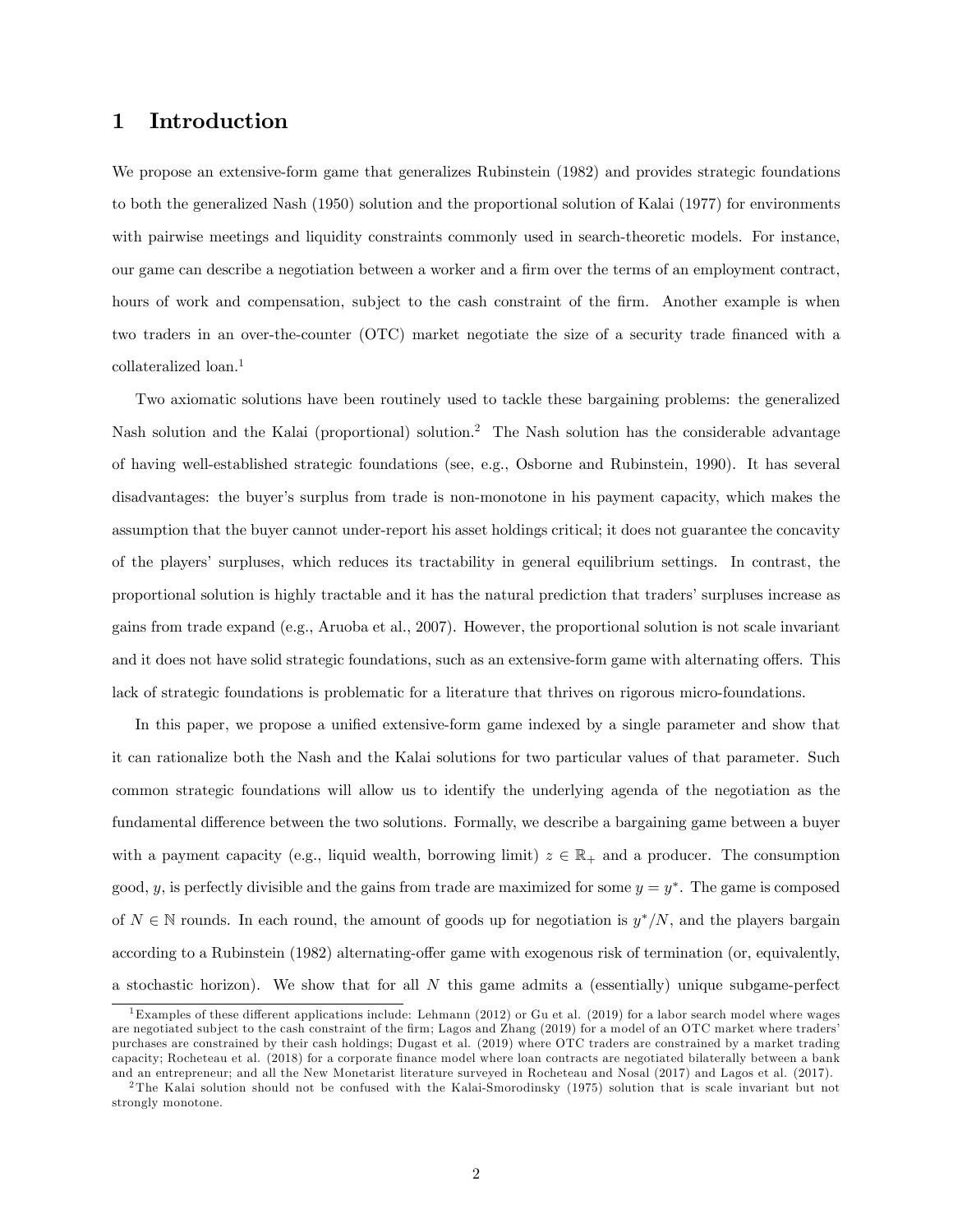## 1 Introduction

We propose an extensive-form game that generalizes Rubinstein (1982) and provides strategic foundations to both the generalized Nash (1950) solution and the proportional solution of Kalai (1977) for environments with pairwise meetings and liquidity constraints commonly used in search-theoretic models. For instance, our game can describe a negotiation between a worker and a Örm over the terms of an employment contract, hours of work and compensation, subject to the cash constraint of the firm. Another example is when two traders in an over-the-counter (OTC) market negotiate the size of a security trade financed with a collateralized loan.<sup>1</sup>

Two axiomatic solutions have been routinely used to tackle these bargaining problems: the generalized Nash solution and the Kalai (proportional) solution.<sup>2</sup> The Nash solution has the considerable advantage of having well-established strategic foundations (see, e.g., Osborne and Rubinstein, 1990). It has several disadvantages: the buyer's surplus from trade is non-monotone in his payment capacity, which makes the assumption that the buyer cannot under-report his asset holdings critical; it does not guarantee the concavity of the playersí surpluses, which reduces its tractability in general equilibrium settings. In contrast, the proportional solution is highly tractable and it has the natural prediction that tradersísurpluses increase as gains from trade expand (e.g., Aruoba et al., 2007). However, the proportional solution is not scale invariant and it does not have solid strategic foundations, such as an extensive-form game with alternating offers. This lack of strategic foundations is problematic for a literature that thrives on rigorous micro-foundations.

In this paper, we propose a unified extensive-form game indexed by a single parameter and show that it can rationalize both the Nash and the Kalai solutions for two particular values of that parameter. Such common strategic foundations will allow us to identify the underlying agenda of the negotiation as the fundamental difference between the two solutions. Formally, we describe a bargaining game between a buyer with a payment capacity (e.g., liquid wealth, borrowing limit)  $z \in \mathbb{R}_+$  and a producer. The consumption good, y, is perfectly divisible and the gains from trade are maximized for some  $y = y^*$ . The game is composed of  $N \in \mathbb{N}$  rounds. In each round, the amount of goods up for negotiation is  $y^*/N$ , and the players bargain according to a Rubinstein (1982) alternating-offer game with exogenous risk of termination (or, equivalently, a stochastic horizon). We show that for all  $N$  this game admits a (essentially) unique subgame-perfect

<sup>&</sup>lt;sup>1</sup>Examples of these different applications include: Lehmann (2012) or Gu et al. (2019) for a labor search model where wages are negotiated subject to the cash constraint of the firm; Lagos and Zhang (2019) for a model of an OTC market where traders purchases are constrained by their cash holdings; Dugast et al. (2019) where OTC traders are constrained by a market trading capacity; Rocheteau et al. (2018) for a corporate finance model where loan contracts are negotiated bilaterally between a bank and an entrepreneur; and all the New Monetarist literature surveyed in Rocheteau and Nosal (2017) and Lagos et al. (2017).

<sup>2</sup> The Kalai solution should not be confused with the Kalai-Smorodinsky (1975) solution that is scale invariant but not strongly monotone.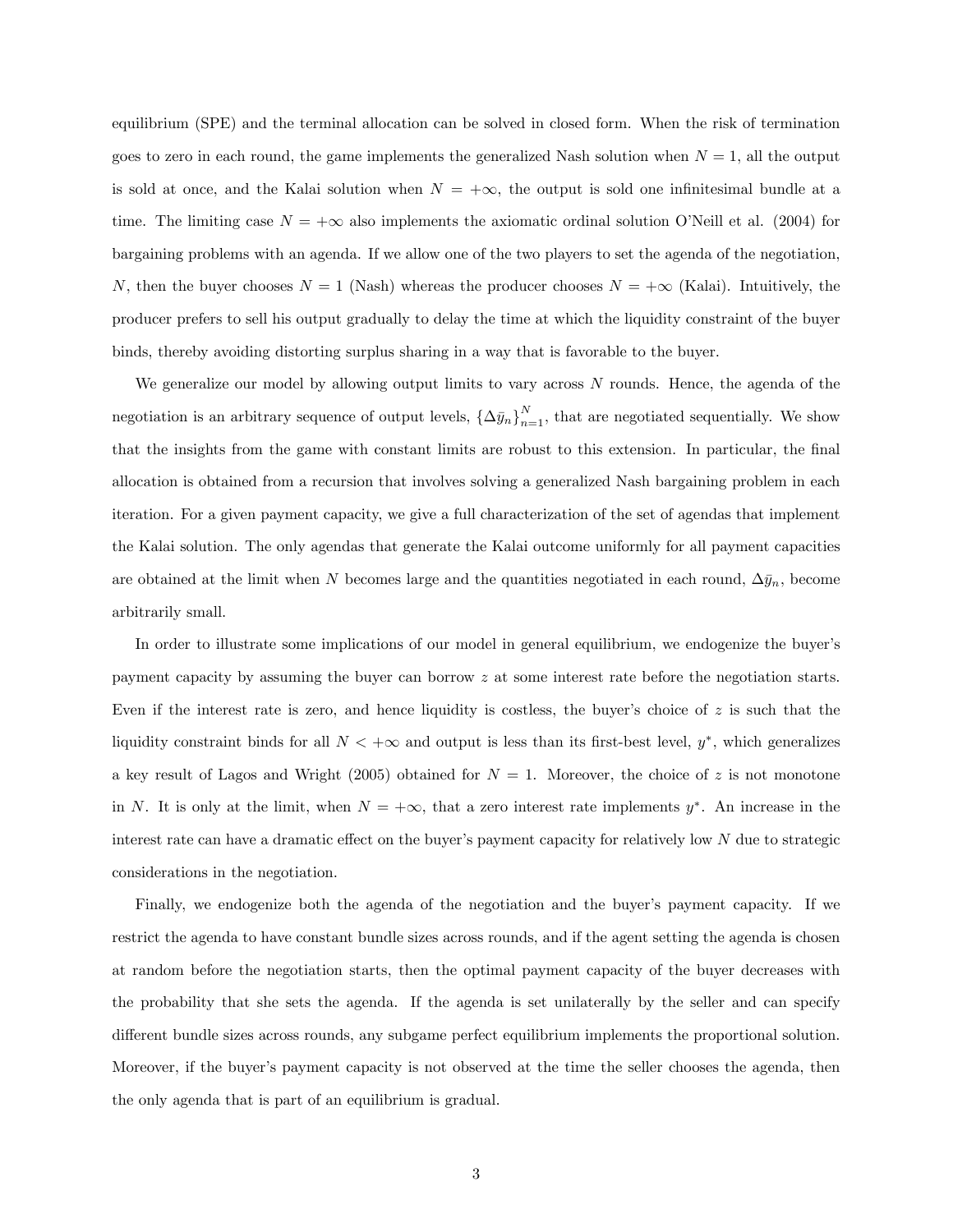equilibrium (SPE) and the terminal allocation can be solved in closed form. When the risk of termination goes to zero in each round, the game implements the generalized Nash solution when  $N = 1$ , all the output is sold at once, and the Kalai solution when  $N = +\infty$ , the output is sold one infinitesimal bundle at a time. The limiting case  $N = +\infty$  also implements the axiomatic ordinal solution O'Neill et al. (2004) for bargaining problems with an agenda. If we allow one of the two players to set the agenda of the negotiation, N, then the buyer chooses  $N = 1$  (Nash) whereas the producer chooses  $N = +\infty$  (Kalai). Intuitively, the producer prefers to sell his output gradually to delay the time at which the liquidity constraint of the buyer binds, thereby avoiding distorting surplus sharing in a way that is favorable to the buyer.

We generalize our model by allowing output limits to vary across N rounds. Hence, the agenda of the negotiation is an arbitrary sequence of output levels,  $\{\Delta \bar{y}_n\}_{n=1}^N$ , that are negotiated sequentially. We show that the insights from the game with constant limits are robust to this extension. In particular, the final allocation is obtained from a recursion that involves solving a generalized Nash bargaining problem in each iteration. For a given payment capacity, we give a full characterization of the set of agendas that implement the Kalai solution. The only agendas that generate the Kalai outcome uniformly for all payment capacities are obtained at the limit when N becomes large and the quantities negotiated in each round,  $\Delta \bar{y}_n$ , become arbitrarily small.

In order to illustrate some implications of our model in general equilibrium, we endogenize the buyer's payment capacity by assuming the buyer can borrow z at some interest rate before the negotiation starts. Even if the interest rate is zero, and hence liquidity is costless, the buyer's choice of  $z$  is such that the liquidity constraint binds for all  $N < +\infty$  and output is less than its first-best level,  $y^*$ , which generalizes a key result of Lagos and Wright (2005) obtained for  $N = 1$ . Moreover, the choice of z is not monotone in N. It is only at the limit, when  $N = +\infty$ , that a zero interest rate implements  $y^*$ . An increase in the interest rate can have a dramatic effect on the buyer's payment capacity for relatively low  $N$  due to strategic considerations in the negotiation.

Finally, we endogenize both the agenda of the negotiation and the buyer's payment capacity. If we restrict the agenda to have constant bundle sizes across rounds, and if the agent setting the agenda is chosen at random before the negotiation starts, then the optimal payment capacity of the buyer decreases with the probability that she sets the agenda. If the agenda is set unilaterally by the seller and can specify different bundle sizes across rounds, any subgame perfect equilibrium implements the proportional solution. Moreover, if the buyer's payment capacity is not observed at the time the seller chooses the agenda, then the only agenda that is part of an equilibrium is gradual.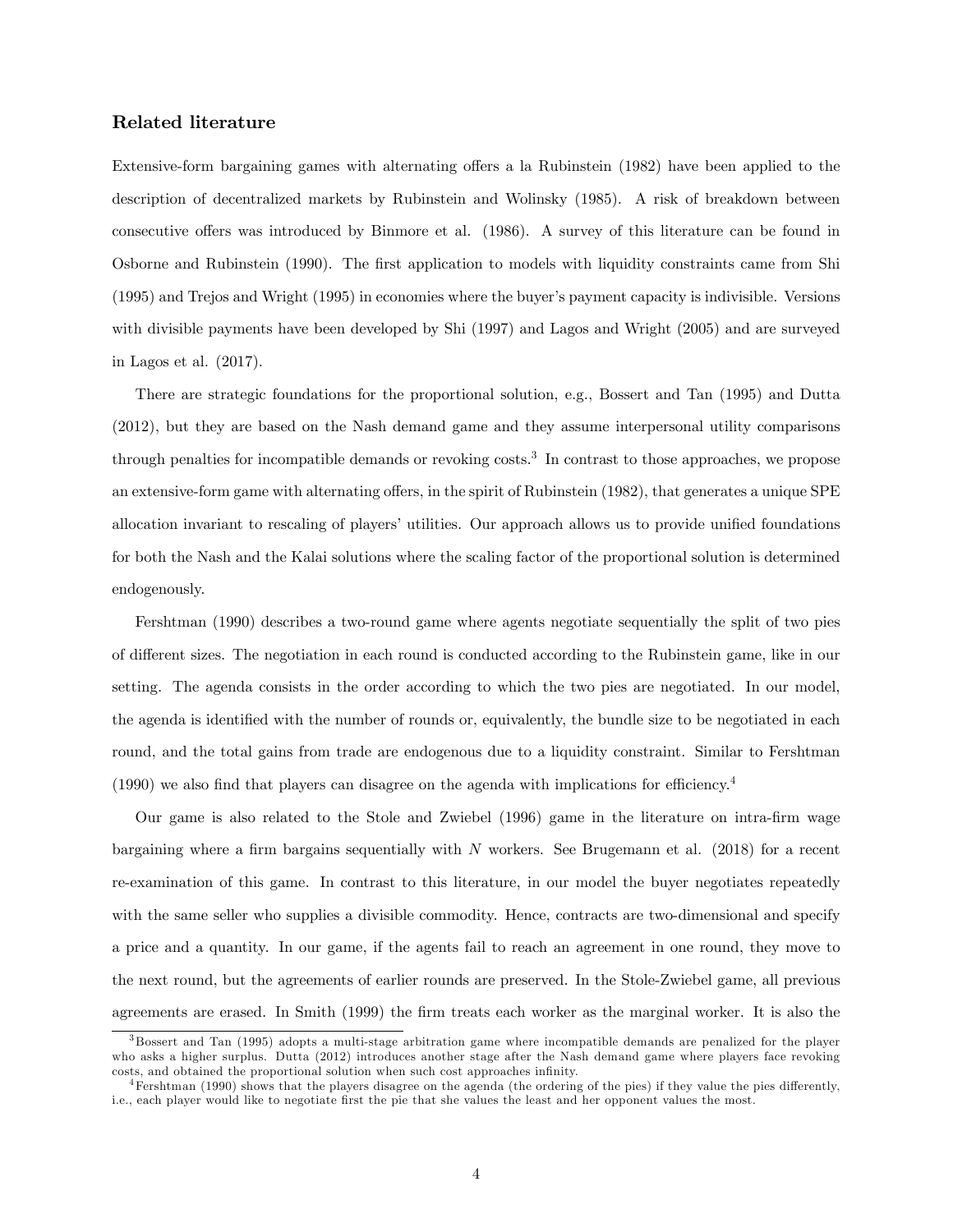### Related literature

Extensive-form bargaining games with alternating offers a la Rubinstein (1982) have been applied to the description of decentralized markets by Rubinstein and Wolinsky (1985). A risk of breakdown between consecutive offers was introduced by Binmore et al. (1986). A survey of this literature can be found in Osborne and Rubinstein (1990). The first application to models with liquidity constraints came from Shi (1995) and Trejos and Wright (1995) in economies where the buyerís payment capacity is indivisible. Versions with divisible payments have been developed by Shi (1997) and Lagos and Wright (2005) and are surveyed in Lagos et al. (2017).

There are strategic foundations for the proportional solution, e.g., Bossert and Tan (1995) and Dutta (2012), but they are based on the Nash demand game and they assume interpersonal utility comparisons through penalties for incompatible demands or revoking costs.<sup>3</sup> In contrast to those approaches, we propose an extensive-form game with alternating offers, in the spirit of Rubinstein (1982), that generates a unique SPE allocation invariant to rescaling of players' utilities. Our approach allows us to provide unified foundations for both the Nash and the Kalai solutions where the scaling factor of the proportional solution is determined endogenously.

Fershtman (1990) describes a two-round game where agents negotiate sequentially the split of two pies of different sizes. The negotiation in each round is conducted according to the Rubinstein game, like in our setting. The agenda consists in the order according to which the two pies are negotiated. In our model, the agenda is identified with the number of rounds or, equivalently, the bundle size to be negotiated in each round, and the total gains from trade are endogenous due to a liquidity constraint. Similar to Fershtman  $(1990)$  we also find that players can disagree on the agenda with implications for efficiency.<sup>4</sup>

Our game is also related to the Stole and Zwiebel (1996) game in the literature on intra-Örm wage bargaining where a firm bargains sequentially with  $N$  workers. See Brugemann et al. (2018) for a recent re-examination of this game. In contrast to this literature, in our model the buyer negotiates repeatedly with the same seller who supplies a divisible commodity. Hence, contracts are two-dimensional and specify a price and a quantity. In our game, if the agents fail to reach an agreement in one round, they move to the next round, but the agreements of earlier rounds are preserved. In the Stole-Zwiebel game, all previous agreements are erased. In Smith (1999) the firm treats each worker as the marginal worker. It is also the

<sup>3</sup> Bossert and Tan (1995) adopts a multi-stage arbitration game where incompatible demands are penalized for the player who asks a higher surplus. Dutta (2012) introduces another stage after the Nash demand game where players face revoking costs, and obtained the proportional solution when such cost approaches infinity.

 $4$ Fershtman (1990) shows that the players disagree on the agenda (the ordering of the pies) if they value the pies differently, i.e., each player would like to negotiate first the pie that she values the least and her opponent values the most.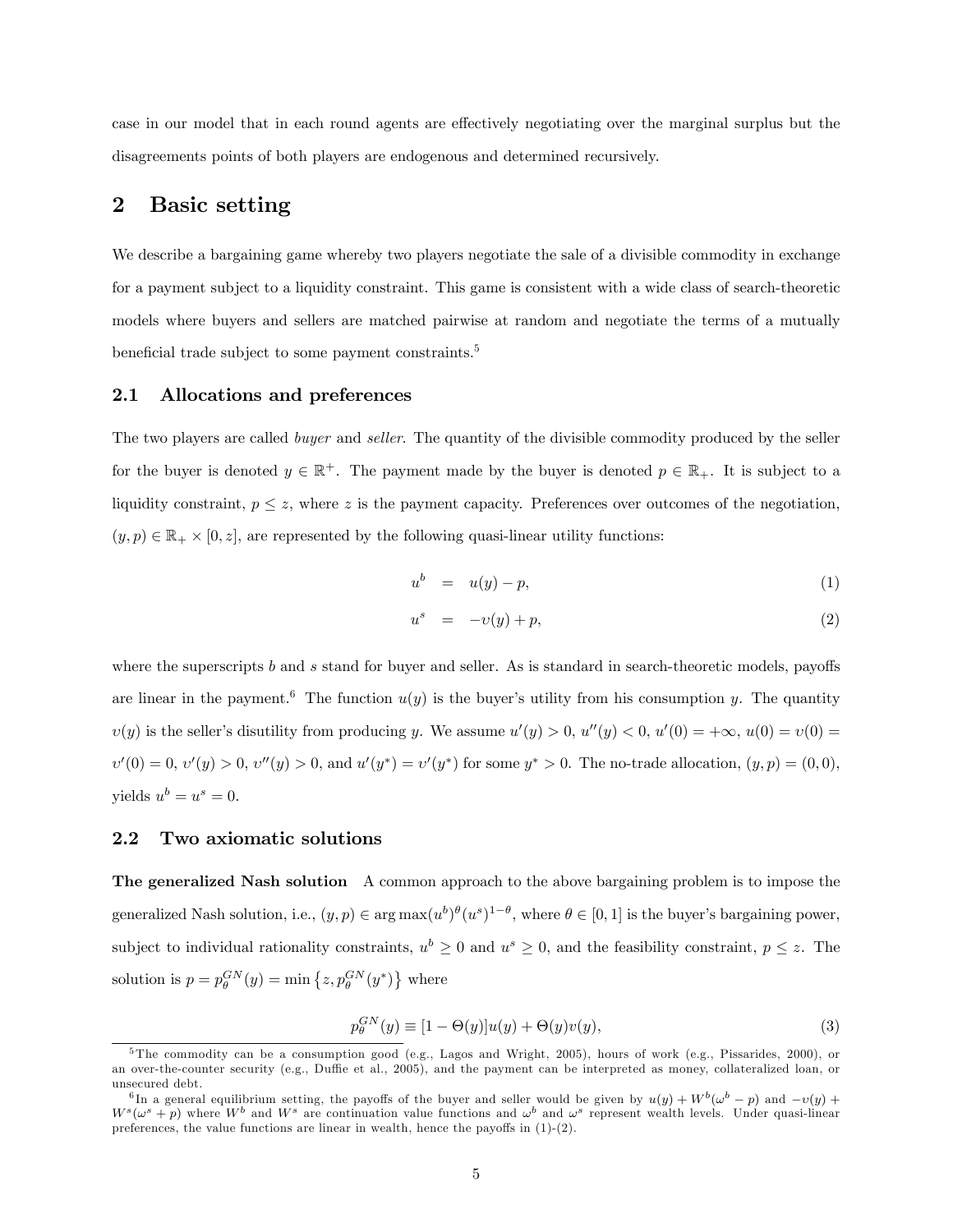case in our model that in each round agents are effectively negotiating over the marginal surplus but the disagreements points of both players are endogenous and determined recursively.

# 2 Basic setting

We describe a bargaining game whereby two players negotiate the sale of a divisible commodity in exchange for a payment subject to a liquidity constraint. This game is consistent with a wide class of search-theoretic models where buyers and sellers are matched pairwise at random and negotiate the terms of a mutually beneficial trade subject to some payment constraints.<sup>5</sup>

### 2.1 Allocations and preferences

The two players are called *buyer* and *seller*. The quantity of the divisible commodity produced by the seller for the buyer is denoted  $y \in \mathbb{R}^+$ . The payment made by the buyer is denoted  $p \in \mathbb{R}_+$ . It is subject to a liquidity constraint,  $p \leq z$ , where z is the payment capacity. Preferences over outcomes of the negotiation,  $(y, p) \in \mathbb{R}_+ \times [0, z]$ , are represented by the following quasi-linear utility functions:

$$
u^b = u(y) - p,\tag{1}
$$

$$
u^s = -v(y) + p,\tag{2}
$$

where the superscripts  $b$  and  $s$  stand for buyer and seller. As is standard in search-theoretic models, payoffs are linear in the payment.<sup>6</sup> The function  $u(y)$  is the buyer's utility from his consumption y. The quantity  $v(y)$  is the seller's disutility from producing y. We assume  $u'(y) > 0$ ,  $u''(y) < 0$ ,  $u'(0) = +\infty$ ,  $u(0) = v(0) =$  $v'(0) = 0, v'(y) > 0, v''(y) > 0$ , and  $u'(y^*) = v'(y^*)$  for some  $y^* > 0$ . The no-trade allocation,  $(y, p) = (0, 0)$ , yields  $u^b = u^s = 0$ .

### 2.2 Two axiomatic solutions

The generalized Nash solution A common approach to the above bargaining problem is to impose the generalized Nash solution, i.e.,  $(y, p) \in \arg \max(u^b)^\theta(u^s)^{1-\theta}$ , where  $\theta \in [0, 1]$  is the buyer's bargaining power, subject to individual rationality constraints,  $u^b \geq 0$  and  $u^s \geq 0$ , and the feasibility constraint,  $p \leq z$ . The solution is  $p = p_{\theta}^{GN}(y) = \min \{ z, p_{\theta}^{GN}(y^*) \}$  where

$$
p_{\theta}^{GN}(y) \equiv [1 - \Theta(y)]u(y) + \Theta(y)v(y), \tag{3}
$$

<sup>&</sup>lt;sup>5</sup> The commodity can be a consumption good (e.g., Lagos and Wright, 2005), hours of work (e.g., Pissarides, 2000), or an over-the-counter security (e.g., Duffie et al., 2005), and the payment can be interpreted as money, collateralized loan, or unsecured debt.

<sup>&</sup>lt;sup>6</sup>In a general equilibrium setting, the payoffs of the buyer and seller would be given by  $u(y) + W^b(\omega^b - p)$  and  $-v(y) +$  $W^s(\omega^s+p)$  where  $W^b$  and  $W^s$  are continuation value functions and  $\omega^b$  and  $\omega^s$  represent wealth levels. Under quasi-linear preferences, the value functions are linear in wealth, hence the payoffs in  $(1)-(2)$ .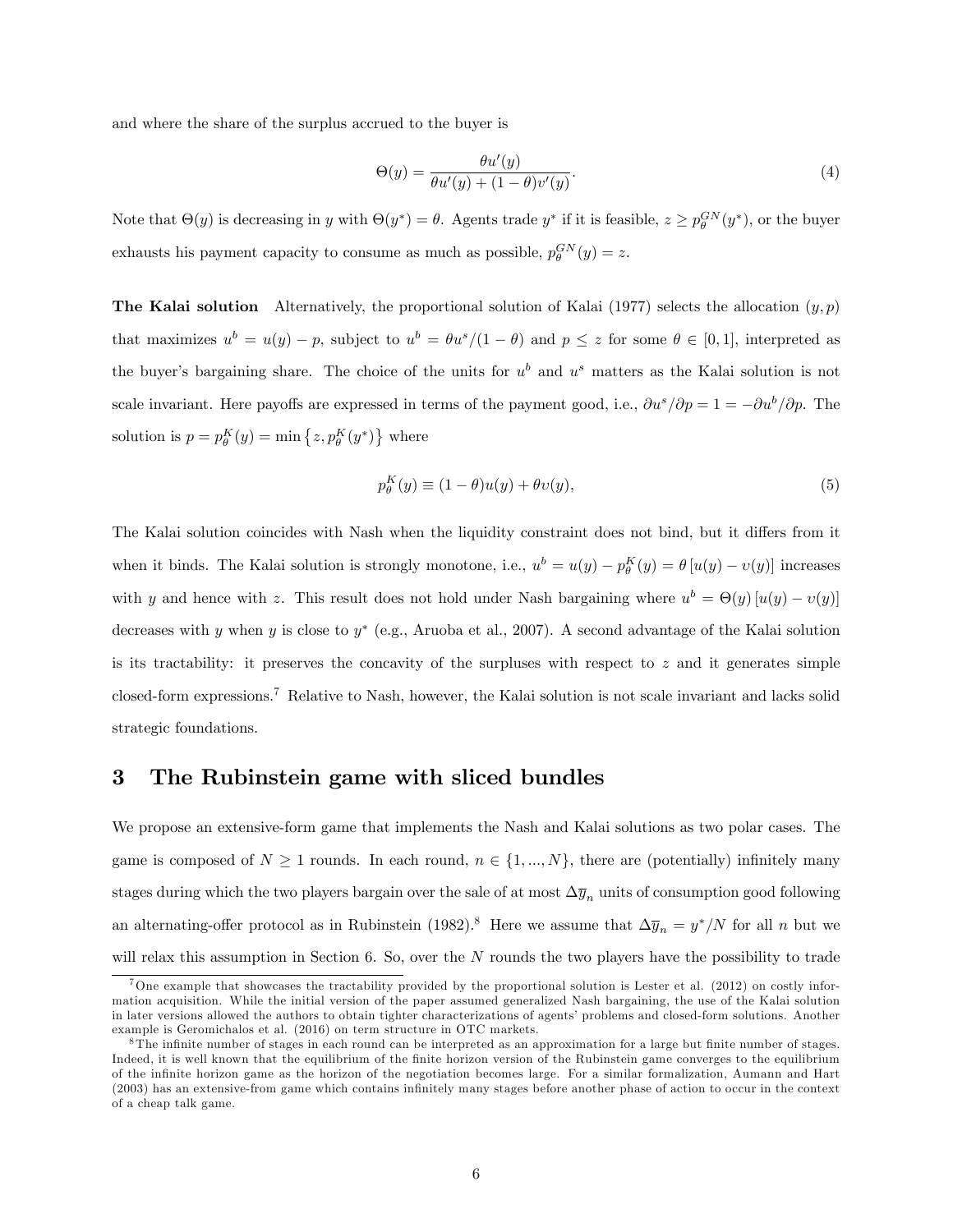and where the share of the surplus accrued to the buyer is

$$
\Theta(y) = \frac{\theta u'(y)}{\theta u'(y) + (1 - \theta)v'(y)}.
$$
\n(4)

Note that  $\Theta(y)$  is decreasing in y with  $\Theta(y^*) = \theta$ . Agents trade  $y^*$  if it is feasible,  $z \ge p_{\theta}^{GN}(y^*)$ , or the buyer exhausts his payment capacity to consume as much as possible,  $p_{\theta}^{GN}(y) = z$ .

**The Kalai solution** Alternatively, the proportional solution of Kalai (1977) selects the allocation  $(y, p)$ that maximizes  $u^b = u(y) - p$ , subject to  $u^b = \theta u^s/(1 - \theta)$  and  $p \leq z$  for some  $\theta \in [0, 1]$ , interpreted as the buyer's bargaining share. The choice of the units for  $u^b$  and  $u^s$  matters as the Kalai solution is not scale invariant. Here payoffs are expressed in terms of the payment good, i.e.,  $\partial u^s/\partial p = 1 = -\partial u^b/\partial p$ . The solution is  $p = p_\theta^K(y) = \min\left\{z, p_\theta^K(y^*)\right\}$  where

$$
p_{\theta}^{K}(y) \equiv (1 - \theta)u(y) + \theta v(y), \qquad (5)
$$

The Kalai solution coincides with Nash when the liquidity constraint does not bind, but it differs from it when it binds. The Kalai solution is strongly monotone, i.e.,  $u^b = u(y) - p_0^K(y) = \theta [u(y) - v(y)]$  increases with y and hence with z. This result does not hold under Nash bargaining where  $u^b = \Theta(y) [u(y) - v(y)]$ decreases with y when y is close to y (e.g., Aruoba et al., 2007). A second advantage of the Kalai solution is its tractability: it preserves the concavity of the surpluses with respect to  $z$  and it generates simple closed-form expressions.<sup>7</sup> Relative to Nash, however, the Kalai solution is not scale invariant and lacks solid strategic foundations.

# 3 The Rubinstein game with sliced bundles

We propose an extensive-form game that implements the Nash and Kalai solutions as two polar cases. The game is composed of  $N \geq 1$  rounds. In each round,  $n \in \{1, ..., N\}$ , there are (potentially) infinitely many stages during which the two players bargain over the sale of at most  $\Delta y_n$  units of consumption good following an alternating-offer protocol as in Rubinstein (1982).<sup>8</sup> Here we assume that  $\Delta \overline{y}_n = y^* / N$  for all n but we will relax this assumption in Section 6. So, over the  $N$  rounds the two players have the possibility to trade

<sup>&</sup>lt;sup>7</sup>One example that showcases the tractability provided by the proportional solution is Lester et al. (2012) on costly information acquisition. While the initial version of the paper assumed generalized Nash bargaining, the use of the Kalai solution in later versions allowed the authors to obtain tighter characterizations of agents' problems and closed-form solutions. Another example is Geromichalos et al. (2016) on term structure in OTC markets.

 $8$ The infinite number of stages in each round can be interpreted as an approximation for a large but finite number of stages. Indeed, it is well known that the equilibrium of the Önite horizon version of the Rubinstein game converges to the equilibrium of the infinite horizon game as the horizon of the negotiation becomes large. For a similar formalization, Aumann and Hart (2003) has an extensive-from game which contains infinitely many stages before another phase of action to occur in the context of a cheap talk game.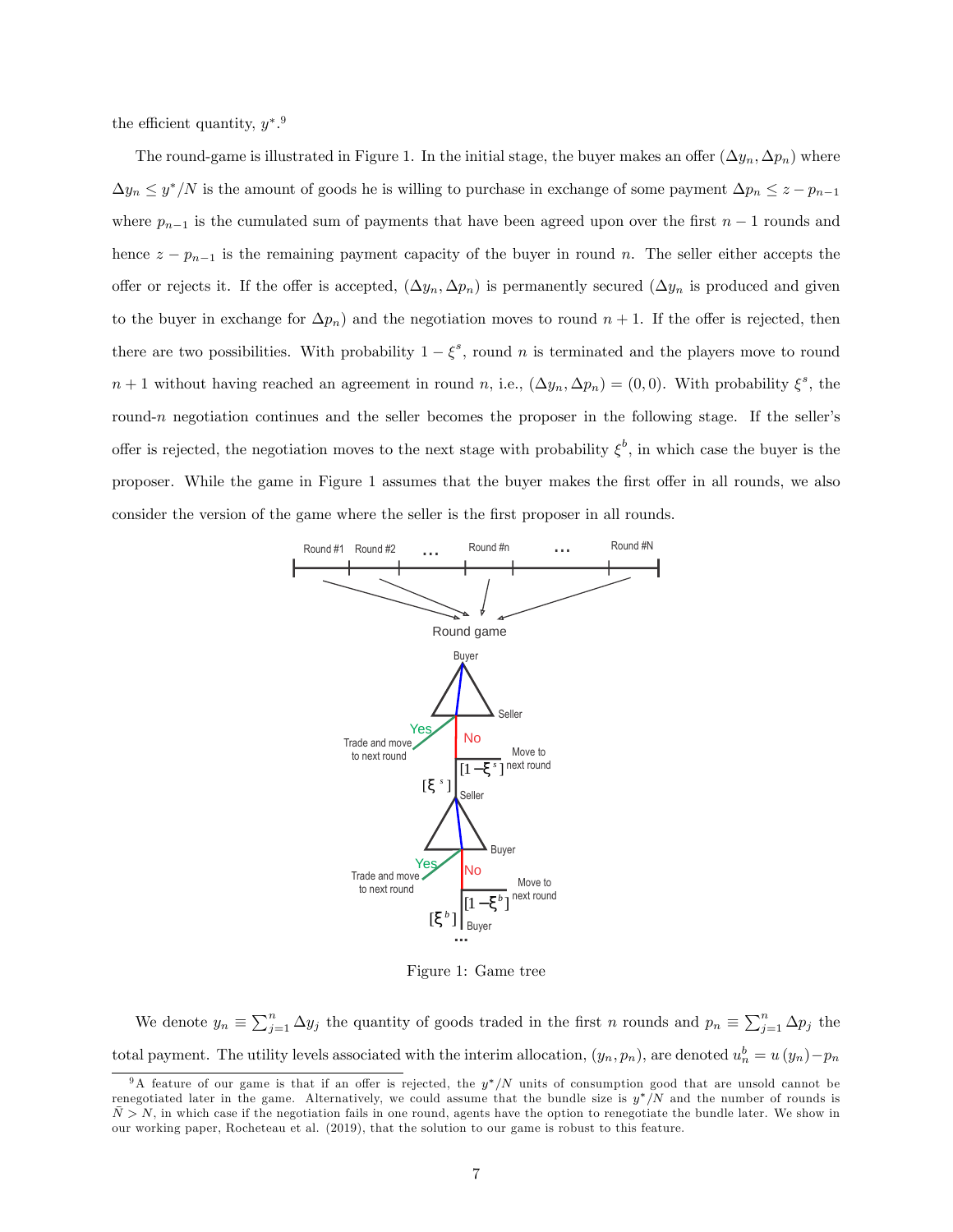the efficient quantity,  $y^*$ .<sup>9</sup>

The round-game is illustrated in Figure 1. In the initial stage, the buyer makes an offer  $(\Delta y_n, \Delta p_n)$  where  $\Delta y_n \leq y^* / N$  is the amount of goods he is willing to purchase in exchange of some payment  $\Delta p_n \leq z - p_{n-1}$ where  $p_{n-1}$  is the cumulated sum of payments that have been agreed upon over the first  $n-1$  rounds and hence  $z - p_{n-1}$  is the remaining payment capacity of the buyer in round n. The seller either accepts the offer or rejects it. If the offer is accepted,  $(\Delta y_n, \Delta p_n)$  is permanently secured  $(\Delta y_n$  is produced and given to the buyer in exchange for  $\Delta p_n$ ) and the negotiation moves to round  $n + 1$ . If the offer is rejected, then there are two possibilities. With probability  $1 - \xi^s$ , round n is terminated and the players move to round  $n+1$  without having reached an agreement in round n, i.e.,  $(\Delta y_n, \Delta p_n) = (0,0)$ . With probability  $\xi^s$ , the round-n negotiation continues and the seller becomes the proposer in the following stage. If the seller's offer is rejected, the negotiation moves to the next stage with probability  $\xi^b$ , in which case the buyer is the proposer. While the game in Figure 1 assumes that the buyer makes the first offer in all rounds, we also consider the version of the game where the seller is the first proposer in all rounds.



Figure 1: Game tree

We denote  $y_n \equiv \sum_{j=1}^n \Delta y_j$  the quantity of goods traded in the first n rounds and  $p_n \equiv \sum_{j=1}^n \Delta p_j$  the total payment. The utility levels associated with the interim allocation,  $(y_n, p_n)$ , are denoted  $u_n^b = u(y_n) - p_n$ 

<sup>&</sup>lt;sup>9</sup>A feature of our game is that if an offer is rejected, the  $y^*/N$  units of consumption good that are unsold cannot be renegotiated later in the game. Alternatively, we could assume that the bundle size is  $y^*/N$  and the number of rounds is  $\bar{N} > N$ , in which case if the negotiation fails in one round, agents have the option to renegotiate the bundle later. We show in our working paper, Rocheteau et al. (2019), that the solution to our game is robust to this feature.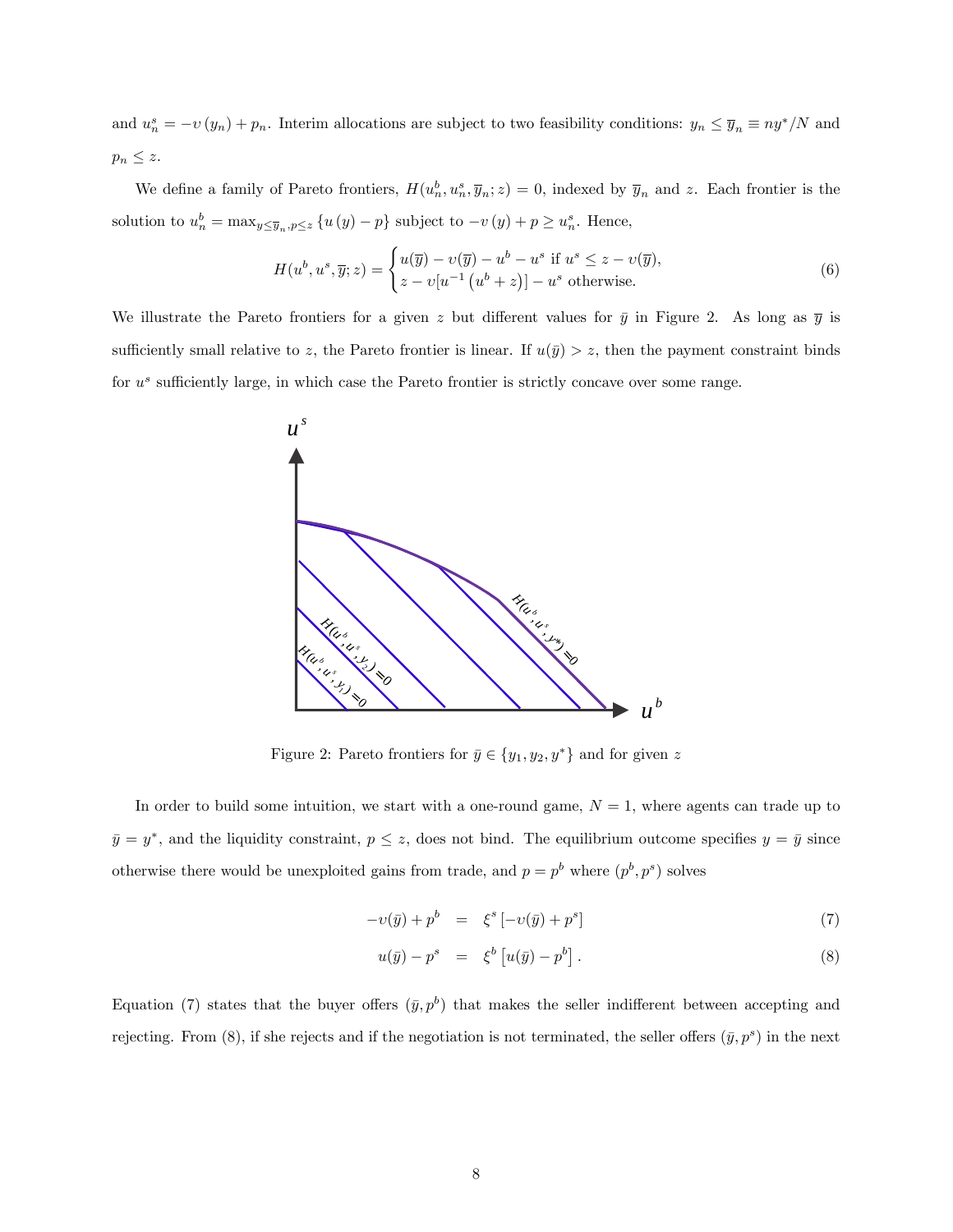and  $u_n^s = -v(y_n) + p_n$ . Interim allocations are subject to two feasibility conditions:  $y_n \le \overline{y}_n \equiv ny^*/N$  and  $p_n \leq z.$ 

We define a family of Pareto frontiers,  $H(u_n^b, u_n^s, \overline{y}_n; z) = 0$ , indexed by  $\overline{y}_n$  and z. Each frontier is the solution to  $u_n^b = \max_{y \leq \overline{y}_n, p \leq z} \{u(y) - p\}$  subject to  $-v(y) + p \geq u_n^s$ . Hence,

$$
H(u^b, u^s, \overline{y}; z) = \begin{cases} u(\overline{y}) - v(\overline{y}) - u^b - u^s \text{ if } u^s \leq z - v(\overline{y}), \\ z - v[u^{-1}(u^b + z)] - u^s \text{ otherwise.} \end{cases}
$$
(6)

We illustrate the Pareto frontiers for a given z but different values for  $\bar{y}$  in Figure 2. As long as  $\bar{y}$  is sufficiently small relative to z, the Pareto frontier is linear. If  $u(\bar{y}) > z$ , then the payment constraint binds for  $u^s$  sufficiently large, in which case the Pareto frontier is strictly concave over some range.



Figure 2: Pareto frontiers for  $\bar{y} \in \{y_1, y_2, y^*\}$  and for given  $z$ 

In order to build some intuition, we start with a one-round game,  $N = 1$ , where agents can trade up to  $\bar{y} = y^*$ , and the liquidity constraint,  $p \leq z$ , does not bind. The equilibrium outcome specifies  $y = \bar{y}$  since otherwise there would be unexploited gains from trade, and  $p = p^b$  where  $(p^b, p^s)$  solves

$$
-v(\bar{y}) + p^b = \xi^s \left[ -v(\bar{y}) + p^s \right] \tag{7}
$$

$$
u(\bar{y}) - p^s = \xi^b \left[ u(\bar{y}) - p^b \right]. \tag{8}
$$

Equation (7) states that the buyer offers  $(\bar{y}, p^b)$  that makes the seller indifferent between accepting and rejecting. From  $(8)$ , if she rejects and if the negotiation is not terminated, the seller offers  $(\bar{y}, p^s)$  in the next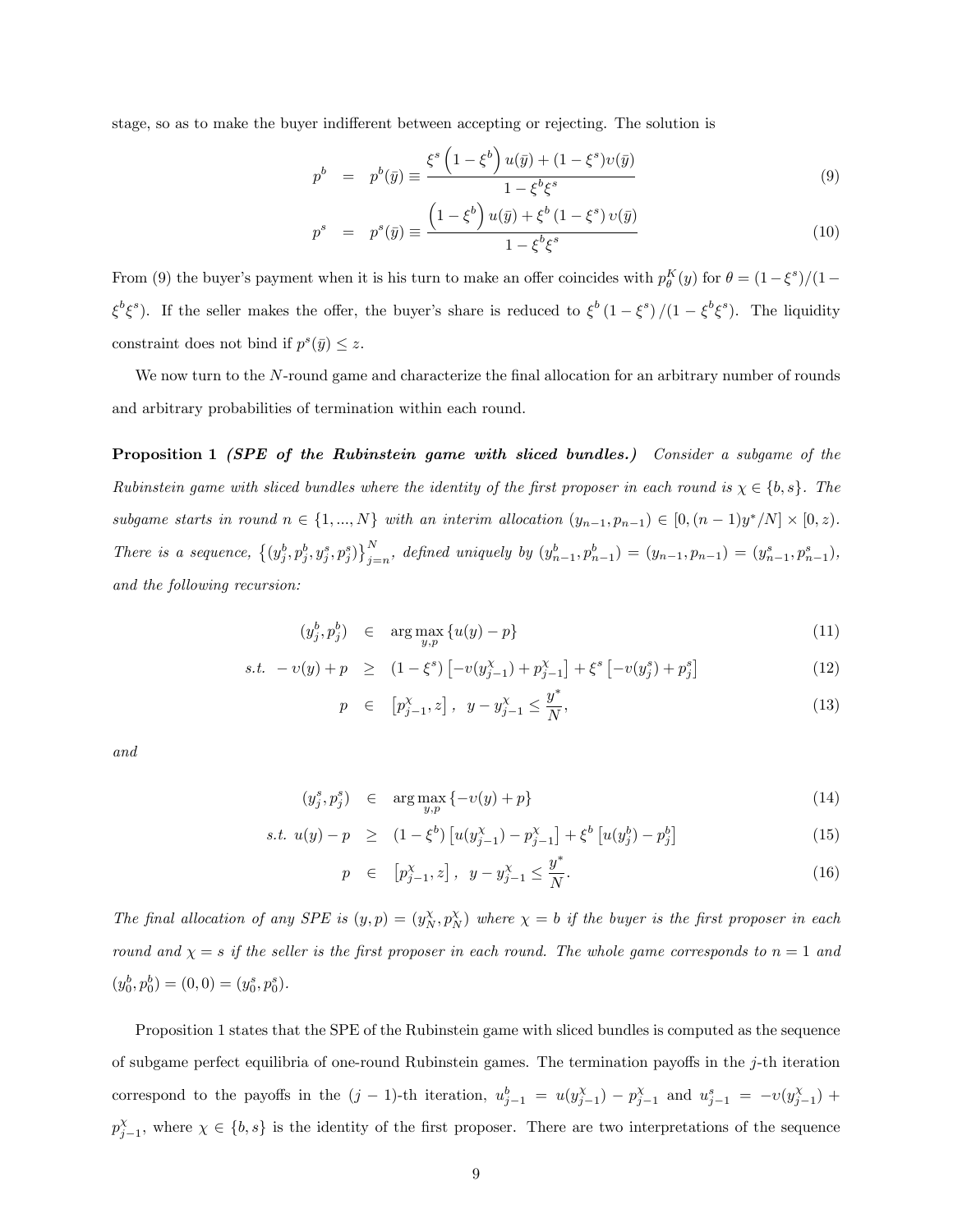stage, so as to make the buyer indifferent between accepting or rejecting. The solution is

$$
p^{b} = p^{b}(\bar{y}) \equiv \frac{\xi^{s} \left(1 - \xi^{b}\right) u(\bar{y}) + (1 - \xi^{s}) v(\bar{y})}{1 - \xi^{b} \xi^{s}}
$$
(9)

$$
p^{s} = p^{s}(\bar{y}) \equiv \frac{\left(1 - \xi^{b}\right)u(\bar{y}) + \xi^{b}\left(1 - \xi^{s}\right)v(\bar{y})}{1 - \xi^{b}\xi^{s}}
$$
(10)

From (9) the buyer's payment when it is his turn to make an offer coincides with  $p_{\theta}^{K}(y)$  for  $\theta = (1 - \xi^{s})/(1 - \xi^{s})$  $\xi^b \xi^s$ ). If the seller makes the offer, the buyer's share is reduced to  $\xi^b (1 - \xi^s)/(1 - \xi^b \xi^s)$ . The liquidity constraint does not bind if  $p^s(\bar{y}) \leq z$ .

We now turn to the N-round game and characterize the final allocation for an arbitrary number of rounds and arbitrary probabilities of termination within each round.

Proposition 1 *(SPE of the Rubinstein game with sliced bundles.)* Consider a subgame of the Rubinstein game with sliced bundles where the identity of the first proposer in each round is  $\chi \in \{b, s\}$ . The subgame starts in round  $n \in \{1, ..., N\}$  with an interim allocation  $(y_{n-1}, p_{n-1}) \in [0, (n-1)y^*/N] \times [0, z)$ . There is a sequence,  $\{(y_j^b, p_j^b, y_j^s, p_j^s)\}_{j= n}^N$ , defined uniquely by  $(y_{n-1}^b, p_{n-1}^b) = (y_{n-1}, p_{n-1}) = (y_{n-1}^s, p_{n-1}^s)$ , and the following recursion:

$$
(y_j^b, p_j^b) \in \arg \max_{y, p} \{ u(y) - p \} \tag{11}
$$

s.t. 
$$
-v(y) + p \ge (1 - \xi^s) \left[ -v(y_{j-1}^{\chi}) + p_{j-1}^{\chi} \right] + \xi^s \left[ -v(y_j^s) + p_j^s \right]
$$
 (12)

$$
p \in [p_{j-1}^{\chi}, z], \quad y - y_{j-1}^{\chi} \le \frac{y^*}{N}, \tag{13}
$$

and

$$
(y_j^s, p_j^s) \in \arg\max_{y, p} \{-\nu(y) + p\} \tag{14}
$$

s.t. 
$$
u(y) - p \ge (1 - \xi^b) [u(y_{j-1}^{\chi}) - p_{j-1}^{\chi}] + \xi^b [u(y_j^b) - p_j^b]
$$
 (15)

$$
p \in [p_{j-1}^{\chi}, z], \quad y - y_{j-1}^{\chi} \le \frac{y^*}{N}.
$$
 (16)

The final allocation of any SPE is  $(y, p) = (y_N^{\chi}, p_N^{\chi})$  where  $\chi = b$  if the buyer is the first proposer in each round and  $\chi = s$  if the seller is the first proposer in each round. The whole game corresponds to  $n = 1$  and  $(y_0^b, p_0^b) = (0, 0) = (y_0^s, p_0^s).$ 

Proposition 1 states that the SPE of the Rubinstein game with sliced bundles is computed as the sequence of subgame perfect equilibria of one-round Rubinstein games. The termination payoffs in the  $j$ -th iteration correspond to the payoffs in the  $(j-1)$ -th iteration,  $u_{j-1}^b = u(y_{j-1}^{\chi}) - p_{j-1}^{\chi}$  and  $u_{j-1}^s = -v(y_{j-1}^{\chi}) +$  $p_{j-1}^{\chi}$ , where  $\chi \in \{b, s\}$  is the identity of the first proposer. There are two interpretations of the sequence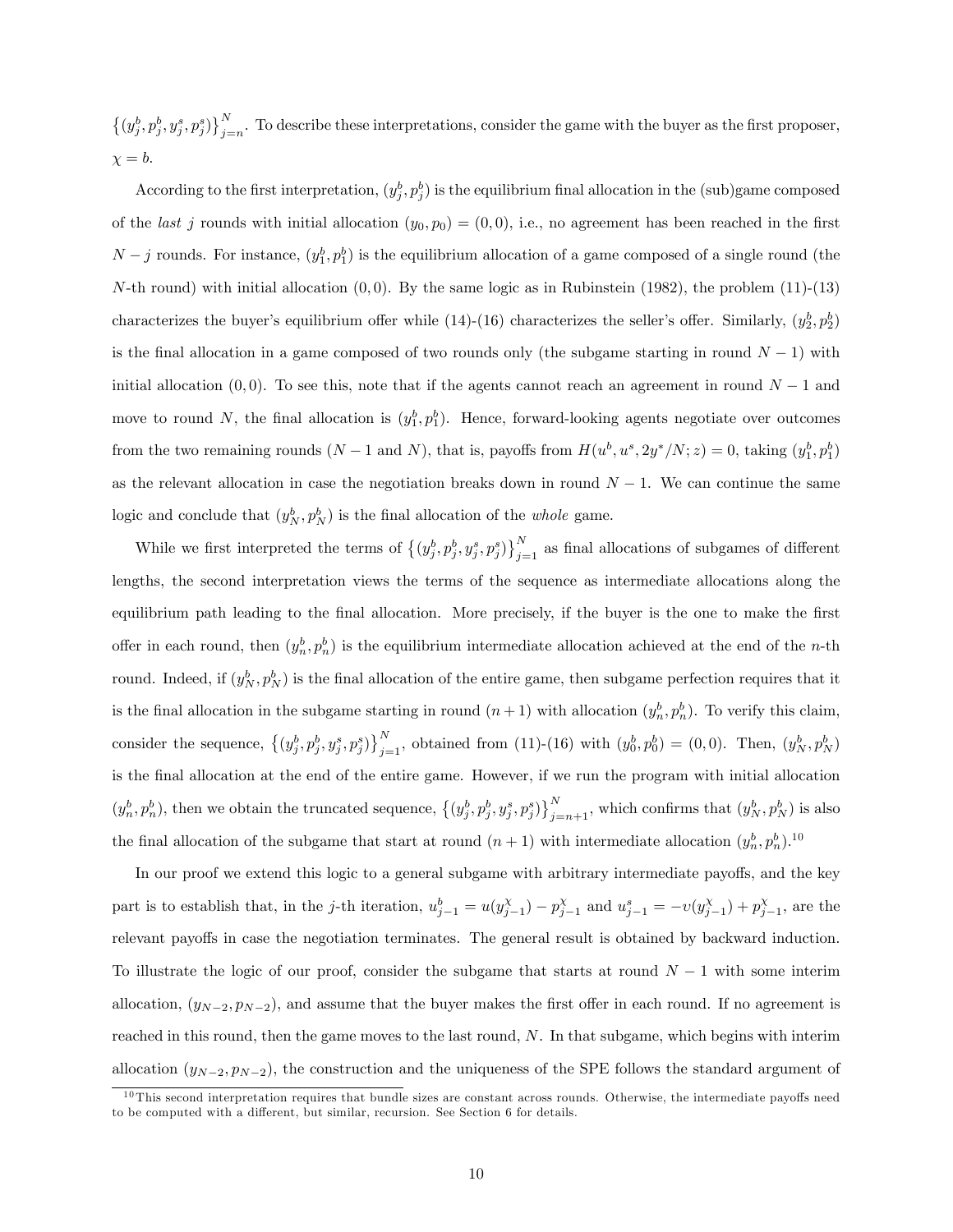$\{(y_j^b, p_j^b, y_j^s, p_j^s)\}_{j=1}^N$ . To describe these interpretations, consider the game with the buyer as the first proposer,  $x = b$ .

According to the first interpretation,  $(y_j^b, p_j^b)$  is the equilibrium final allocation in the (sub)game composed of the *last j* rounds with initial allocation  $(y_0, p_0) = (0, 0)$ , i.e., no agreement has been reached in the first  $N-j$  rounds. For instance,  $(y_1^b, p_1^b)$  is the equilibrium allocation of a game composed of a single round (the N-th round) with initial allocation  $(0,0)$ . By the same logic as in Rubinstein (1982), the problem  $(11)-(13)$ characterizes the buyer's equilibrium offer while  $(14)-(16)$  characterizes the seller's offer. Similarly,  $(y_2^b, p_2^b)$ is the final allocation in a game composed of two rounds only (the subgame starting in round  $N - 1$ ) with initial allocation  $(0,0)$ . To see this, note that if the agents cannot reach an agreement in round  $N-1$  and move to round N, the final allocation is  $(y_1^b, p_1^b)$ . Hence, forward-looking agents negotiate over outcomes from the two remaining rounds  $(N-1 \text{ and } N)$ , that is, payoffs from  $H(u^b, u^s, 2y^*/N; z) = 0$ , taking  $(y_1^b, p_1^b)$ as the relevant allocation in case the negotiation breaks down in round  $N-1$ . We can continue the same logic and conclude that  $(y_N^b, p_N^b)$  is the final allocation of the *whole* game.

While we first interpreted the terms of  $\{(y_j^b, p_j^b, y_j^s, p_j^s)\}_{j=1}^N$  as final allocations of subgames of different lengths, the second interpretation views the terms of the sequence as intermediate allocations along the equilibrium path leading to the final allocation. More precisely, if the buyer is the one to make the first offer in each round, then  $(y_n^b, p_n^b)$  is the equilibrium intermediate allocation achieved at the end of the *n*-th round. Indeed, if  $(y_N^b, p_N^b)$  is the final allocation of the entire game, then subgame perfection requires that it is the final allocation in the subgame starting in round  $(n+1)$  with allocation  $(y_n^b, p_n^b)$ . To verify this claim, consider the sequence,  $\{(y_j^b, p_j^b, y_j^s, p_j^s)\}_{j=1}^N$ , obtained from (11)-(16) with  $(y_0^b, p_0^b) = (0, 0)$ . Then,  $(y_N^b, p_N^b)$ is the Önal allocation at the end of the entire game. However, if we run the program with initial allocation  $(y_n^b, p_n^b)$ , then we obtain the truncated sequence,  $\{(y_j^b, p_j^b, y_j^s, p_j^s)\}_{j=n+1}^N$ , which confirms that  $(y_N^b, p_N^b)$  is also the final allocation of the subgame that start at round  $(n+1)$  with intermediate allocation  $(y_n^b, p_n^b)$ .<sup>10</sup>

In our proof we extend this logic to a general subgame with arbitrary intermediate payoffs, and the key part is to establish that, in the j-th iteration,  $u_{j-1}^b = u(y_{j-1}^{\chi}) - p_{j-1}^{\chi}$  and  $u_{j-1}^s = -v(y_{j-1}^{\chi}) + p_{j-1}^{\chi}$ , are the relevant payoffs in case the negotiation terminates. The general result is obtained by backward induction. To illustrate the logic of our proof, consider the subgame that starts at round  $N-1$  with some interim allocation,  $(y_{N-2}, p_{N-2})$ , and assume that the buyer makes the first offer in each round. If no agreement is reached in this round, then the game moves to the last round, N. In that subgame, which begins with interim allocation  $(y_{N-2}, p_{N-2})$ , the construction and the uniqueness of the SPE follows the standard argument of

 $10$  This second interpretation requires that bundle sizes are constant across rounds. Otherwise, the intermediate payoffs need to be computed with a different, but similar, recursion. See Section 6 for details.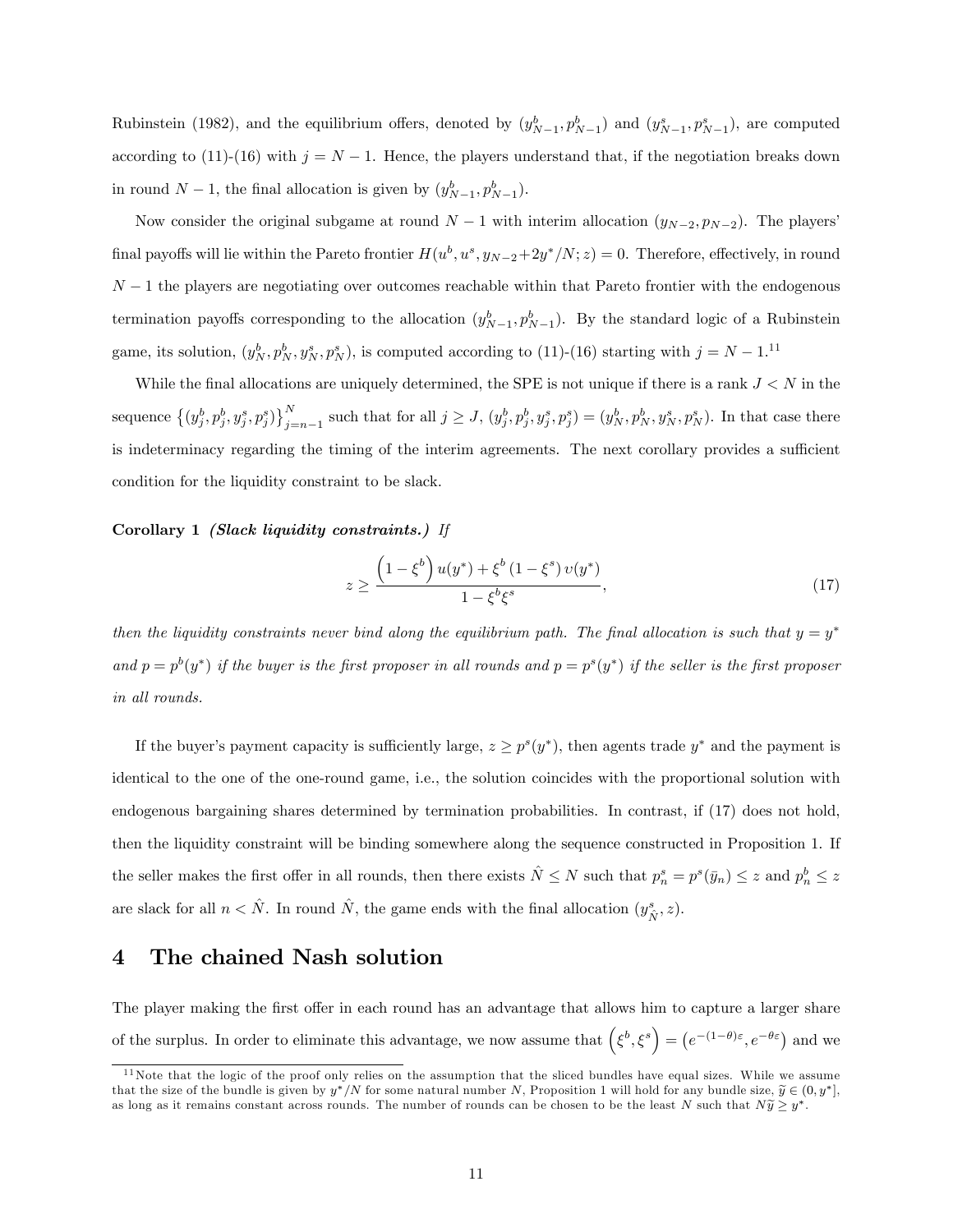Rubinstein (1982), and the equilibrium offers, denoted by  $(y_{N-1}^b, p_{N-1}^b)$  and  $(y_{N-1}^s, p_{N-1}^s)$ , are computed according to (11)-(16) with  $j = N - 1$ . Hence, the players understand that, if the negotiation breaks down in round  $N-1$ , the final allocation is given by  $(y_{N-1}^b, p_{N-1}^b)$ .

Now consider the original subgame at round  $N-1$  with interim allocation  $(y_{N-2}, p_{N-2})$ . The players final payoffs will lie within the Pareto frontier  $H(u^b, u^s, y_{N-2}+2y^*/N; z) = 0$ . Therefore, effectively, in round  $N-1$  the players are negotiating over outcomes reachable within that Pareto frontier with the endogenous termination payoffs corresponding to the allocation  $(y_{N-1}^b, p_{N-1}^b)$ . By the standard logic of a Rubinstein game, its solution,  $(y_N^b, p_N^b, y_N^s, p_N^s)$ , is computed according to (11)-(16) starting with  $j = N - 1$ .<sup>11</sup>

While the final allocations are uniquely determined, the SPE is not unique if there is a rank  $J < N$  in the sequence  $\left\{(y_j^b, p_j^b, y_j^s, p_j^s)\right\}_{i=1}^N$  $j_{j=n-1}^{N}$  such that for all  $j \ge J$ ,  $(y_j^b, p_j^b, y_j^s, p_j^s) = (y_N^b, p_N^b, y_N^s, p_N^s)$ . In that case there is indeterminacy regarding the timing of the interim agreements. The next corollary provides a sufficient condition for the liquidity constraint to be slack.

#### Corollary 1 (Slack liquidity constraints.) If

$$
z \ge \frac{\left(1 - \xi^b\right)u(y^*) + \xi^b\left(1 - \xi^s\right)v(y^*)}{1 - \xi^b\xi^s},\tag{17}
$$

then the liquidity constraints never bind along the equilibrium path. The final allocation is such that  $y = y^*$ and  $p = p^b(y^*)$  if the buyer is the first proposer in all rounds and  $p = p^s(y^*)$  if the seller is the first proposer in all rounds.

If the buyer's payment capacity is sufficiently large,  $z \ge p^s(y^*)$ , then agents trade  $y^*$  and the payment is identical to the one of the one-round game, i.e., the solution coincides with the proportional solution with endogenous bargaining shares determined by termination probabilities. In contrast, if (17) does not hold, then the liquidity constraint will be binding somewhere along the sequence constructed in Proposition 1. If the seller makes the first offer in all rounds, then there exists  $\hat{N} \leq N$  such that  $p_n^s = p^s(\bar{y}_n) \leq z$  and  $p_n^b \leq z$ are slack for all  $n < \hat{N}$ . In round  $\hat{N}$ , the game ends with the final allocation  $(y_{\hat{N}}^s, z)$ .

# 4 The chained Nash solution

The player making the first offer in each round has an advantage that allows him to capture a larger share of the surplus. In order to eliminate this advantage, we now assume that  $(\xi^b, \xi^s) = (e^{-(1-\theta)\varepsilon}, e^{-\theta \varepsilon})$  and we

 $11$ Note that the logic of the proof only relies on the assumption that the sliced bundles have equal sizes. While we assume that the size of the bundle is given by  $y^*/N$  for some natural number N, Proposition 1 will hold for any bundle size,  $\widetilde{y} \in (0, y^*],$ as long as it remains constant across rounds. The number of rounds can be chosen to be the least N such that  $N\widetilde{y} \geq y^*$ .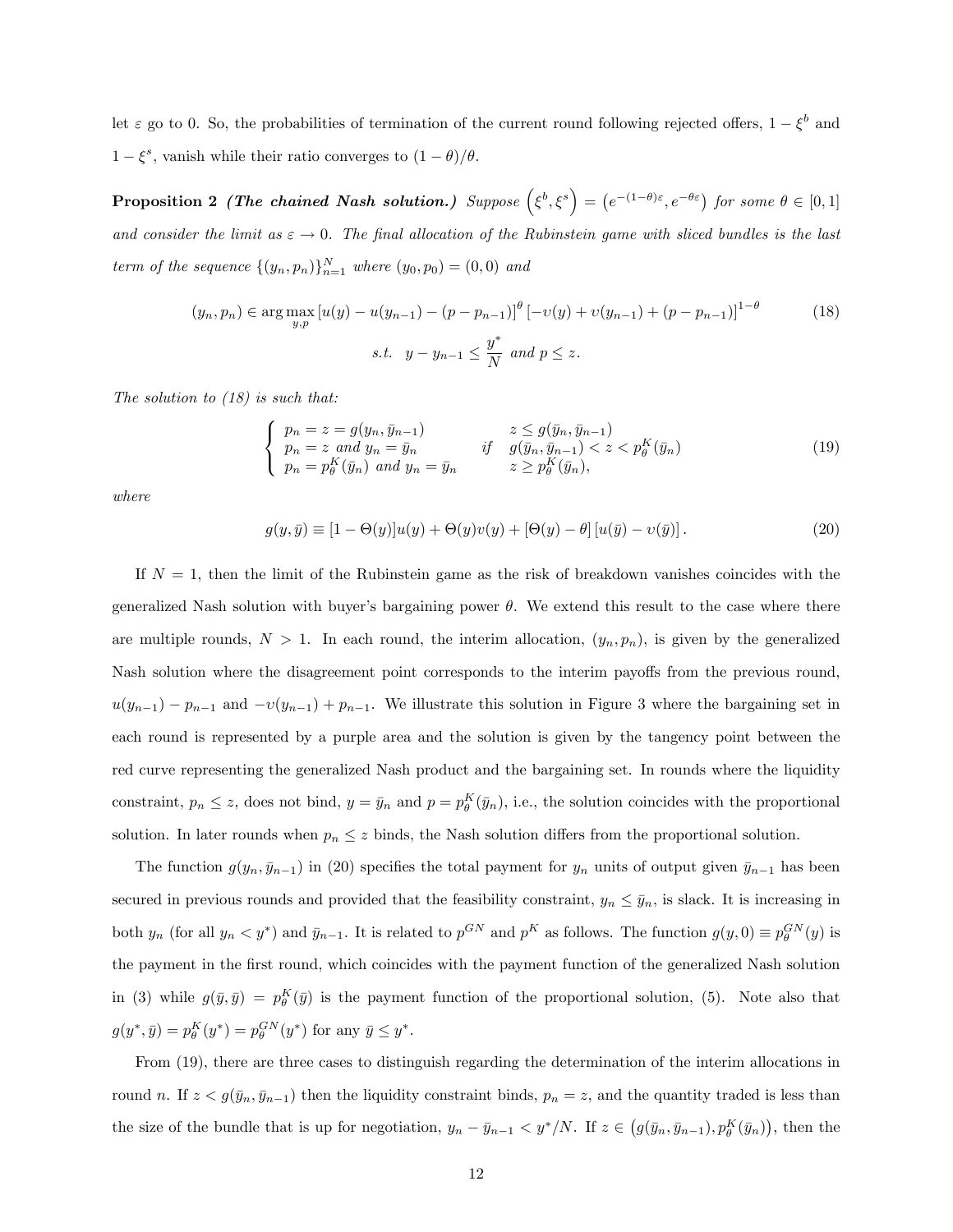let  $\varepsilon$  go to 0. So, the probabilities of termination of the current round following rejected offers,  $1 - \xi^b$  and  $1 - \xi^s$ , vanish while their ratio converges to  $(1 - \theta)/\theta$ .

Proposition 2 (The chained Nash solution.) Suppose  $(\xi^b, \xi^s) = (e^{-(1-\theta)\varepsilon}, e^{-\theta \varepsilon})$  for some  $\theta \in [0,1]$ and consider the limit as  $\varepsilon \to 0$ . The final allocation of the Rubinstein game with sliced bundles is the last term of the sequence  $\{(y_n, p_n)\}_{n=1}^N$  where  $(y_0, p_0) = (0, 0)$  and

$$
(y_n, p_n) \in \arg \max_{y, p} \left[ u(y) - u(y_{n-1}) - (p - p_{n-1}) \right]^\theta \left[ -v(y) + v(y_{n-1}) + (p - p_{n-1}) \right]^{1-\theta}
$$
(18)  
s.t.  $y - y_{n-1} \le \frac{y^*}{N}$  and  $p \le z$ .

The solution to (18) is such that:

$$
\begin{cases}\n p_n = z = g(y_n, \bar{y}_{n-1}) & z \le g(\bar{y}_n, \bar{y}_{n-1}) \\
p_n = z \text{ and } y_n = \bar{y}_n & \text{if } g(\bar{y}_n, \bar{y}_{n-1}) < z < p_\theta^K(\bar{y}_n) \\
p_n = p_\theta^K(\bar{y}_n) \text{ and } y_n = \bar{y}_n & z \ge p_\theta^K(\bar{y}_n),\n\end{cases}
$$
\n(19)

where

$$
g(y,\bar{y}) \equiv [1 - \Theta(y)]u(y) + \Theta(y)v(y) + [\Theta(y) - \theta][u(\bar{y}) - v(\bar{y})]. \tag{20}
$$

If  $N = 1$ , then the limit of the Rubinstein game as the risk of breakdown vanishes coincides with the generalized Nash solution with buyer's bargaining power  $\theta$ . We extend this result to the case where there are multiple rounds,  $N > 1$ . In each round, the interim allocation,  $(y_n, p_n)$ , is given by the generalized Nash solution where the disagreement point corresponds to the interim payoffs from the previous round,  $u(y_{n-1}) - p_{n-1}$  and  $-v(y_{n-1}) + p_{n-1}$ . We illustrate this solution in Figure 3 where the bargaining set in each round is represented by a purple area and the solution is given by the tangency point between the red curve representing the generalized Nash product and the bargaining set. In rounds where the liquidity constraint,  $p_n \leq z$ , does not bind,  $y = \bar{y}_n$  and  $p = p_\theta^K(\bar{y}_n)$ , i.e., the solution coincides with the proportional solution. In later rounds when  $p_n \leq z$  binds, the Nash solution differs from the proportional solution.

The function  $g(y_n, \bar{y}_{n-1})$  in (20) specifies the total payment for  $y_n$  units of output given  $\bar{y}_{n-1}$  has been secured in previous rounds and provided that the feasibility constraint,  $y_n \leq \bar{y}_n$ , is slack. It is increasing in both  $y_n$  (for all  $y_n < y^*$ ) and  $\bar{y}_{n-1}$ . It is related to  $p^{GN}$  and  $p^K$  as follows. The function  $g(y, 0) \equiv p_\theta^{GN}(y)$  is the payment in the Örst round, which coincides with the payment function of the generalized Nash solution in (3) while  $g(\bar{y}, \bar{y}) = p_{\theta}^K(\bar{y})$  is the payment function of the proportional solution, (5). Note also that  $g(y^*, \bar{y}) = p_{\theta}^K(y^*) = p_{\theta}^{GN}(y^*)$  for any  $\bar{y} \leq y^*$ .

From (19), there are three cases to distinguish regarding the determination of the interim allocations in round n. If  $z < g(\bar{y}_n, \bar{y}_{n-1})$  then the liquidity constraint binds,  $p_n = z$ , and the quantity traded is less than the size of the bundle that is up for negotiation,  $y_n - \bar{y}_{n-1} < y^*/N$ . If  $z \in (g(\bar{y}_n, \bar{y}_{n-1}), p_{\theta}^K(\bar{y}_n))$ , then the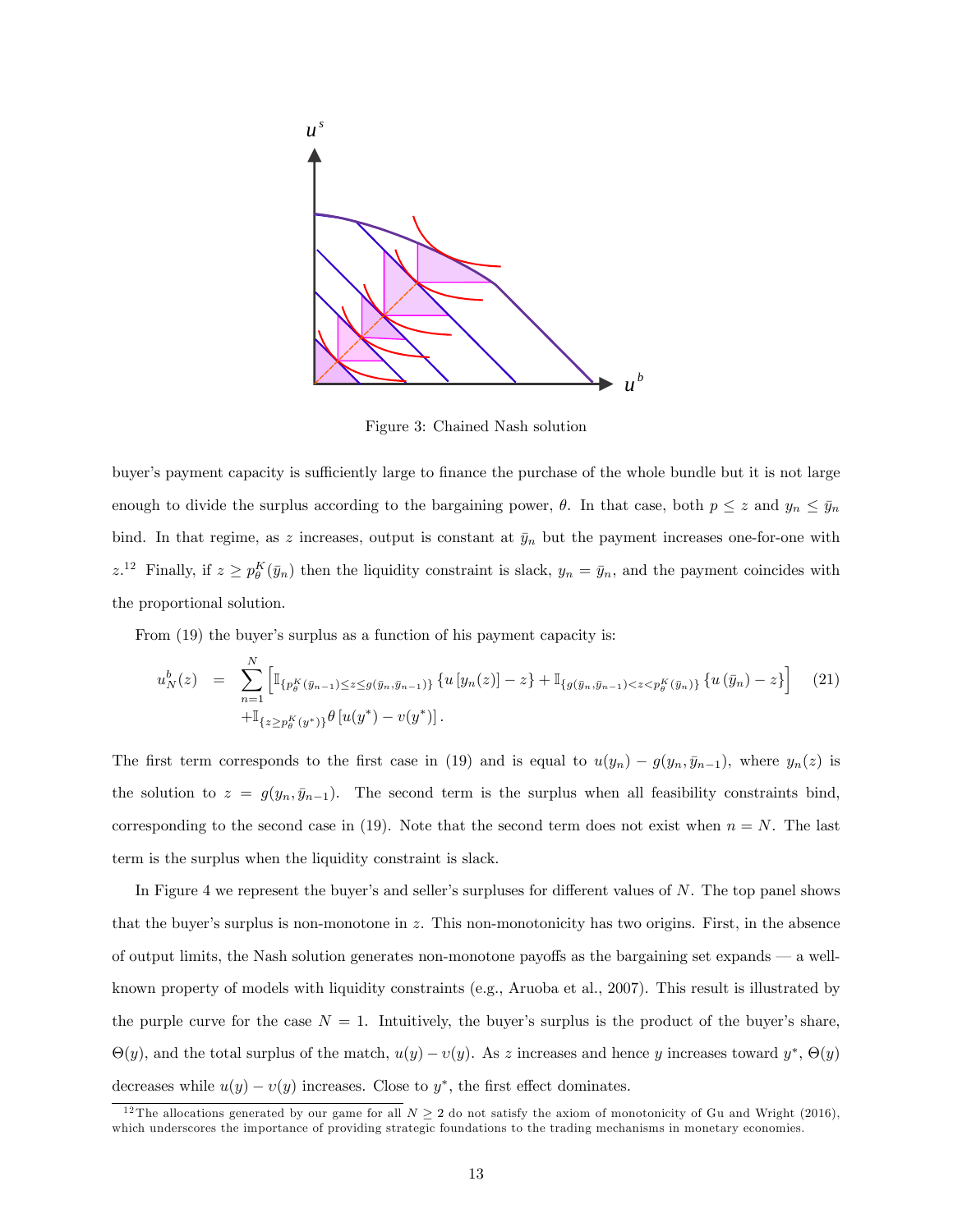

Figure 3: Chained Nash solution

buyer's payment capacity is sufficiently large to finance the purchase of the whole bundle but it is not large enough to divide the surplus according to the bargaining power,  $\theta$ . In that case, both  $p \leq z$  and  $y_n \leq \bar{y}_n$ bind. In that regime, as z increases, output is constant at  $\bar{y}_n$  but the payment increases one-for-one with  $z^{12}$  Finally, if  $z \ge p_\theta^K(\bar{y}_n)$  then the liquidity constraint is slack,  $y_n = \bar{y}_n$ , and the payment coincides with the proportional solution.

From  $(19)$  the buyer's surplus as a function of his payment capacity is:

$$
u_N^b(z) = \sum_{n=1}^N \left[ \mathbb{I}_{\{p_\theta^K(\bar{y}_{n-1}) \le z \le g(\bar{y}_n, \bar{y}_{n-1})\}} \{u \left[y_n(z)\right] - z\} + \mathbb{I}_{\{g(\bar{y}_n, \bar{y}_{n-1}) < z < p_\theta^K(\bar{y}_n)\}} \{u \left(\bar{y}_n\right) - z\} \right] \tag{21}
$$
\n
$$
+ \mathbb{I}_{\{z \ge p_\theta^K(y^*)\}} \theta \left[u(y^*) - v(y^*)\right].
$$

The first term corresponds to the first case in (19) and is equal to  $u(y_n) - g(y_n, \bar{y}_{n-1})$ , where  $y_n(z)$  is the solution to  $z = g(y_n, \bar{y}_{n-1})$ . The second term is the surplus when all feasibility constraints bind, corresponding to the second case in (19). Note that the second term does not exist when  $n = N$ . The last term is the surplus when the liquidity constraint is slack.

In Figure 4 we represent the buyer's and seller's surpluses for different values of  $N$ . The top panel shows that the buyer's surplus is non-monotone in  $z$ . This non-monotonicity has two origins. First, in the absence of output limits, the Nash solution generates non-monotone payoffs as the bargaining set expands  $\sim$  a wellknown property of models with liquidity constraints (e.g., Aruoba et al., 2007). This result is illustrated by the purple curve for the case  $N = 1$ . Intuitively, the buyer's surplus is the product of the buyer's share,  $\Theta(y)$ , and the total surplus of the match,  $u(y) - v(y)$ . As z increases and hence y increases toward  $y^*$ ,  $\Theta(y)$ decreases while  $u(y) - v(y)$  increases. Close to  $y^*$ , the first effect dominates.

<sup>&</sup>lt;sup>12</sup> The allocations generated by our game for all  $N \geq 2$  do not satisfy the axiom of monotonicity of Gu and Wright (2016), which underscores the importance of providing strategic foundations to the trading mechanisms in monetary economies.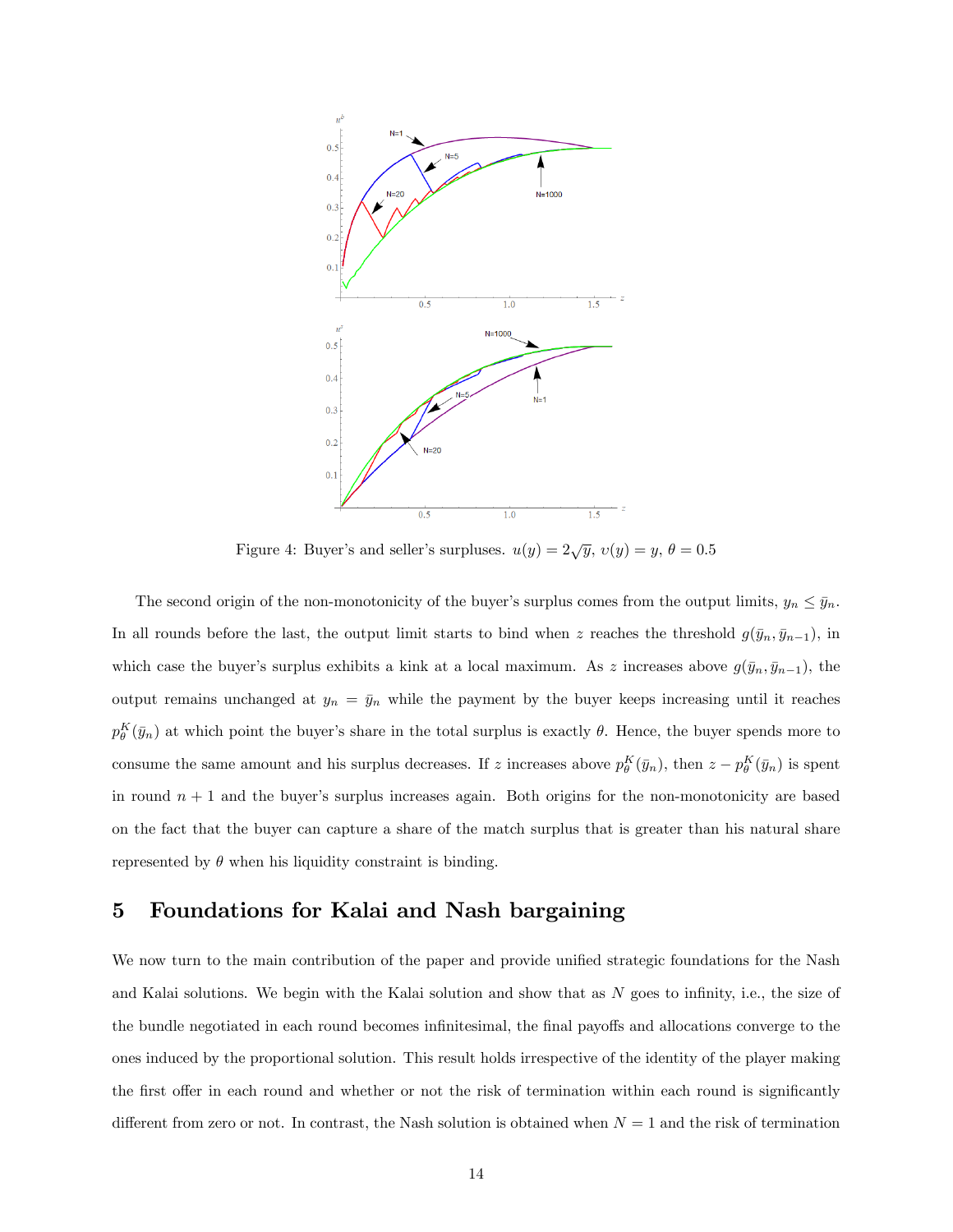

Figure 4: Buyer's and seller's surpluses.  $u(y) = 2\sqrt{y}$ ,  $v(y) = y$ ,  $\theta = 0.5$ 

The second origin of the non-monotonicity of the buyer's surplus comes from the output limits,  $y_n \leq \bar{y}_n$ . In all rounds before the last, the output limit starts to bind when z reaches the threshold  $g(\bar{y}_n, \bar{y}_{n-1})$ , in which case the buyer's surplus exhibits a kink at a local maximum. As z increases above  $g(\bar{y}_n, \bar{y}_{n-1})$ , the output remains unchanged at  $y_n = \bar{y}_n$  while the payment by the buyer keeps increasing until it reaches  $p_{\theta}^K(\bar{y}_n)$  at which point the buyer's share in the total surplus is exactly  $\theta$ . Hence, the buyer spends more to consume the same amount and his surplus decreases. If z increases above  $p_{\theta}^K(\bar{y}_n)$ , then  $z - p_{\theta}^K(\bar{y}_n)$  is spent in round  $n + 1$  and the buyer's surplus increases again. Both origins for the non-monotonicity are based on the fact that the buyer can capture a share of the match surplus that is greater than his natural share represented by  $\theta$  when his liquidity constraint is binding.

# 5 Foundations for Kalai and Nash bargaining

We now turn to the main contribution of the paper and provide unified strategic foundations for the Nash and Kalai solutions. We begin with the Kalai solution and show that as  $N$  goes to infinity, i.e., the size of the bundle negotiated in each round becomes infinitesimal, the final payoffs and allocations converge to the ones induced by the proportional solution. This result holds irrespective of the identity of the player making the first offer in each round and whether or not the risk of termination within each round is significantly different from zero or not. In contrast, the Nash solution is obtained when  $N = 1$  and the risk of termination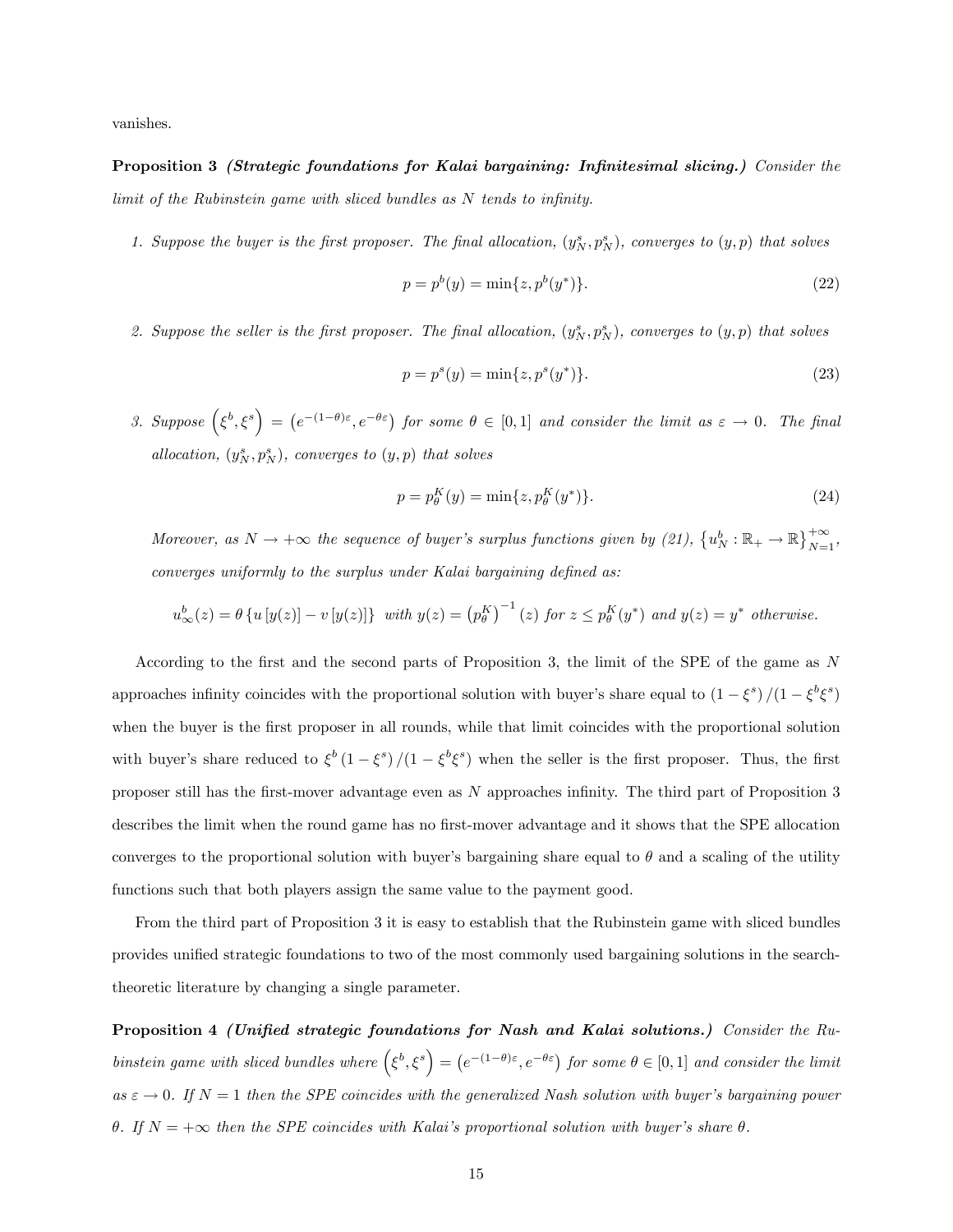vanishes.

Proposition 3 *(Strategic foundations for Kalai bargaining: Infinitesimal slicing.)* Consider the limit of the Rubinstein game with sliced bundles as  $N$  tends to infinity.

1. Suppose the buyer is the first proposer. The final allocation,  $(y_N^s, p_N^s)$ , converges to  $(y, p)$  that solves

$$
p = p^{b}(y) = \min\{z, p^{b}(y^{*})\}.
$$
\n(22)

2. Suppose the seller is the first proposer. The final allocation,  $(y_N^s, p_N^s)$ , converges to  $(y, p)$  that solves

$$
p = p^{s}(y) = \min\{z, p^{s}(y^{*})\}.
$$
\n(23)

3. Suppose  $(\xi^b, \xi^s) = (e^{-(1-\theta)\varepsilon}, e^{-\theta\varepsilon})$  for some  $\theta \in [0,1]$  and consider the limit as  $\varepsilon \to 0$ . The final allocation,  $(y_N^s, p_N^s)$ , converges to  $(y, p)$  that solves

$$
p = p_{\theta}^{K}(y) = \min\{z, p_{\theta}^{K}(y^{*})\}.
$$
\n(24)

Moreover, as  $N \to +\infty$  the sequence of buyer's surplus functions given by (21),  $\{u_N^b : \mathbb{R}_+ \to \mathbb{R}\}_{N=1}^{+\infty}$ ,  $converges$  uniformly to the surplus under Kalai bargaining defined as:

$$
u^b_\infty(z) = \theta \left\{ u \left[ y(z) \right] - v \left[ y(z) \right] \right\} \text{ with } y(z) = \left( p_\theta^K \right)^{-1}(z) \text{ for } z \leq p_\theta^K(y^*) \text{ and } y(z) = y^* \text{ otherwise.}
$$

According to the first and the second parts of Proposition 3, the limit of the SPE of the game as  $N$ approaches infinity coincides with the proportional solution with buyer's share equal to  $(1 - \xi^s)/(1 - \xi^b \xi^s)$ when the buyer is the first proposer in all rounds, while that limit coincides with the proportional solution with buyer's share reduced to  $\xi^b (1 - \xi^s)/(1 - \xi^b \xi^s)$  when the seller is the first proposer. Thus, the first proposer still has the first-mover advantage even as  $N$  approaches infinity. The third part of Proposition 3 describes the limit when the round game has no first-mover advantage and it shows that the SPE allocation converges to the proportional solution with buyer's bargaining share equal to  $\theta$  and a scaling of the utility functions such that both players assign the same value to the payment good.

From the third part of Proposition 3 it is easy to establish that the Rubinstein game with sliced bundles provides unified strategic foundations to two of the most commonly used bargaining solutions in the searchtheoretic literature by changing a single parameter.

Proposition 4 (Unified strategic foundations for Nash and Kalai solutions.) Consider the Rubinstein game with sliced bundles where  $(\xi^b, \xi^s) = (e^{-(1-\theta)\varepsilon}, e^{-\theta \varepsilon})$  for some  $\theta \in [0,1]$  and consider the limit as  $\varepsilon \to 0$ . If  $N = 1$  then the SPE coincides with the generalized Nash solution with buyer's bargaining power  $\theta$ . If  $N = +\infty$  then the SPE coincides with Kalai's proportional solution with buyer's share  $\theta$ .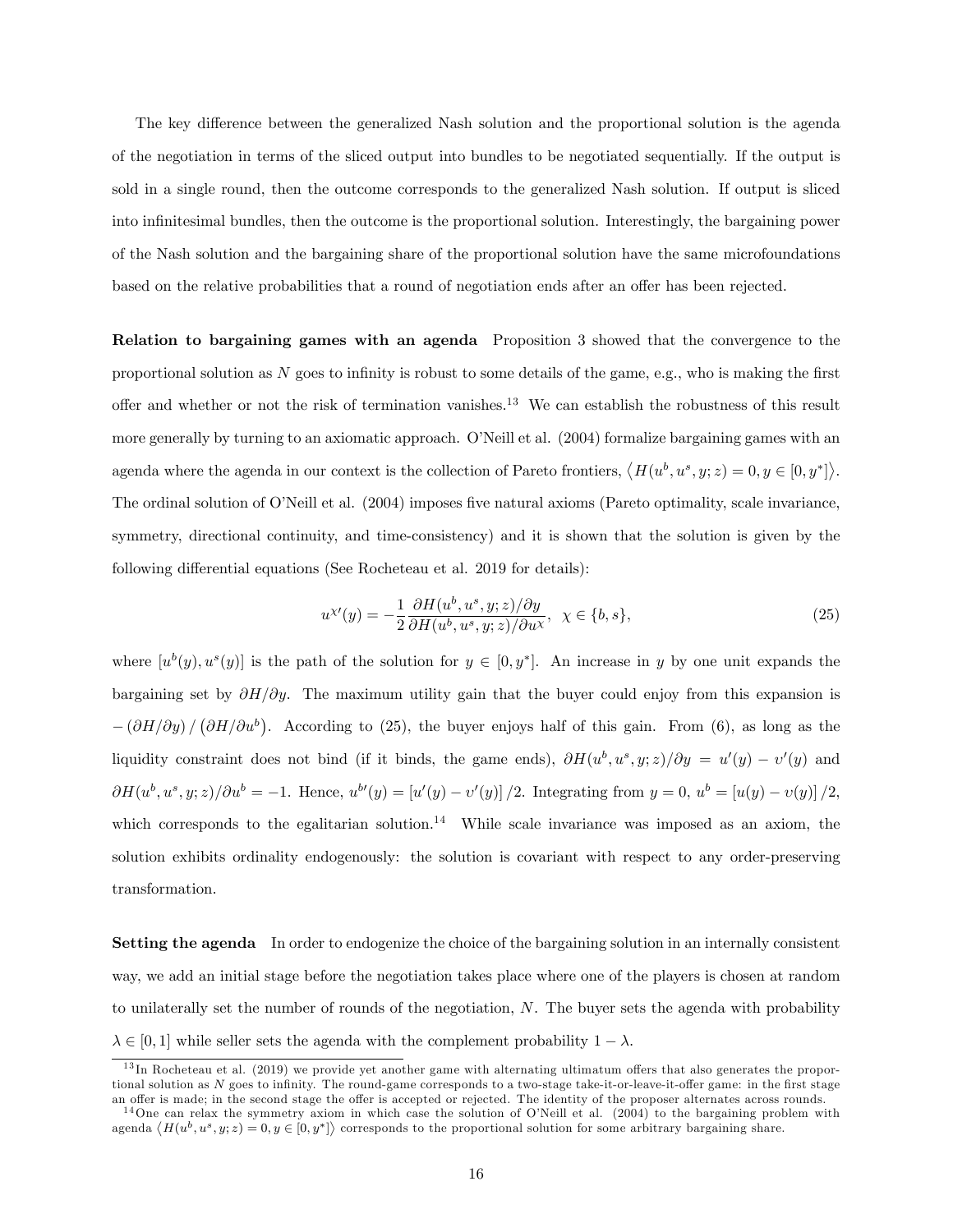The key difference between the generalized Nash solution and the proportional solution is the agenda of the negotiation in terms of the sliced output into bundles to be negotiated sequentially. If the output is sold in a single round, then the outcome corresponds to the generalized Nash solution. If output is sliced into infinitesimal bundles, then the outcome is the proportional solution. Interestingly, the bargaining power of the Nash solution and the bargaining share of the proportional solution have the same microfoundations based on the relative probabilities that a round of negotiation ends after an offer has been rejected.

Relation to bargaining games with an agenda Proposition 3 showed that the convergence to the proportional solution as N goes to inÖnity is robust to some details of the game, e.g., who is making the Örst offer and whether or not the risk of termination vanishes.<sup>13</sup> We can establish the robustness of this result more generally by turning to an axiomatic approach. O'Neill et al. (2004) formalize bargaining games with an agenda where the agenda in our context is the collection of Pareto frontiers,  $\langle H(u^b, u^s, y; z) = 0, y \in [0, y^*] \rangle$ . The ordinal solution of O'Neill et al. (2004) imposes five natural axioms (Pareto optimality, scale invariance, symmetry, directional continuity, and time-consistency) and it is shown that the solution is given by the following differential equations (See Rocheteau et al. 2019 for details):

$$
u^{\chi\prime}(y) = -\frac{1}{2} \frac{\partial H(u^b, u^s, y; z)/\partial y}{\partial H(u^b, u^s, y; z)/\partial u^{\chi}}, \ \chi \in \{b, s\},\tag{25}
$$

where  $[u^b(y), u^s(y)]$  is the path of the solution for  $y \in [0, y^*]$ . An increase in y by one unit expands the bargaining set by  $\partial H/\partial y$ . The maximum utility gain that the buyer could enjoy from this expansion is  $-(\partial H/\partial y)/(\partial H/\partial u^b)$ . According to (25), the buyer enjoys half of this gain. From (6), as long as the liquidity constraint does not bind (if it binds, the game ends),  $\partial H(u^b, u^s, y; z)/\partial y = u'(y) - v'(y)$  and  $\partial H(u^b, u^s, y; z)/\partial u^b = -1$ . Hence,  $u^{b'}(y) = [u'(y) - v'(y)]/2$ . Integrating from  $y = 0$ ,  $u^b = [u(y) - v(y)]/2$ , which corresponds to the egalitarian solution.<sup>14</sup> While scale invariance was imposed as an axiom, the solution exhibits ordinality endogenously: the solution is covariant with respect to any order-preserving transformation.

Setting the agenda In order to endogenize the choice of the bargaining solution in an internally consistent way, we add an initial stage before the negotiation takes place where one of the players is chosen at random to unilaterally set the number of rounds of the negotiation, N. The buyer sets the agenda with probability  $\lambda \in [0, 1]$  while seller sets the agenda with the complement probability  $1 - \lambda$ .

 $13$  In Rocheteau et al. (2019) we provide yet another game with alternating ultimatum offers that also generates the proportional solution as  $N$  goes to infinity. The round-game corresponds to a two-stage take-it-or-leave-it-offer game: in the first stage an offer is made; in the second stage the offer is accepted or rejected. The identity of the proposer alternates across rounds.

<sup>&</sup>lt;sup>14</sup>One can relax the symmetry axiom in which case the solution of O'Neill et al. (2004) to the bargaining problem with agenda  $\langle H(u^b, u^s, y; z) = 0, y \in [0, y^*] \rangle$  corresponds to the proportional solution for some arbitrary bargaining share.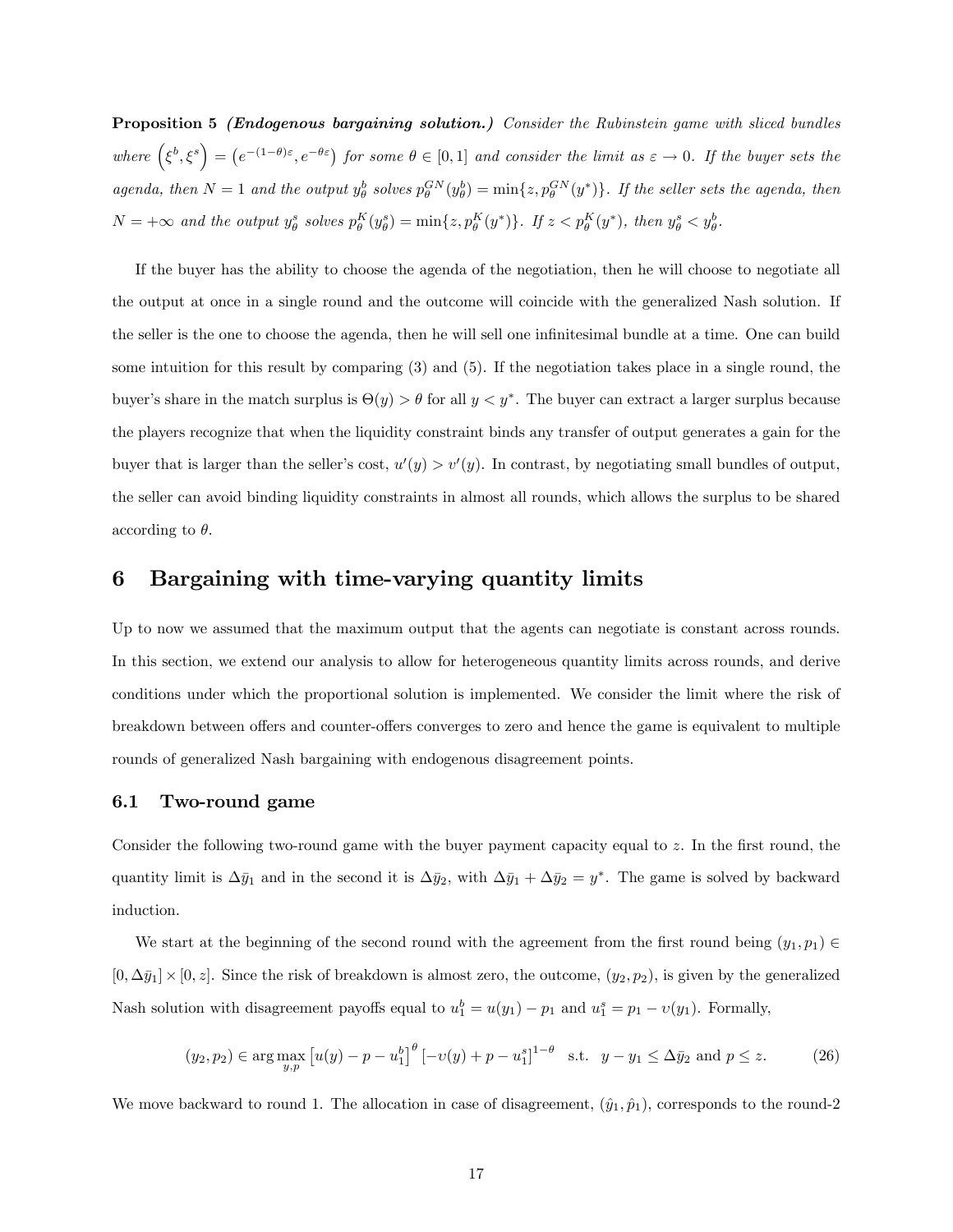Proposition 5 *(Endogenous bargaining solution.)* Consider the Rubinstein game with sliced bundles where  $(\xi^b, \xi^s) = (e^{-(1-\theta)\varepsilon}, e^{-\theta \varepsilon})$  for some  $\theta \in [0,1]$  and consider the limit as  $\varepsilon \to 0$ . If the buyer sets the agenda, then  $N=1$  and the output  $y_{\theta}^b$  solves  $p_{\theta}^{GN}(y_{\theta}^b) = \min\{z, p_{\theta}^{GN}(y^*)\}$ . If the seller sets the agenda, then  $N = +\infty$  and the output  $y^s_{\theta}$  solves  $p^K_{\theta}(y^s_{\theta}) = \min\{z, p^K_{\theta}(y^*)\}$ . If  $z < p^K_{\theta}(y^*)$ , then  $y^s_{\theta} < y^b_{\theta}$ .

If the buyer has the ability to choose the agenda of the negotiation, then he will choose to negotiate all the output at once in a single round and the outcome will coincide with the generalized Nash solution. If the seller is the one to choose the agenda, then he will sell one infinitesimal bundle at a time. One can build some intuition for this result by comparing (3) and (5). If the negotiation takes place in a single round, the buyer's share in the match surplus is  $\Theta(y) > \theta$  for all  $y < y^*$ . The buyer can extract a larger surplus because the players recognize that when the liquidity constraint binds any transfer of output generates a gain for the buyer that is larger than the seller's cost,  $u'(y) > v'(y)$ . In contrast, by negotiating small bundles of output, the seller can avoid binding liquidity constraints in almost all rounds, which allows the surplus to be shared according to  $\theta$ .

# 6 Bargaining with time-varying quantity limits

Up to now we assumed that the maximum output that the agents can negotiate is constant across rounds. In this section, we extend our analysis to allow for heterogeneous quantity limits across rounds, and derive conditions under which the proportional solution is implemented. We consider the limit where the risk of breakdown between offers and counter-offers converges to zero and hence the game is equivalent to multiple rounds of generalized Nash bargaining with endogenous disagreement points.

### 6.1 Two-round game

Consider the following two-round game with the buyer payment capacity equal to z. In the first round, the quantity limit is  $\Delta \bar{y}_1$  and in the second it is  $\Delta \bar{y}_2$ , with  $\Delta \bar{y}_1 + \Delta \bar{y}_2 = y^*$ . The game is solved by backward induction.

We start at the beginning of the second round with the agreement from the first round being  $(y_1, p_1) \in$  $[0, \Delta \bar{y}_1] \times [0, z]$ . Since the risk of breakdown is almost zero, the outcome,  $(y_2, p_2)$ , is given by the generalized Nash solution with disagreement payoffs equal to  $u_1^b = u(y_1) - p_1$  and  $u_1^s = p_1 - v(y_1)$ . Formally,

$$
(y_2, p_2) \in \arg\max_{y, p} \left[ u(y) - p - u_1^b \right]^\theta \left[ -v(y) + p - u_1^s \right]^{1-\theta} \text{ s.t. } y - y_1 \le \Delta \bar{y}_2 \text{ and } p \le z. \tag{26}
$$

We move backward to round 1. The allocation in case of disagreement,  $(\hat{y}_1, \hat{p}_1)$ , corresponds to the round-2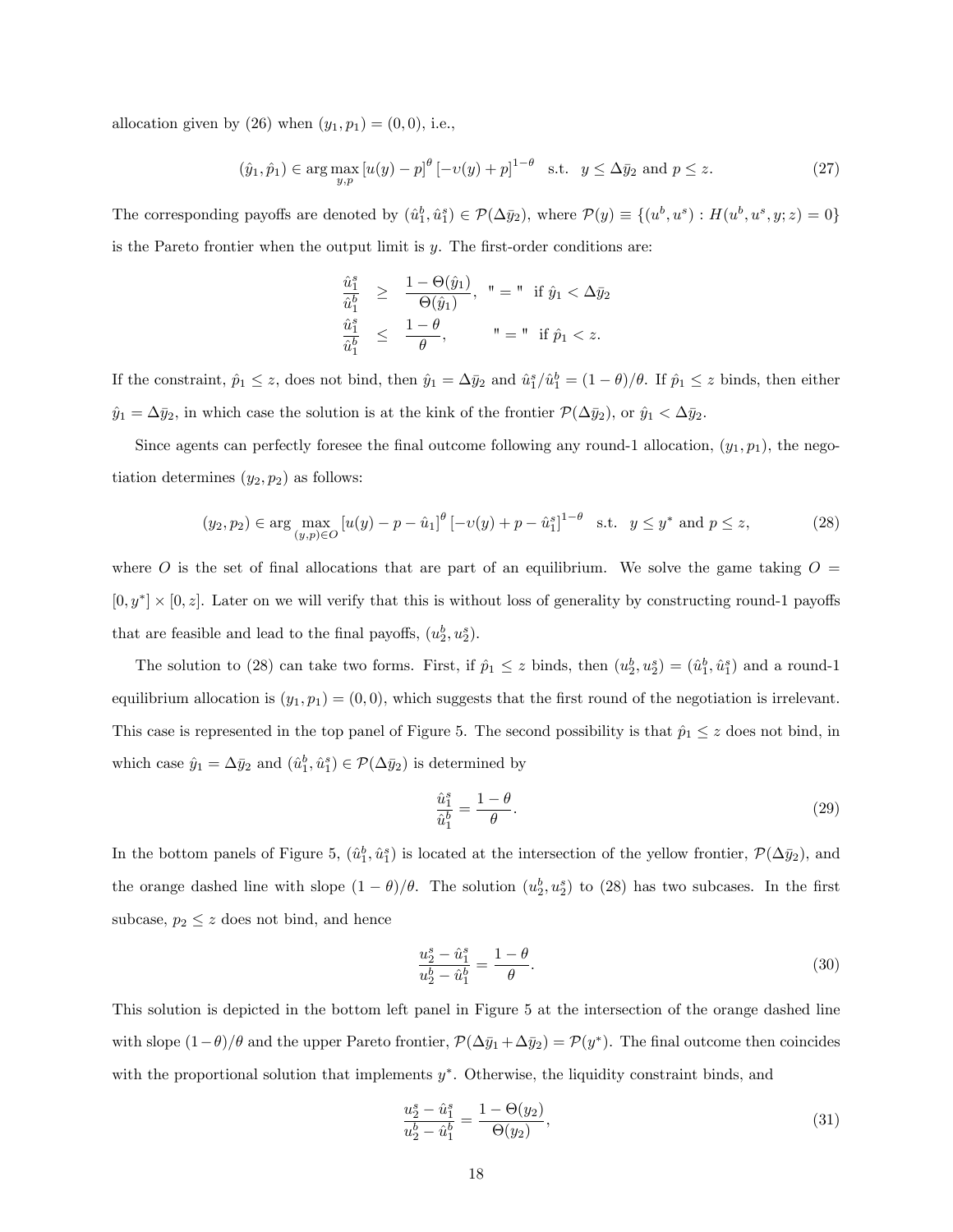allocation given by (26) when  $(y_1, p_1) = (0, 0)$ , i.e.,

$$
(\hat{y}_1, \hat{p}_1) \in \arg\max_{y, p} \left[ u(y) - p \right]^\theta \left[ -v(y) + p \right]^{1-\theta} \text{ s.t. } y \le \Delta \bar{y}_2 \text{ and } p \le z. \tag{27}
$$

The corresponding payoffs are denoted by  $(\hat{u}_1^b, \hat{u}_1^s) \in \mathcal{P}(\Delta \bar{y}_2)$ , where  $\mathcal{P}(y) \equiv \{(u^b, u^s) : H(u^b, u^s, y; z) = 0\}$ is the Pareto frontier when the output limit is  $y$ . The first-order conditions are:

$$
\frac{\hat{u}_1^s}{\hat{u}_1^b} \geq \frac{1-\Theta(\hat{y}_1)}{\Theta(\hat{y}_1)}, \quad \text{``} = \text{''} \quad \text{if } \hat{y}_1 < \Delta \bar{y}_2
$$
\n
$$
\frac{\hat{u}_1^s}{\hat{u}_1^b} \leq \frac{1-\theta}{\theta}, \qquad \text{''} = \text{''} \quad \text{if } \hat{p}_1 < z.
$$

If the constraint,  $\hat{p}_1 \leq z$ , does not bind, then  $\hat{y}_1 = \Delta \bar{y}_2$  and  $\hat{u}_1^s / \hat{u}_1^b = (1 - \theta)/\theta$ . If  $\hat{p}_1 \leq z$  binds, then either  $\hat{y}_1 = \Delta \bar{y}_2$ , in which case the solution is at the kink of the frontier  $\mathcal{P}(\Delta \bar{y}_2)$ , or  $\hat{y}_1 < \Delta \bar{y}_2$ .

Since agents can perfectly foresee the final outcome following any round-1 allocation,  $(y_1, p_1)$ , the negotiation determines  $(y_2, p_2)$  as follows:

$$
(y_2, p_2) \in \arg\max_{(y, p) \in O} \left[ u(y) - p - \hat{u}_1 \right]^\theta \left[ -v(y) + p - \hat{u}_1^s \right]^{1-\theta} \text{ s.t. } y \le y^* \text{ and } p \le z,
$$
 (28)

where O is the set of final allocations that are part of an equilibrium. We solve the game taking  $O =$  $[0, y^*] \times [0, z]$ . Later on we will verify that this is without loss of generality by constructing round-1 payoffs that are feasible and lead to the final payoffs,  $(u_2^b, u_2^s)$ .

The solution to (28) can take two forms. First, if  $\hat{p}_1 \leq z$  binds, then  $(u_2^b, u_2^s) = (\hat{u}_1^b, \hat{u}_1^s)$  and a round-1 equilibrium allocation is  $(y_1, p_1) = (0, 0)$ , which suggests that the first round of the negotiation is irrelevant. This case is represented in the top panel of Figure 5. The second possibility is that  $\hat{p}_1 \leq z$  does not bind, in which case  $\hat{y}_1 = \Delta \bar{y}_2$  and  $(\hat{u}_1^b, \hat{u}_1^s) \in \mathcal{P}(\Delta \bar{y}_2)$  is determined by

$$
\frac{\hat{u}_1^s}{\hat{u}_1^b} = \frac{1-\theta}{\theta}.\tag{29}
$$

In the bottom panels of Figure 5,  $(\hat{u}_1^b, \hat{u}_1^s)$  is located at the intersection of the yellow frontier,  $\mathcal{P}(\Delta \bar{y}_2)$ , and the orange dashed line with slope  $(1 - \theta)/\theta$ . The solution  $(u_2^b, u_2^s)$  to (28) has two subcases. In the first subcase,  $p_2 \leq z$  does not bind, and hence

$$
\frac{u_2^s - \hat{u}_1^s}{u_2^b - \hat{u}_1^b} = \frac{1 - \theta}{\theta}.
$$
\n(30)

This solution is depicted in the bottom left panel in Figure 5 at the intersection of the orange dashed line with slope  $(1-\theta)/\theta$  and the upper Pareto frontier,  $\mathcal{P}(\Delta \bar{y}_1 + \Delta \bar{y}_2) = \mathcal{P}(y^*)$ . The final outcome then coincides with the proportional solution that implements  $y^*$ . Otherwise, the liquidity constraint binds, and

$$
\frac{u_2^s - \hat{u}_1^s}{u_2^b - \hat{u}_1^b} = \frac{1 - \Theta(y_2)}{\Theta(y_2)},\tag{31}
$$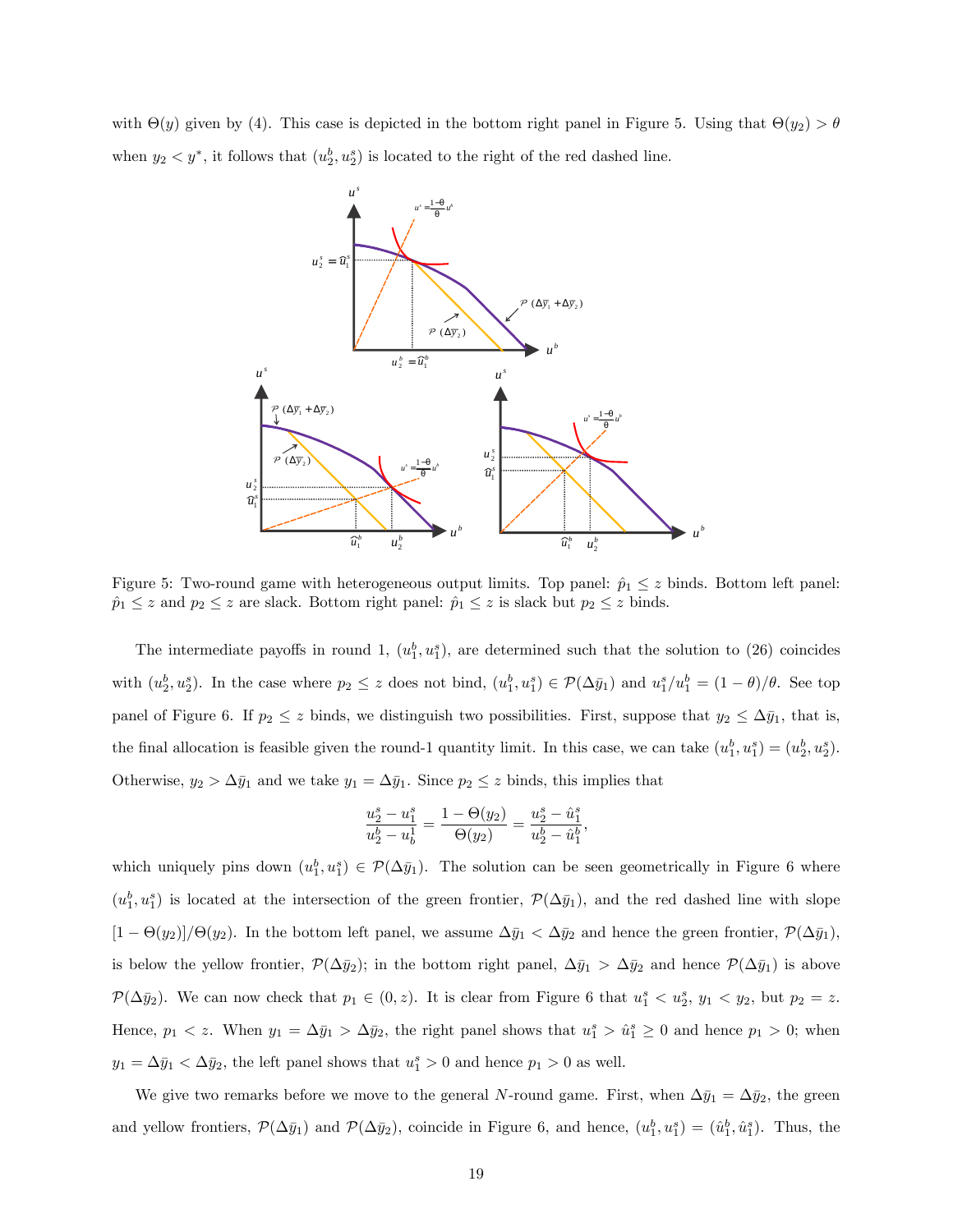with  $\Theta(y)$  given by (4). This case is depicted in the bottom right panel in Figure 5. Using that  $\Theta(y_2) > \theta$ when  $y_2 < y^*$ , it follows that  $(u_2^b, u_2^s)$  is located to the right of the red dashed line.



Figure 5: Two-round game with heterogeneous output limits. Top panel:  $\hat{p}_1 \leq z$  binds. Bottom left panel:  $\hat{p}_1 \leq z$  and  $p_2 \leq z$  are slack. Bottom right panel:  $\hat{p}_1 \leq z$  is slack but  $p_2 \leq z$  binds.

The intermediate payoffs in round 1,  $(u_1^b, u_1^s)$ , are determined such that the solution to (26) coincides with  $(u_2^b, u_2^s)$ . In the case where  $p_2 \leq z$  does not bind,  $(u_1^b, u_1^s) \in \mathcal{P}(\Delta \bar{y}_1)$  and  $u_1^s/u_1^b = (1 - \theta)/\theta$ . See top panel of Figure 6. If  $p_2 \leq z$  binds, we distinguish two possibilities. First, suppose that  $y_2 \leq \Delta \bar{y}_1$ , that is, the final allocation is feasible given the round-1 quantity limit. In this case, we can take  $(u_1^b, u_1^s) = (u_2^b, u_2^s)$ . Otherwise,  $y_2 > \Delta \bar{y}_1$  and we take  $y_1 = \Delta \bar{y}_1$ . Since  $p_2 \leq z$  binds, this implies that

$$
\frac{u_2^s - u_1^s}{u_2^b - u_b^1} = \frac{1 - \Theta(y_2)}{\Theta(y_2)} = \frac{u_2^s - \hat{u}_1^s}{u_2^b - \hat{u}_1^b},
$$

which uniquely pins down  $(u_1^b, u_1^s) \in \mathcal{P}(\Delta \bar{y}_1)$ . The solution can be seen geometrically in Figure 6 where  $(u_1^b, u_1^s)$  is located at the intersection of the green frontier,  $\mathcal{P}(\Delta \bar{y}_1)$ , and the red dashed line with slope  $[1 - \Theta(y_2)]/\Theta(y_2)$ . In the bottom left panel, we assume  $\Delta \bar{y}_1 < \Delta \bar{y}_2$  and hence the green frontier,  $\mathcal{P}(\Delta \bar{y}_1)$ , is below the yellow frontier,  $\mathcal{P}(\Delta \bar{y}_2)$ ; in the bottom right panel,  $\Delta \bar{y}_1 > \Delta \bar{y}_2$  and hence  $\mathcal{P}(\Delta \bar{y}_1)$  is above  $\mathcal{P}(\Delta \bar{y}_2)$ . We can now check that  $p_1 \in (0, z)$ . It is clear from Figure 6 that  $u_1^s < u_2^s$ ,  $y_1 < y_2$ , but  $p_2 = z$ . Hence,  $p_1 < z$ . When  $y_1 = \Delta \bar{y}_1 > \Delta \bar{y}_2$ , the right panel shows that  $u_1^s > \hat{u}_1^s \geq 0$  and hence  $p_1 > 0$ ; when  $y_1 = \Delta \bar{y}_1 < \Delta \bar{y}_2$ , the left panel shows that  $u_1^s > 0$  and hence  $p_1 > 0$  as well.

We give two remarks before we move to the general N-round game. First, when  $\Delta \bar{y}_1 = \Delta \bar{y}_2$ , the green and yellow frontiers,  $\mathcal{P}(\Delta \bar{y}_1)$  and  $\mathcal{P}(\Delta \bar{y}_2)$ , coincide in Figure 6, and hence,  $(u_1^b, u_1^s) = (\hat{u}_1^b, \hat{u}_1^s)$ . Thus, the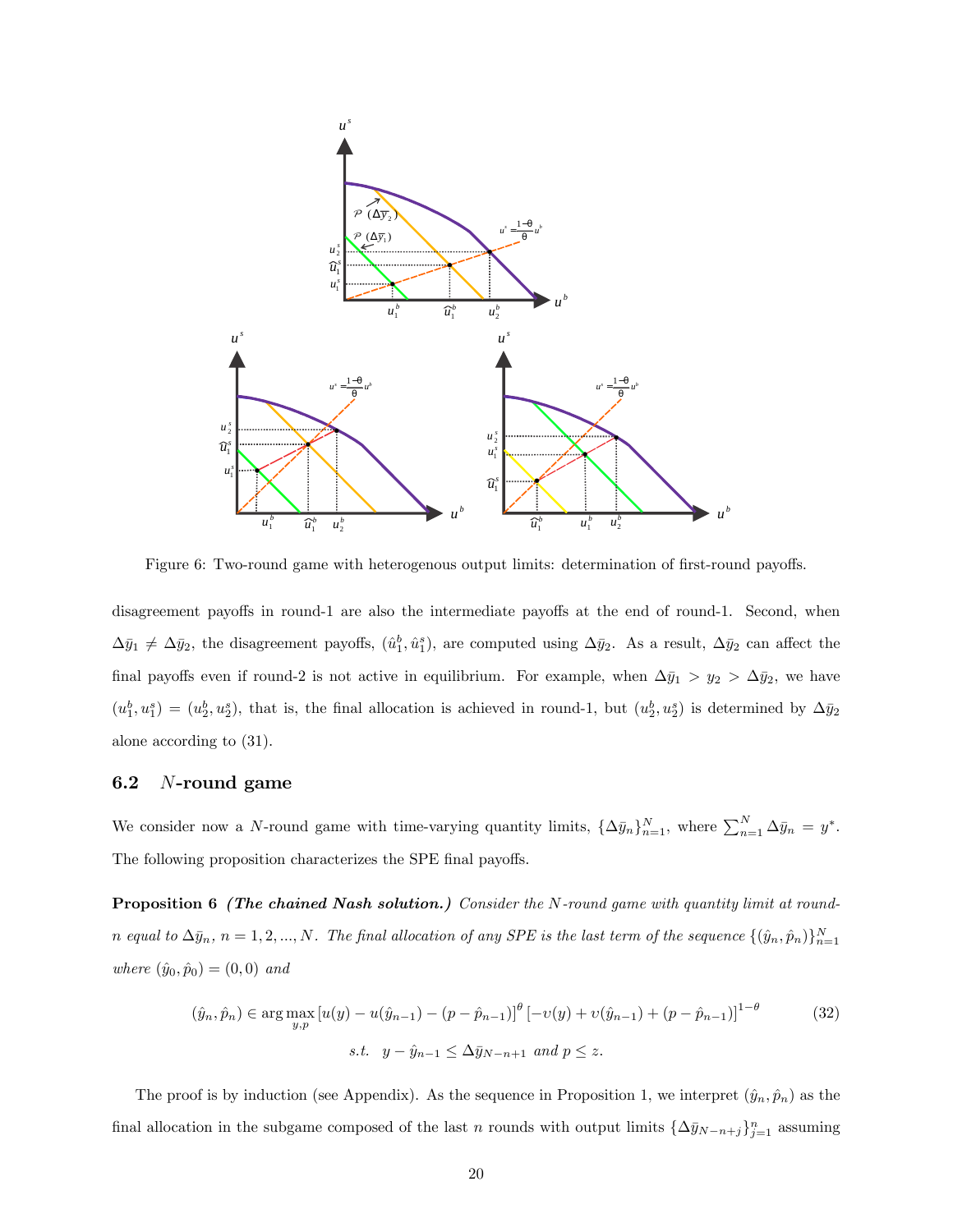

Figure 6: Two-round game with heterogenous output limits: determination of first-round payoffs.

disagreement payoffs in round-1 are also the intermediate payoffs at the end of round-1. Second, when  $\Delta \bar{y}_1 \neq \Delta \bar{y}_2$ , the disagreement payoffs,  $(\hat{u}^b_1, \hat{u}^s_1)$ , are computed using  $\Delta \bar{y}_2$ . As a result,  $\Delta \bar{y}_2$  can affect the final payoffs even if round-2 is not active in equilibrium. For example, when  $\Delta \bar{y}_1 > y_2 > \Delta \bar{y}_2$ , we have  $(u_1^b, u_1^s) = (u_2^b, u_2^s)$ , that is, the final allocation is achieved in round-1, but  $(u_2^b, u_2^s)$  is determined by  $\Delta \bar{y}_2$ alone according to (31).

### 6.2 N-round game

We consider now a N-round game with time-varying quantity limits,  $\{\Delta \bar{y}_n\}_{n=1}^N$ , where  $\sum_{n=1}^N \Delta \bar{y}_n = y^*$ . The following proposition characterizes the SPE final payoffs.

Proposition 6 (The chained Nash solution.) Consider the N-round game with quantity limit at roundn equal to  $\Delta \bar{y}_n$ ,  $n = 1, 2, ..., N$ . The final allocation of any SPE is the last term of the sequence  $\{(\hat{y}_n, \hat{p}_n)\}_{n=1}^N$ where  $(\hat{y}_0, \hat{p}_0) = (0, 0)$  and

$$
(\hat{y}_n, \hat{p}_n) \in \arg \max_{y, p} \left[ u(y) - u(\hat{y}_{n-1}) - (p - \hat{p}_{n-1}) \right]^\theta \left[ -v(y) + v(\hat{y}_{n-1}) + (p - \hat{p}_{n-1}) \right]^{1-\theta}
$$
(32)  
s.t.  $y - \hat{y}_{n-1} \le \Delta \bar{y}_{N-n+1}$  and  $p \le z$ .

The proof is by induction (see Appendix). As the sequence in Proposition 1, we interpret  $(\hat{y}_n, \hat{p}_n)$  as the final allocation in the subgame composed of the last n rounds with output limits  $\{\Delta \bar{y}_{N-n+j}\}_{j=1}^n$  assuming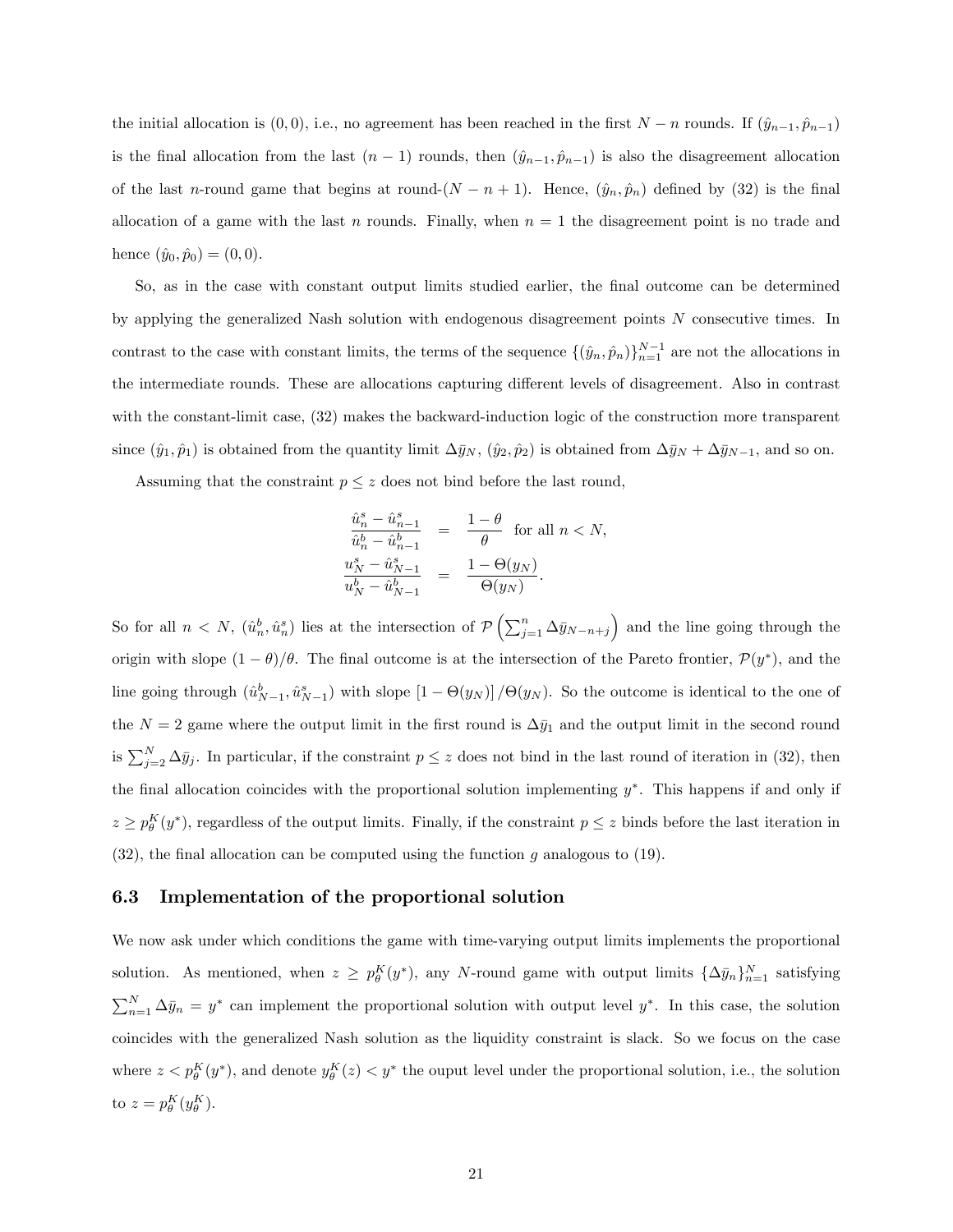the initial allocation is  $(0, 0)$ , i.e., no agreement has been reached in the first  $N - n$  rounds. If  $(\hat{y}_{n-1}, \hat{p}_{n-1})$ is the final allocation from the last  $(n - 1)$  rounds, then  $(\hat{y}_{n-1}, \hat{p}_{n-1})$  is also the disagreement allocation of the last n-round game that begins at round- $(N - n + 1)$ . Hence,  $(\hat{y}_n, \hat{p}_n)$  defined by (32) is the final allocation of a game with the last n rounds. Finally, when  $n = 1$  the disagreement point is no trade and hence  $(\hat{y}_0, \hat{p}_0) = (0, 0).$ 

So, as in the case with constant output limits studied earlier, the final outcome can be determined by applying the generalized Nash solution with endogenous disagreement points N consecutive times. In contrast to the case with constant limits, the terms of the sequence  $\{(\hat{y}_n, \hat{p}_n)\}_{n=1}^{N-1}$  are not the allocations in the intermediate rounds. These are allocations capturing different levels of disagreement. Also in contrast with the constant-limit case, (32) makes the backward-induction logic of the construction more transparent since  $(\hat{y}_1, \hat{p}_1)$  is obtained from the quantity limit  $\Delta \bar{y}_N$ ,  $(\hat{y}_2, \hat{p}_2)$  is obtained from  $\Delta \bar{y}_N + \Delta \bar{y}_{N-1}$ , and so on.

Assuming that the constraint  $p \leq z$  does not bind before the last round,

$$
\frac{\frac{\hat{u}_n^s - \hat{u}_{n-1}^s}{\hat{u}_n^b - \hat{u}_{n-1}^b} = \frac{1 - \theta}{\theta} \text{ for all } n < N,\frac{u_N^s - \hat{u}_{N-1}^s}{u_N^b - \hat{u}_{N-1}^b} = \frac{1 - \Theta(y_N)}{\Theta(y_N)}.
$$

So for all  $n < N$ ,  $(\hat{u}_n^b, \hat{u}_n^s)$  lies at the intersection of  $\mathcal{P}\left(\sum_{j=1}^n \Delta \bar{y}_{N-n+j}\right)$  and the line going through the origin with slope  $(1 - \theta)/\theta$ . The final outcome is at the intersection of the Pareto frontier,  $\mathcal{P}(y^*)$ , and the line going through  $(\hat{u}_{N-1}^b, \hat{u}_{N-1}^s)$  with slope  $[1 - \Theta(y_N)] / \Theta(y_N)$ . So the outcome is identical to the one of the  $N = 2$  game where the output limit in the first round is  $\Delta \bar{y}_1$  and the output limit in the second round is  $\sum_{j=2}^{N} \Delta \bar{y}_j$ . In particular, if the constraint  $p \leq z$  does not bind in the last round of iteration in (32), then the final allocation coincides with the proportional solution implementing  $y^*$ . This happens if and only if  $z \ge p_\theta^K(y^*)$ , regardless of the output limits. Finally, if the constraint  $p \le z$  binds before the last iteration in (32), the final allocation can be computed using the function g analogous to (19).

#### 6.3 Implementation of the proportional solution

We now ask under which conditions the game with time-varying output limits implements the proportional solution. As mentioned, when  $z \ge p_\theta^K(y^*)$ , any N-round game with output limits  $\{\Delta \bar{y}_n\}_{n=1}^N$  satisfying  $\sum_{n=1}^{N} \Delta \bar{y}_n = y^*$  can implement the proportional solution with output level  $y^*$ . In this case, the solution coincides with the generalized Nash solution as the liquidity constraint is slack. So we focus on the case where  $z < p_{\theta}^{K}(y^*)$ , and denote  $y_{\theta}^{K}(z) < y^*$  the ouput level under the proportional solution, i.e., the solution to  $z = p_\theta^K(y_\theta^K)$ .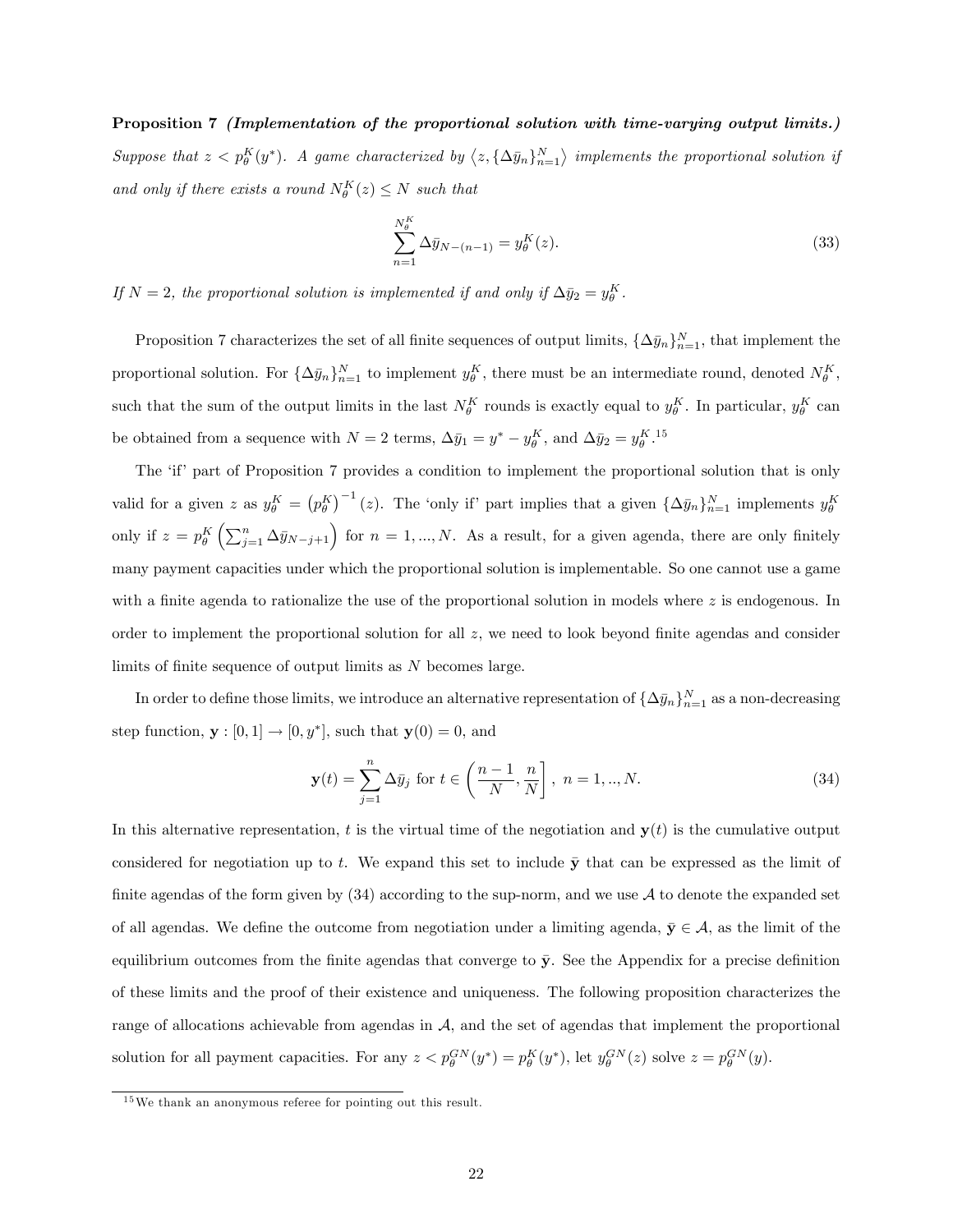Proposition 7 (Implementation of the proportional solution with time-varying output limits.) Suppose that  $z < p_{\theta}^{K}(y^*)$ . A game characterized by  $\langle z, {\Delta \bar{y}_n} \rangle_{n=1}^{N}$  implements the proportional solution if and only if there exists a round  $N_{\theta}^{K}(z) \leq N$  such that

$$
\sum_{n=1}^{N_{\theta}^{K}} \Delta \bar{y}_{N-(n-1)} = y_{\theta}^{K}(z). \tag{33}
$$

If  $N = 2$ , the proportional solution is implemented if and only if  $\Delta \bar{y}_2 = y_0^K$ .

Proposition 7 characterizes the set of all finite sequences of output limits,  $\{\Delta \bar{y}_n\}_{n=1}^N$ , that implement the proportional solution. For  $\{\Delta \bar{y}_n\}_{n=1}^N$  to implement  $y_\theta^K$ , there must be an intermediate round, denoted  $N_\theta^K$ , such that the sum of the output limits in the last  $N_{\theta}^K$  rounds is exactly equal to  $y_{\theta}^K$ . In particular,  $y_{\theta}^K$  can be obtained from a sequence with  $N = 2$  terms,  $\Delta \bar{y}_1 = y^* - y_\theta^K$ , and  $\Delta \bar{y}_2 = y_\theta^{K}$ .<sup>15</sup>

The 'if' part of Proposition 7 provides a condition to implement the proportional solution that is only valid for a given z as  $y_{\theta}^K = (p_{\theta}^K)^{-1} (z)$ . The 'only if' part implies that a given  $\{\Delta \bar{y}_n\}_{n=1}^N$  implements  $y_{\theta}^K$ only if  $z = p_\theta^K \left( \sum_{j=1}^n \Delta \bar{y}_{N-j+1} \right)$  for  $n = 1, ..., N$ . As a result, for a given agenda, there are only finitely many payment capacities under which the proportional solution is implementable. So one cannot use a game with a finite agenda to rationalize the use of the proportional solution in models where  $z$  is endogenous. In order to implement the proportional solution for all  $z$ , we need to look beyond finite agendas and consider limits of finite sequence of output limits as  $N$  becomes large.

In order to define those limits, we introduce an alternative representation of  $\{\Delta \bar{y}_n\}_{n=1}^N$  as a non-decreasing step function,  $\mathbf{y} : [0, 1] \to [0, y^*]$ , such that  $\mathbf{y}(0) = 0$ , and

$$
\mathbf{y}(t) = \sum_{j=1}^{n} \Delta \bar{y}_j \text{ for } t \in \left(\frac{n-1}{N}, \frac{n}{N}\right], \ n = 1, ..., N. \tag{34}
$$

In this alternative representation, t is the virtual time of the negotiation and  $\mathbf{y}(t)$  is the cumulative output considered for negotiation up to t. We expand this set to include  $\bar{y}$  that can be expressed as the limit of finite agendas of the form given by  $(34)$  according to the sup-norm, and we use A to denote the expanded set of all agendas. We define the outcome from negotiation under a limiting agenda,  $\bar{y} \in A$ , as the limit of the equilibrium outcomes from the finite agendas that converge to  $\bar{y}$ . See the Appendix for a precise definition of these limits and the proof of their existence and uniqueness. The following proposition characterizes the range of allocations achievable from agendas in  $A$ , and the set of agendas that implement the proportional solution for all payment capacities. For any  $z < p_\theta^{GN}(y^*) = p_\theta^{K}(y^*)$ , let  $y_\theta^{GN}(z)$  solve  $z = p_\theta^{GN}(y)$ .

<sup>15</sup>We thank an anonymous referee for pointing out this result.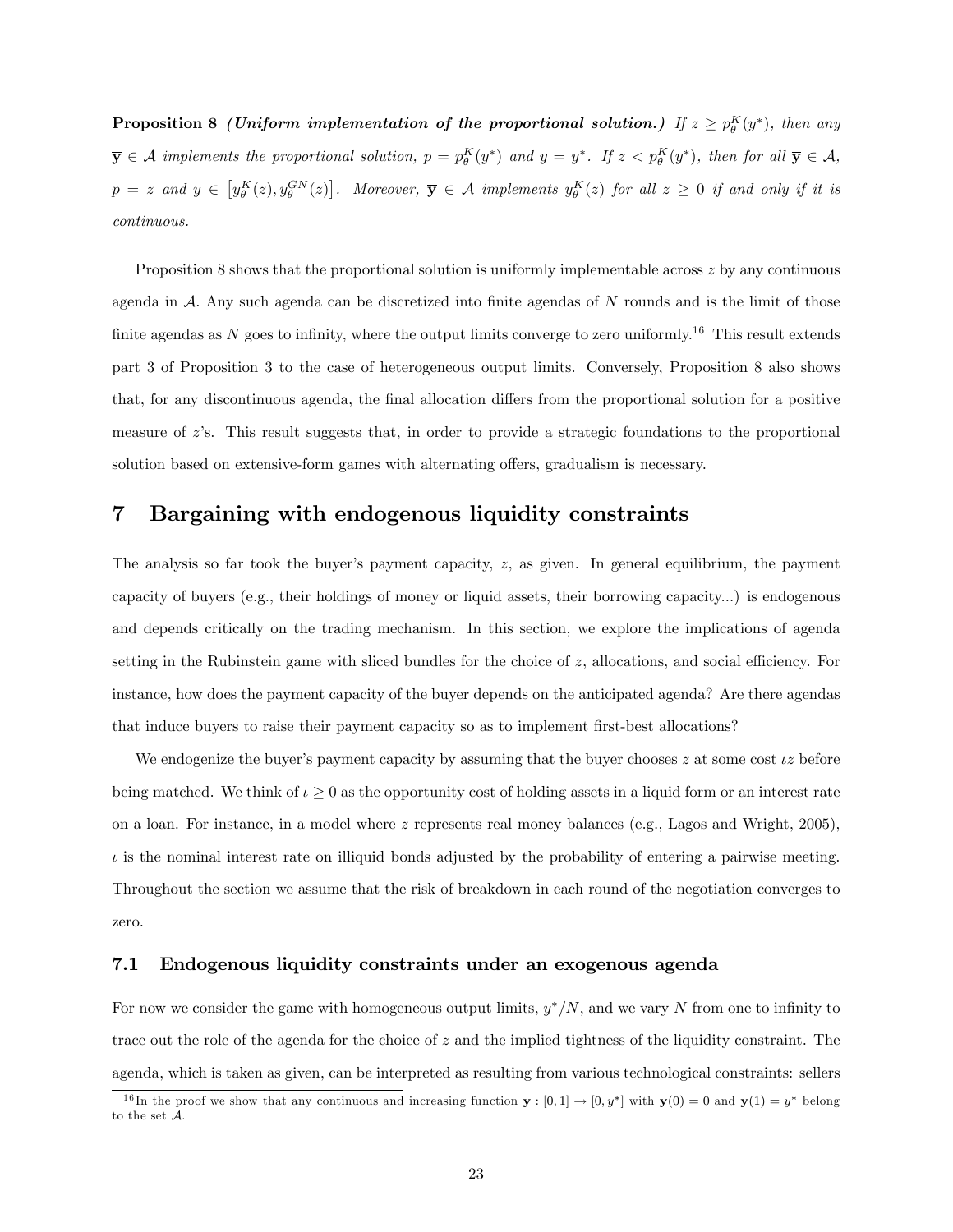**Proposition 8** (Uniform implementation of the proportional solution.) If  $z \ge p_\theta^K(y^*)$ , then any  $\overline{\mathbf{y}} \in \mathcal{A}$  implements the proportional solution,  $p = p_{\theta}^{K}(y^*)$  and  $y = y^*$ . If  $z < p_{\theta}^{K}(y^*)$ , then for all  $\overline{\mathbf{y}} \in \mathcal{A}$ ,  $p = z$  and  $y \in [y_{\theta}^{K}(z), y_{\theta}^{GN}(z)]$ . Moreover,  $\bar{y} \in A$  implements  $y_{\theta}^{K}(z)$  for all  $z \ge 0$  if and only if it is continuous.

Proposition 8 shows that the proportional solution is uniformly implementable across  $z$  by any continuous agenda in  $A$ . Any such agenda can be discretized into finite agendas of  $N$  rounds and is the limit of those finite agendas as  $N$  goes to infinity, where the output limits converge to zero uniformly.<sup>16</sup> This result extends part 3 of Proposition 3 to the case of heterogeneous output limits. Conversely, Proposition 8 also shows that, for any discontinuous agenda, the final allocation differs from the proportional solution for a positive measure of  $z$ 's. This result suggests that, in order to provide a strategic foundations to the proportional solution based on extensive-form games with alternating offers, gradualism is necessary.

# 7 Bargaining with endogenous liquidity constraints

The analysis so far took the buyer's payment capacity,  $z$ , as given. In general equilibrium, the payment capacity of buyers (e.g., their holdings of money or liquid assets, their borrowing capacity...) is endogenous and depends critically on the trading mechanism. In this section, we explore the implications of agenda setting in the Rubinstein game with sliced bundles for the choice of  $z$ , allocations, and social efficiency. For instance, how does the payment capacity of the buyer depends on the anticipated agenda? Are there agendas that induce buyers to raise their payment capacity so as to implement first-best allocations?

We endogenize the buyer's payment capacity by assuming that the buyer chooses  $z$  at some cost  $\iota z$  before being matched. We think of  $\iota \geq 0$  as the opportunity cost of holding assets in a liquid form or an interest rate on a loan. For instance, in a model where z represents real money balances (e.g., Lagos and Wright, 2005),  $\iota$  is the nominal interest rate on illiquid bonds adjusted by the probability of entering a pairwise meeting. Throughout the section we assume that the risk of breakdown in each round of the negotiation converges to zero.

### 7.1 Endogenous liquidity constraints under an exogenous agenda

For now we consider the game with homogeneous output limits,  $y^*/N$ , and we vary N from one to infinity to trace out the role of the agenda for the choice of  $z$  and the implied tightness of the liquidity constraint. The agenda, which is taken as given, can be interpreted as resulting from various technological constraints: sellers

<sup>&</sup>lt;sup>16</sup>In the proof we show that any continuous and increasing function  $y : [0,1] \to [0,y^*]$  with  $y(0) = 0$  and  $y(1) = y^*$  belong to the set A.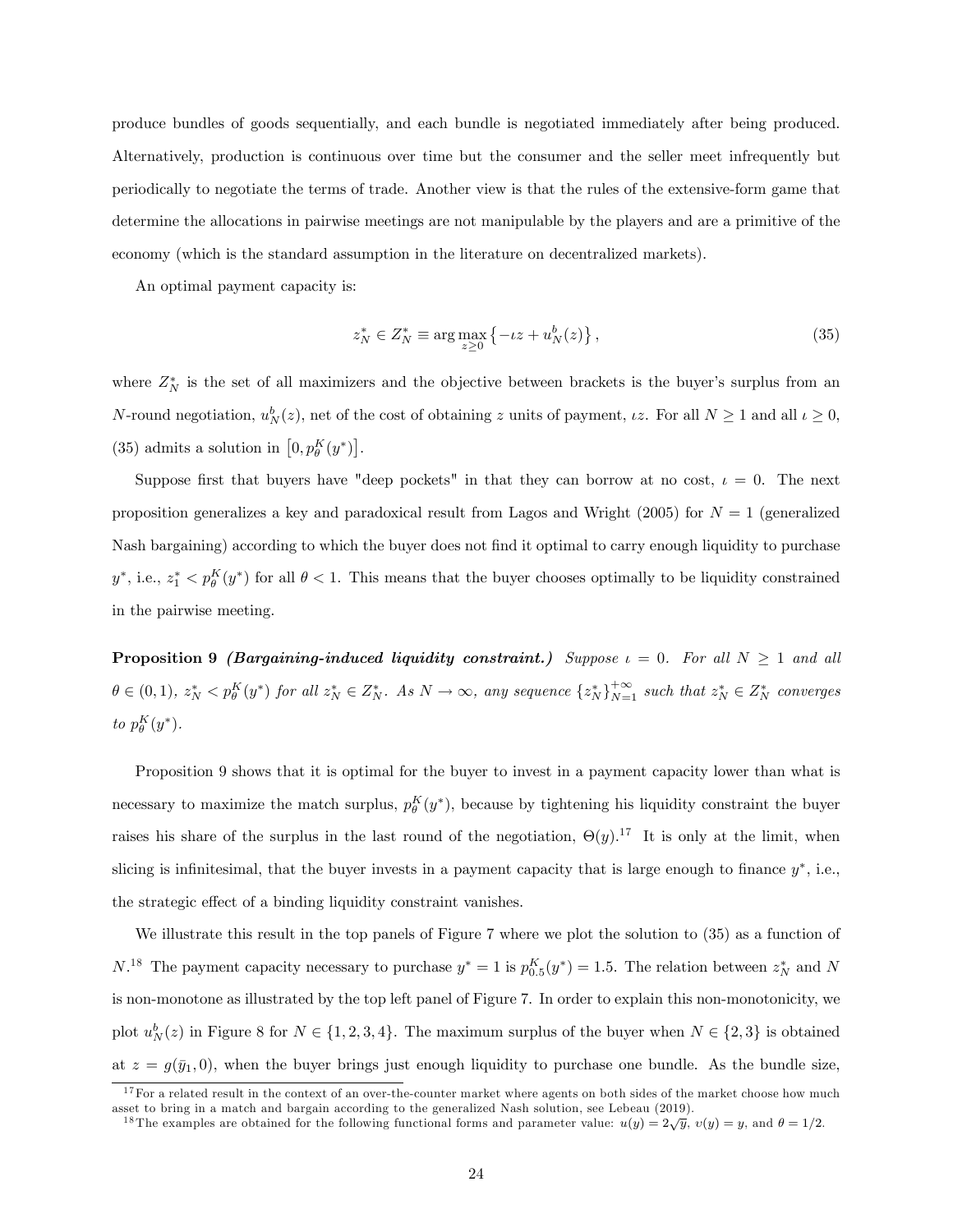produce bundles of goods sequentially, and each bundle is negotiated immediately after being produced. Alternatively, production is continuous over time but the consumer and the seller meet infrequently but periodically to negotiate the terms of trade. Another view is that the rules of the extensive-form game that determine the allocations in pairwise meetings are not manipulable by the players and are a primitive of the economy (which is the standard assumption in the literature on decentralized markets).

An optimal payment capacity is:

$$
z_N^* \in Z_N^* \equiv \arg\max_{z \ge 0} \left\{ -iz + u_N^b(z) \right\},\tag{35}
$$

where  $Z_N^*$  is the set of all maximizers and the objective between brackets is the buyer's surplus from an N-round negotiation,  $u_N^b(z)$ , net of the cost of obtaining z units of payment,  $\iota z$ . For all  $N \ge 1$  and all  $\iota \ge 0$ , (35) admits a solution in  $[0, p_\theta^K(y^*)]$ .

Suppose first that buyers have "deep pockets" in that they can borrow at no cost,  $\iota = 0$ . The next proposition generalizes a key and paradoxical result from Lagos and Wright (2005) for  $N = 1$  (generalized Nash bargaining) according to which the buyer does not find it optimal to carry enough liquidity to purchase  $y^*$ , i.e.,  $z_1^* < p_\theta^K(y^*)$  for all  $\theta < 1$ . This means that the buyer chooses optimally to be liquidity constrained in the pairwise meeting.

**Proposition 9** (Bargaining-induced liquidity constraint.) Suppose  $\iota = 0$ . For all  $N \ge 1$  and all  $\theta \in (0,1)$ ,  $z_N^* < p_{\theta}^K(y^*)$  for all  $z_N^* \in Z_N^*$ . As  $N \to \infty$ , any sequence  $\{z_N^*\}_{N=1}^{+\infty}$  such that  $z_N^* \in Z_N^*$  converges to  $p_{\theta}^{K}(y^*)$ .

Proposition 9 shows that it is optimal for the buyer to invest in a payment capacity lower than what is necessary to maximize the match surplus,  $p_{\theta}^{K}(y^*)$ , because by tightening his liquidity constraint the buyer raises his share of the surplus in the last round of the negotiation,  $\Theta(y)$ .<sup>17</sup> It is only at the limit, when slicing is infinitesimal, that the buyer invests in a payment capacity that is large enough to finance  $y^*$ , i.e., the strategic effect of a binding liquidity constraint vanishes.

We illustrate this result in the top panels of Figure 7 where we plot the solution to (35) as a function of  $N^{18}$  The payment capacity necessary to purchase  $y^* = 1$  is  $p_{0.5}^K(y^*) = 1.5$ . The relation between  $z_N^*$  and N is non-monotone as illustrated by the top left panel of Figure 7. In order to explain this non-monotonicity, we plot  $u_N^b(z)$  in Figure 8 for  $N \in \{1, 2, 3, 4\}$ . The maximum surplus of the buyer when  $N \in \{2, 3\}$  is obtained at  $z = g(\bar{y}_1, 0)$ , when the buyer brings just enough liquidity to purchase one bundle. As the bundle size,

 $17$  For a related result in the context of an over-the-counter market where agents on both sides of the market choose how much asset to bring in a match and bargain according to the generalized Nash solution, see Lebeau (2019).<br><sup>18</sup>The examples are obtained for the following functional forms and parameter value:  $u(y) = 2\sqrt{y}$ ,  $v(y) = y$ , and  $\theta = 1$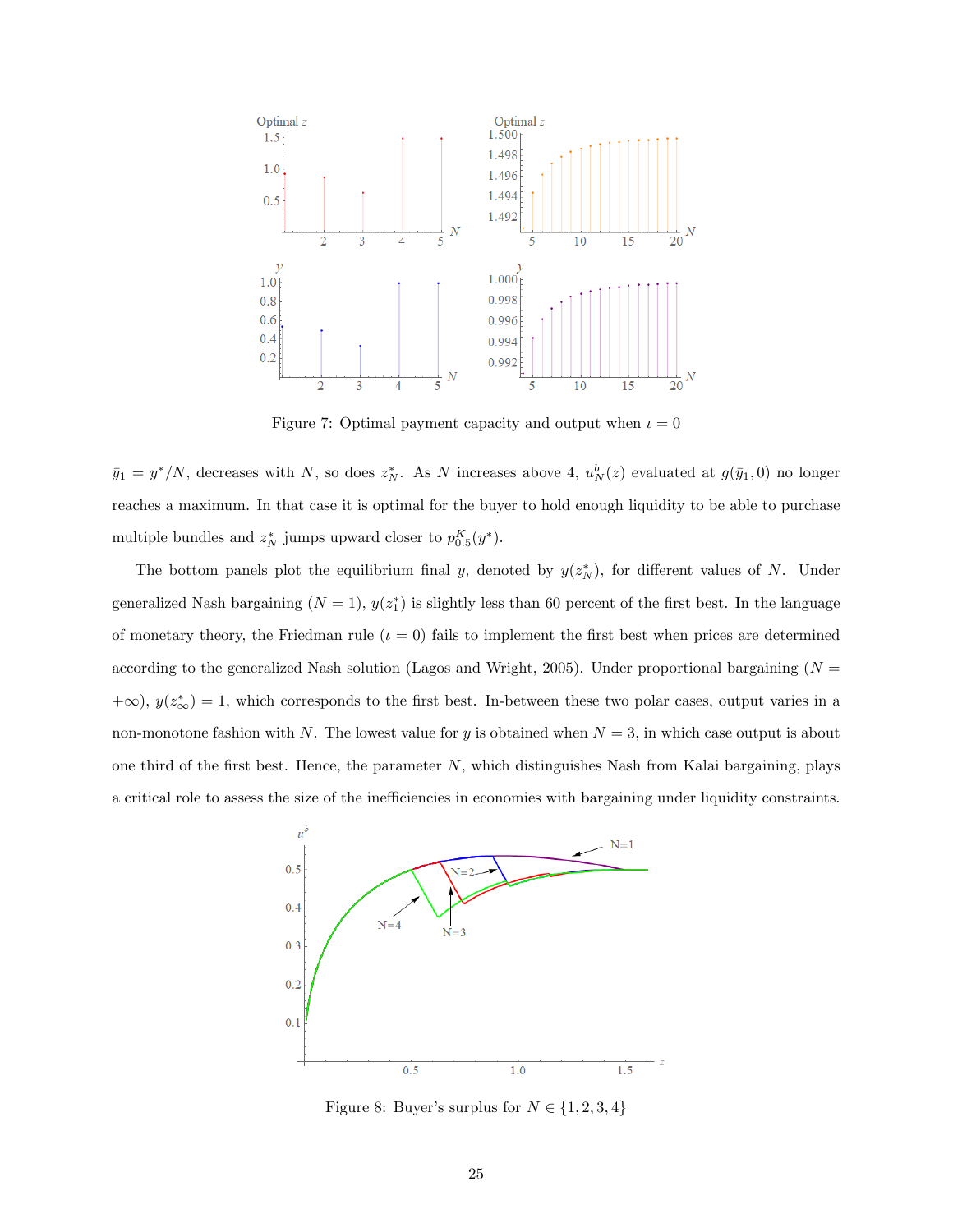

Figure 7: Optimal payment capacity and output when  $t = 0$ 

 $\bar{y}_1 = y^*/N$ , decreases with N, so does  $z_N^*$ . As N increases above 4,  $u_N^b(z)$  evaluated at  $g(\bar{y}_1,0)$  no longer reaches a maximum. In that case it is optimal for the buyer to hold enough liquidity to be able to purchase multiple bundles and  $z_N^*$  jumps upward closer to  $p_{0.5}^K(y^*)$ .

The bottom panels plot the equilibrium final y, denoted by  $y(z_N^*)$ , for different values of N. Under generalized Nash bargaining  $(N = 1)$ ,  $y(z_1^*)$  is slightly less than 60 percent of the first best. In the language of monetary theory, the Friedman rule  $(\iota = 0)$  fails to implement the first best when prices are determined according to the generalized Nash solution (Lagos and Wright, 2005). Under proportional bargaining ( $N =$  $+\infty$ ),  $y(z^*_{\infty}) = 1$ , which corresponds to the first best. In-between these two polar cases, output varies in a non-monotone fashion with N. The lowest value for y is obtained when  $N = 3$ , in which case output is about one third of the first best. Hence, the parameter  $N$ , which distinguishes Nash from Kalai bargaining, plays a critical role to assess the size of the inefficiencies in economies with bargaining under liquidity constraints.



Figure 8: Buyer's surplus for  $N \in \{1, 2, 3, 4\}$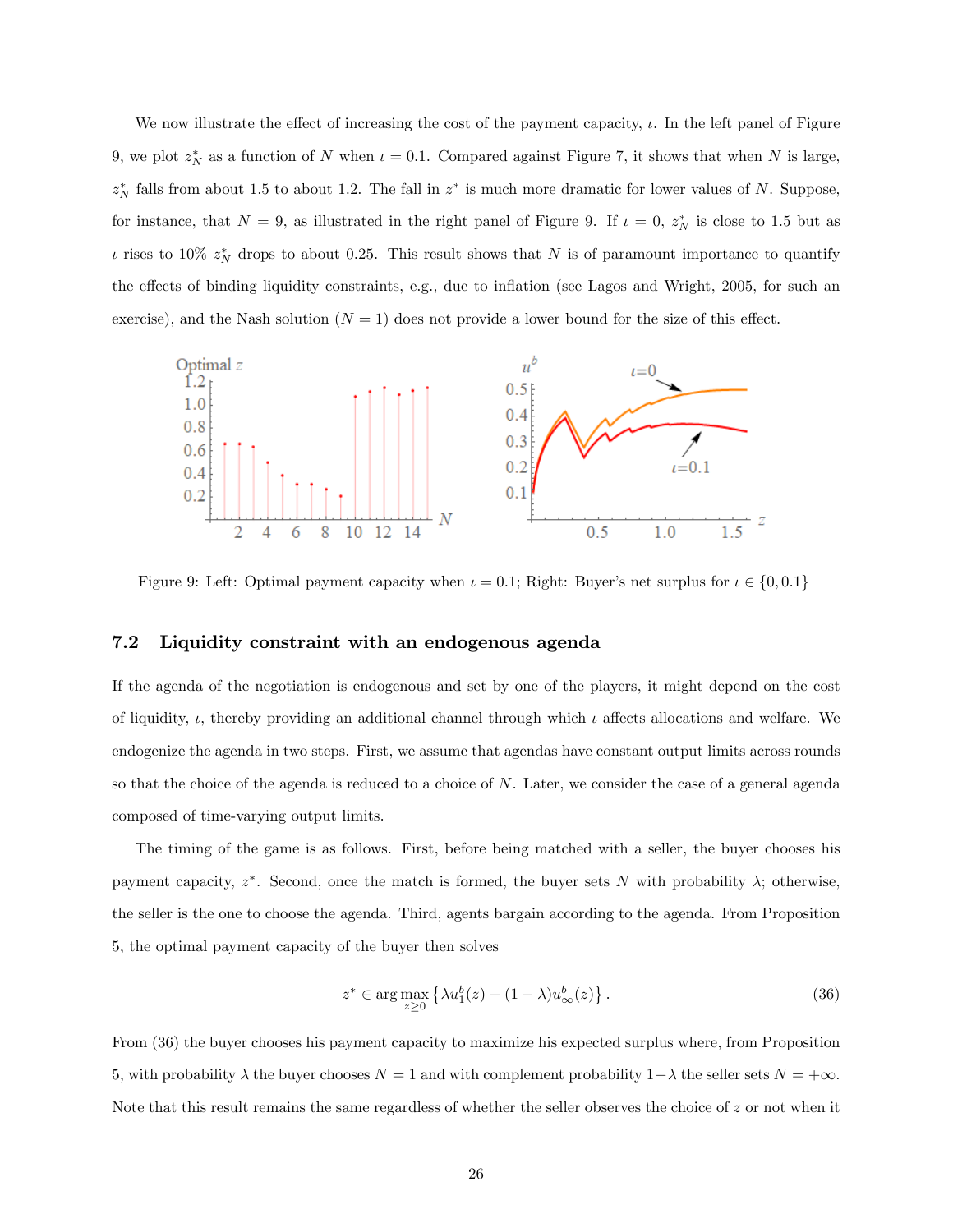We now illustrate the effect of increasing the cost of the payment capacity,  $\iota$ . In the left panel of Figure 9, we plot  $z_N^*$  as a function of N when  $\iota = 0.1$ . Compared against Figure 7, it shows that when N is large,  $z_N^*$  falls from about 1.5 to about 1.2. The fall in  $z^*$  is much more dramatic for lower values of N. Suppose, for instance, that  $N = 9$ , as illustrated in the right panel of Figure 9. If  $\iota = 0$ ,  $z_N^*$  is close to 1.5 but as  $\iota$  rises to 10%  $z_N^*$  drops to about 0.25. This result shows that N is of paramount importance to quantify the effects of binding liquidity constraints, e.g., due to inflation (see Lagos and Wright, 2005, for such an exercise), and the Nash solution  $(N = 1)$  does not provide a lower bound for the size of this effect.



Figure 9: Left: Optimal payment capacity when  $\iota = 0.1$ ; Right: Buyer's net surplus for  $\iota \in \{0, 0.1\}$ 

### 7.2 Liquidity constraint with an endogenous agenda

If the agenda of the negotiation is endogenous and set by one of the players, it might depend on the cost of liquidity,  $\iota$ , thereby providing an additional channel through which  $\iota$  affects allocations and welfare. We endogenize the agenda in two steps. First, we assume that agendas have constant output limits across rounds so that the choice of the agenda is reduced to a choice of N. Later, we consider the case of a general agenda composed of time-varying output limits.

The timing of the game is as follows. First, before being matched with a seller, the buyer chooses his payment capacity,  $z^*$ . Second, once the match is formed, the buyer sets N with probability  $\lambda$ ; otherwise, the seller is the one to choose the agenda. Third, agents bargain according to the agenda. From Proposition 5, the optimal payment capacity of the buyer then solves

$$
z^* \in \arg\max_{z \ge 0} \left\{ \lambda u_1^b(z) + (1 - \lambda) u_\infty^b(z) \right\}.
$$
 (36)

From (36) the buyer chooses his payment capacity to maximize his expected surplus where, from Proposition 5, with probability  $\lambda$  the buyer chooses  $N = 1$  and with complement probability  $1 - \lambda$  the seller sets  $N = +\infty$ . Note that this result remains the same regardless of whether the seller observes the choice of z or not when it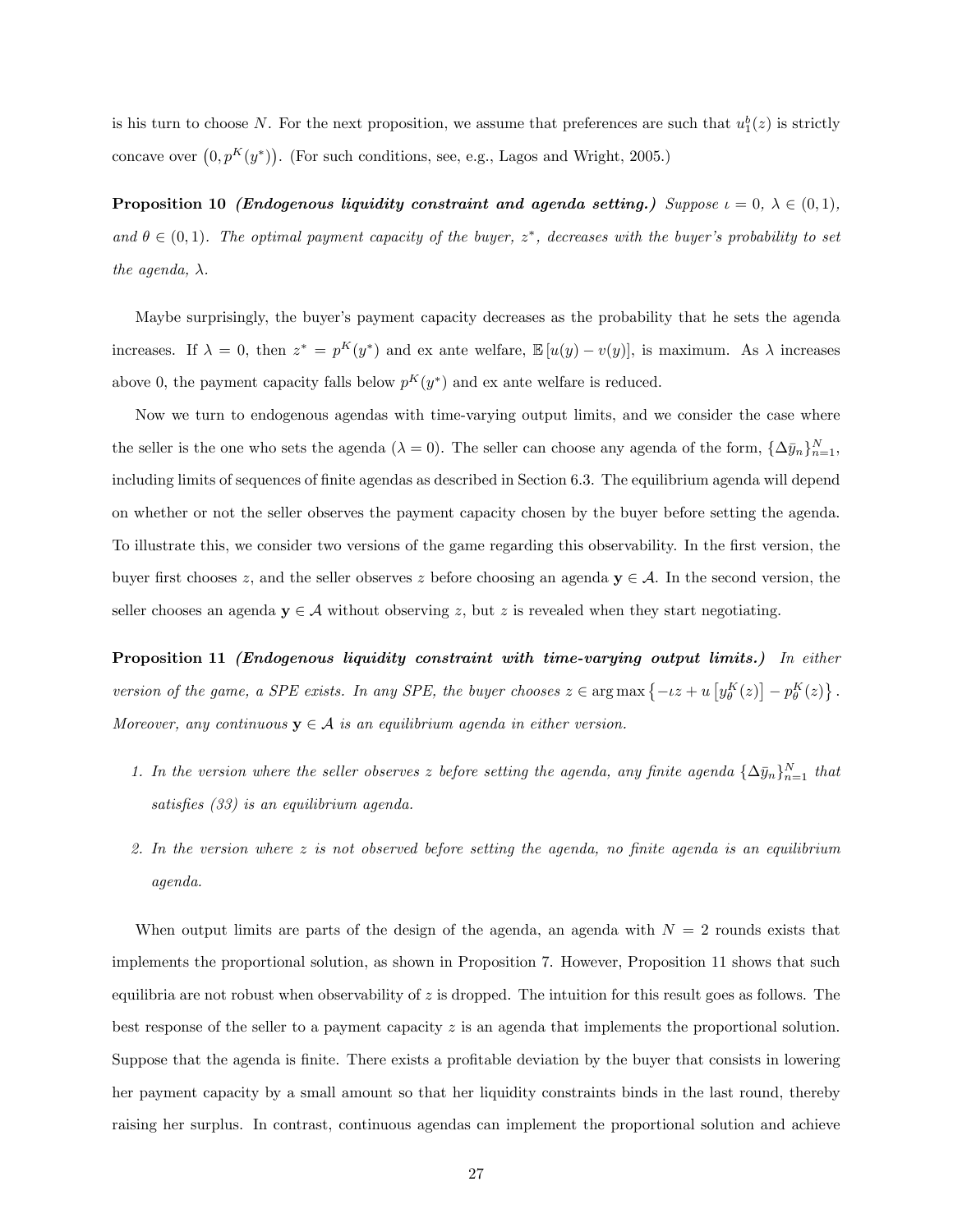is his turn to choose N. For the next proposition, we assume that preferences are such that  $u_1^b(z)$  is strictly concave over  $(0, p^K(y^*))$ . (For such conditions, see, e.g., Lagos and Wright, 2005.)

**Proposition 10** (Endogenous liquidity constraint and agenda setting.) Suppose  $\iota = 0$ ,  $\lambda \in (0,1)$ , and  $\theta \in (0,1)$ . The optimal payment capacity of the buyer,  $z^*$ , decreases with the buyer's probability to set the agenda,  $\lambda$ .

Maybe surprisingly, the buyer's payment capacity decreases as the probability that he sets the agenda increases. If  $\lambda = 0$ , then  $z^* = p^K(y^*)$  and ex ante welfare,  $\mathbb{E}[u(y) - v(y)]$ , is maximum. As  $\lambda$  increases above 0, the payment capacity falls below  $p^{K}(y^{*})$  and ex ante welfare is reduced.

Now we turn to endogenous agendas with time-varying output limits, and we consider the case where the seller is the one who sets the agenda  $(\lambda = 0)$ . The seller can choose any agenda of the form,  $\{\Delta \bar{y}_n\}_{n=1}^N$ , including limits of sequences of finite agendas as described in Section 6.3. The equilibrium agenda will depend on whether or not the seller observes the payment capacity chosen by the buyer before setting the agenda. To illustrate this, we consider two versions of the game regarding this observability. In the first version, the buyer first chooses z, and the seller observes z before choosing an agenda  $y \in A$ . In the second version, the seller chooses an agenda  $y \in A$  without observing z, but z is revealed when they start negotiating.

Proposition 11 (Endogenous liquidity constraint with time-varying output limits.) In either version of the game, a SPE exists. In any SPE, the buyer chooses  $z \in \arg \max \{-\iota z + u \left[ y_{\theta}^{K}(z) \right] - p_{\theta}^{K}(z) \}$ . Moreover, any continuous  $y \in A$  is an equilibrium agenda in either version.

- 1. In the version where the seller observes z before setting the agenda, any finite agenda  $\{\Delta \bar{y}_n\}_{n=1}^N$  that satisfies  $(33)$  is an equilibrium agenda.
- 2. In the version where  $z$  is not observed before setting the agenda, no finite agenda is an equilibrium agenda.

When output limits are parts of the design of the agenda, an agenda with  $N = 2$  rounds exists that implements the proportional solution, as shown in Proposition 7. However, Proposition 11 shows that such equilibria are not robust when observability of  $z$  is dropped. The intuition for this result goes as follows. The best response of the seller to a payment capacity  $z$  is an agenda that implements the proportional solution. Suppose that the agenda is finite. There exists a profitable deviation by the buyer that consists in lowering her payment capacity by a small amount so that her liquidity constraints binds in the last round, thereby raising her surplus. In contrast, continuous agendas can implement the proportional solution and achieve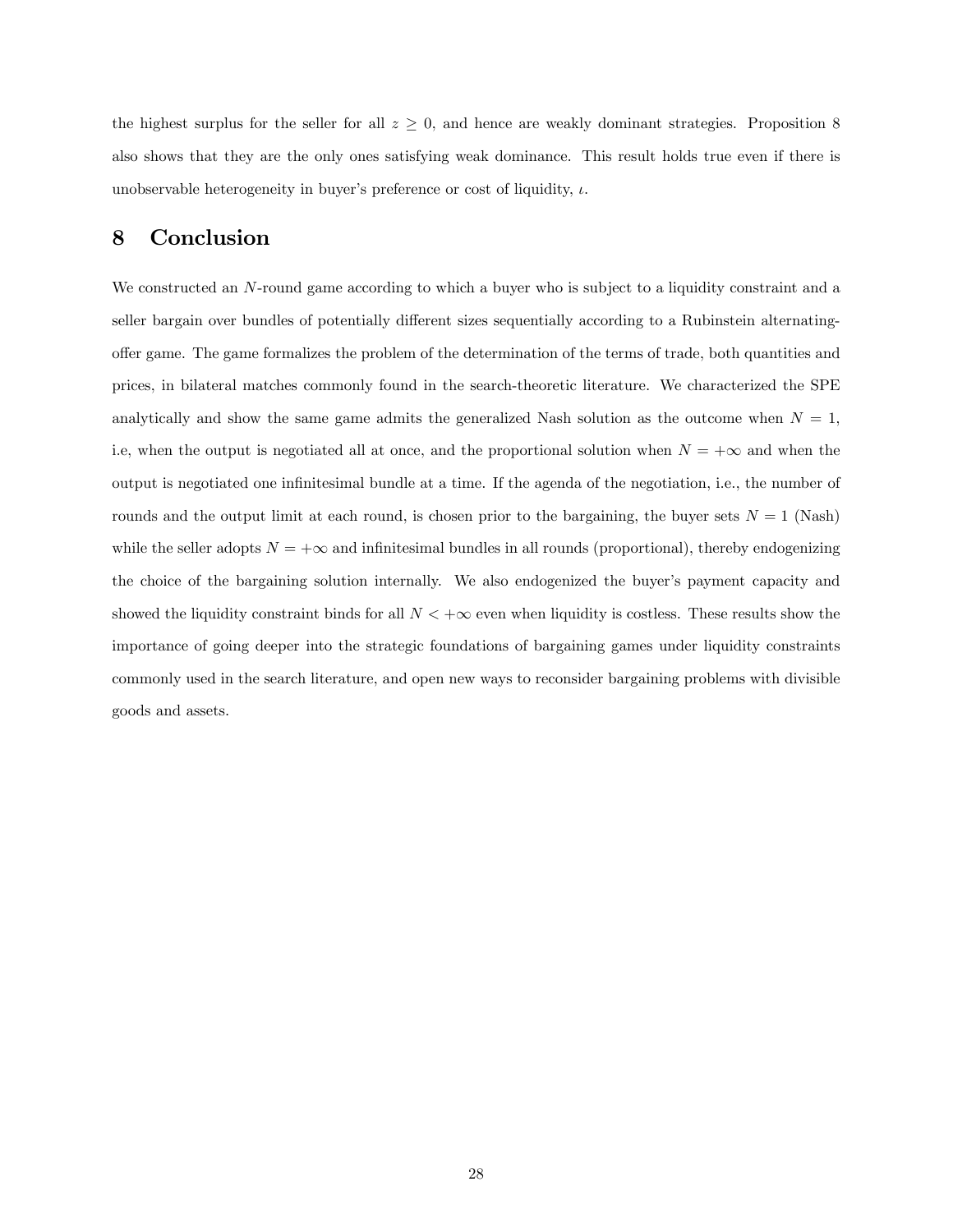the highest surplus for the seller for all  $z \geq 0$ , and hence are weakly dominant strategies. Proposition 8 also shows that they are the only ones satisfying weak dominance. This result holds true even if there is unobservable heterogeneity in buyer's preference or cost of liquidity,  $\iota$ .

# 8 Conclusion

We constructed an N-round game according to which a buyer who is subject to a liquidity constraint and a seller bargain over bundles of potentially different sizes sequentially according to a Rubinstein alternatingoffer game. The game formalizes the problem of the determination of the terms of trade, both quantities and prices, in bilateral matches commonly found in the search-theoretic literature. We characterized the SPE analytically and show the same game admits the generalized Nash solution as the outcome when  $N = 1$ , i.e, when the output is negotiated all at once, and the proportional solution when  $N = +\infty$  and when the output is negotiated one inÖnitesimal bundle at a time. If the agenda of the negotiation, i.e., the number of rounds and the output limit at each round, is chosen prior to the bargaining, the buyer sets  $N = 1$  (Nash) while the seller adopts  $N = +\infty$  and infinitesimal bundles in all rounds (proportional), thereby endogenizing the choice of the bargaining solution internally. We also endogenized the buyer's payment capacity and showed the liquidity constraint binds for all  $N < +\infty$  even when liquidity is costless. These results show the importance of going deeper into the strategic foundations of bargaining games under liquidity constraints commonly used in the search literature, and open new ways to reconsider bargaining problems with divisible goods and assets.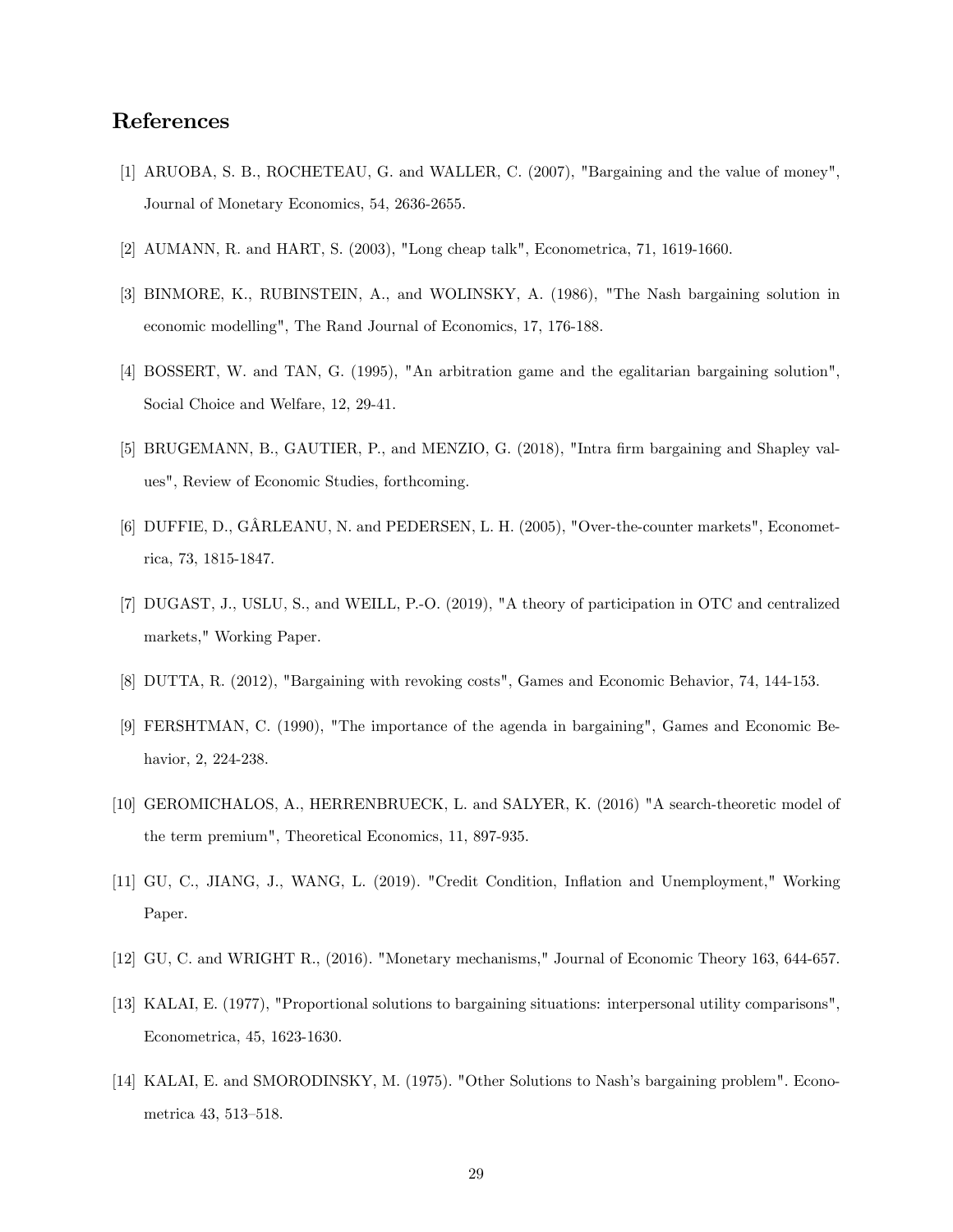# References

- [1] ARUOBA, S. B., ROCHETEAU, G. and WALLER, C. (2007), "Bargaining and the value of money", Journal of Monetary Economics, 54, 2636-2655.
- [2] AUMANN, R. and HART, S. (2003), "Long cheap talk", Econometrica, 71, 1619-1660.
- [3] BINMORE, K., RUBINSTEIN, A., and WOLINSKY, A. (1986), "The Nash bargaining solution in economic modelling", The Rand Journal of Economics, 17, 176-188.
- [4] BOSSERT, W. and TAN, G. (1995), "An arbitration game and the egalitarian bargaining solution", Social Choice and Welfare, 12, 29-41.
- [5] BRUGEMANN, B., GAUTIER, P., and MENZIO, G. (2018), "Intra firm bargaining and Shapley values", Review of Economic Studies, forthcoming.
- [6] DUFFIE, D., GÂRLEANU, N. and PEDERSEN, L. H. (2005), "Over-the-counter markets", Econometrica, 73, 1815-1847.
- [7] DUGAST, J., USLU, S., and WEILL, P.-O. (2019), "A theory of participation in OTC and centralized markets," Working Paper.
- [8] DUTTA, R. (2012), "Bargaining with revoking costs", Games and Economic Behavior, 74, 144-153.
- [9] FERSHTMAN, C. (1990), "The importance of the agenda in bargaining", Games and Economic Behavior, 2, 224-238.
- [10] GEROMICHALOS, A., HERRENBRUECK, L. and SALYER, K. (2016) "A search-theoretic model of the term premium", Theoretical Economics, 11, 897-935.
- [11] GU, C., JIANG, J., WANG, L. (2019). "Credit Condition, Ináation and Unemployment," Working Paper.
- [12] GU, C. and WRIGHT R., (2016). "Monetary mechanisms," Journal of Economic Theory 163, 644-657.
- [13] KALAI, E. (1977), "Proportional solutions to bargaining situations: interpersonal utility comparisons", Econometrica, 45, 1623-1630.
- [14] KALAI, E. and SMORODINSKY, M. (1975). "Other Solutions to Nash's bargaining problem". Econometrica 43, 513-518.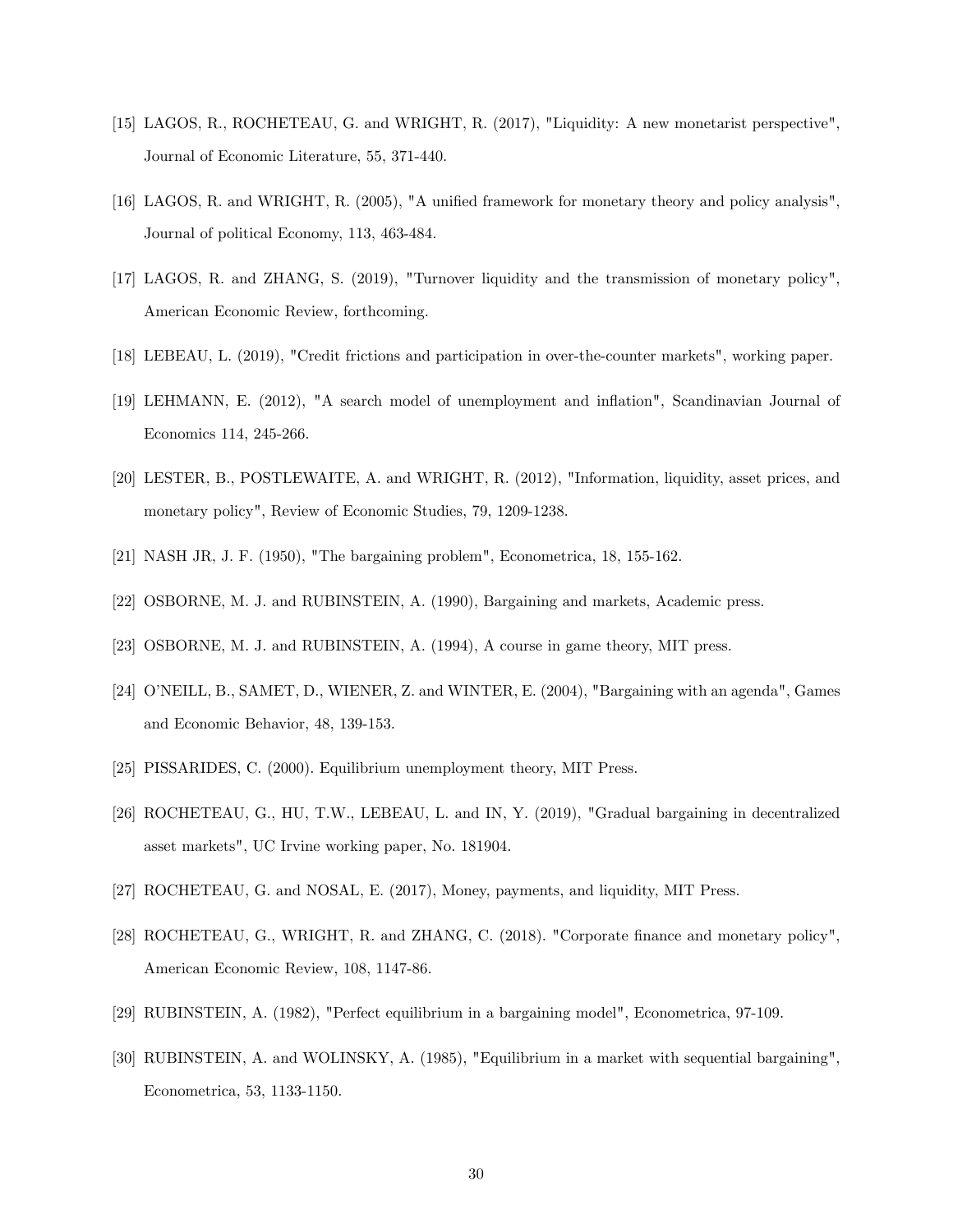- [15] LAGOS, R., ROCHETEAU, G. and WRIGHT, R. (2017), "Liquidity: A new monetarist perspective", Journal of Economic Literature, 55, 371-440.
- [16] LAGOS, R. and WRIGHT, R. (2005), "A unified framework for monetary theory and policy analysis", Journal of political Economy, 113, 463-484.
- [17] LAGOS, R. and ZHANG, S. (2019), "Turnover liquidity and the transmission of monetary policy", American Economic Review, forthcoming.
- [18] LEBEAU, L. (2019), "Credit frictions and participation in over-the-counter markets", working paper.
- [19] LEHMANN, E. (2012), "A search model of unemployment and ináation", Scandinavian Journal of Economics 114, 245-266.
- [20] LESTER, B., POSTLEWAITE, A. and WRIGHT, R. (2012), "Information, liquidity, asset prices, and monetary policy", Review of Economic Studies, 79, 1209-1238.
- [21] NASH JR, J. F. (1950), "The bargaining problem", Econometrica, 18, 155-162.
- [22] OSBORNE, M. J. and RUBINSTEIN, A. (1990), Bargaining and markets, Academic press.
- [23] OSBORNE, M. J. and RUBINSTEIN, A. (1994), A course in game theory, MIT press.
- [24] OíNEILL, B., SAMET, D., WIENER, Z. and WINTER, E. (2004), "Bargaining with an agenda", Games and Economic Behavior, 48, 139-153.
- [25] PISSARIDES, C. (2000). Equilibrium unemployment theory, MIT Press.
- [26] ROCHETEAU, G., HU, T.W., LEBEAU, L. and IN, Y. (2019), "Gradual bargaining in decentralized asset markets", UC Irvine working paper, No. 181904.
- [27] ROCHETEAU, G. and NOSAL, E. (2017), Money, payments, and liquidity, MIT Press.
- [28] ROCHETEAU, G., WRIGHT, R. and ZHANG, C. (2018). "Corporate finance and monetary policy", American Economic Review, 108, 1147-86.
- [29] RUBINSTEIN, A. (1982), "Perfect equilibrium in a bargaining model", Econometrica, 97-109.
- [30] RUBINSTEIN, A. and WOLINSKY, A. (1985), "Equilibrium in a market with sequential bargaining", Econometrica, 53, 1133-1150.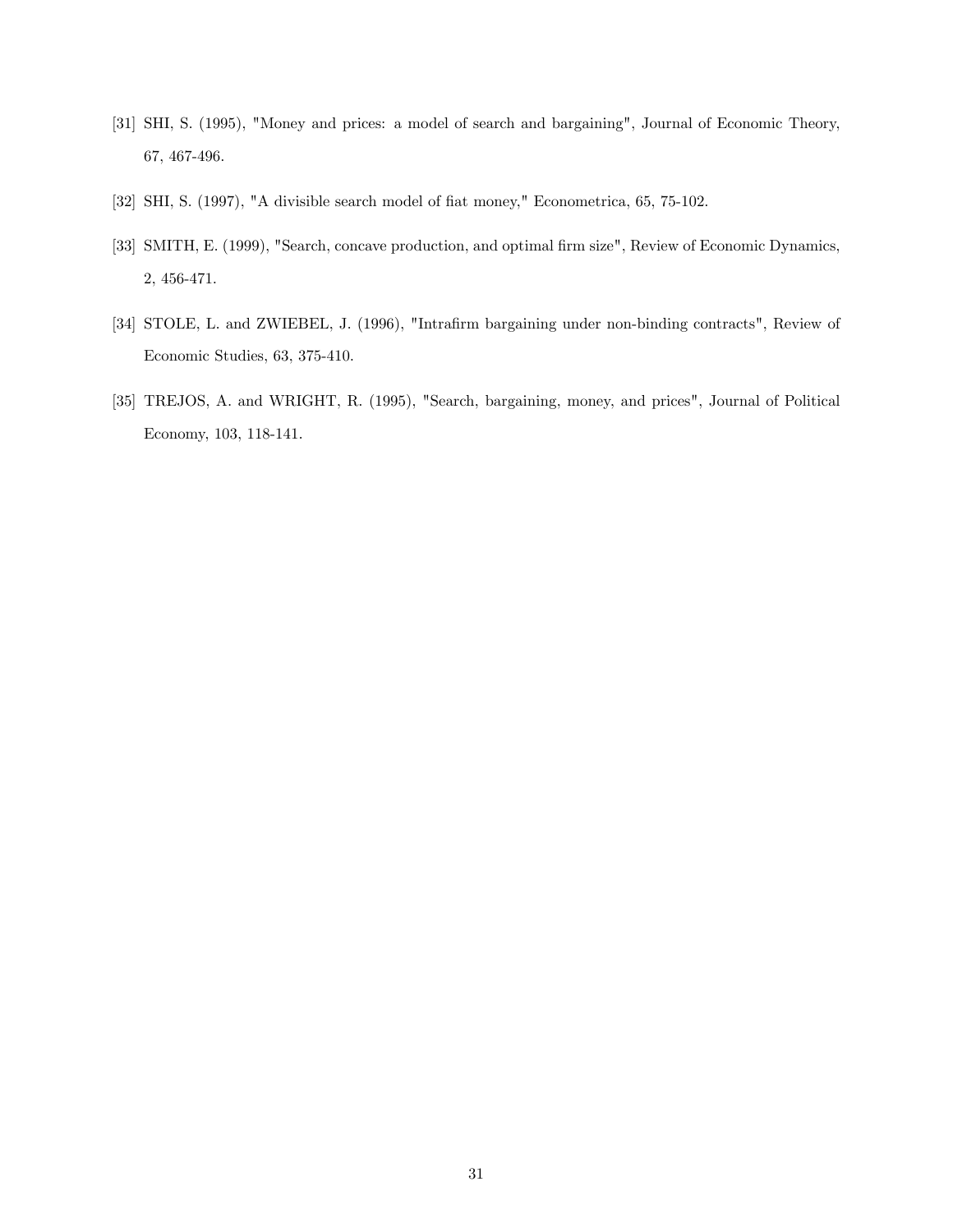- [31] SHI, S. (1995), "Money and prices: a model of search and bargaining", Journal of Economic Theory, 67, 467-496.
- [32] SHI, S. (1997), "A divisible search model of fiat money," Econometrica, 65, 75-102.
- [33] SMITH, E. (1999), "Search, concave production, and optimal firm size", Review of Economic Dynamics, 2, 456-471.
- [34] STOLE, L. and ZWIEBEL, J. (1996), "Intrafirm bargaining under non-binding contracts", Review of Economic Studies, 63, 375-410.
- [35] TREJOS, A. and WRIGHT, R. (1995), "Search, bargaining, money, and prices", Journal of Political Economy, 103, 118-141.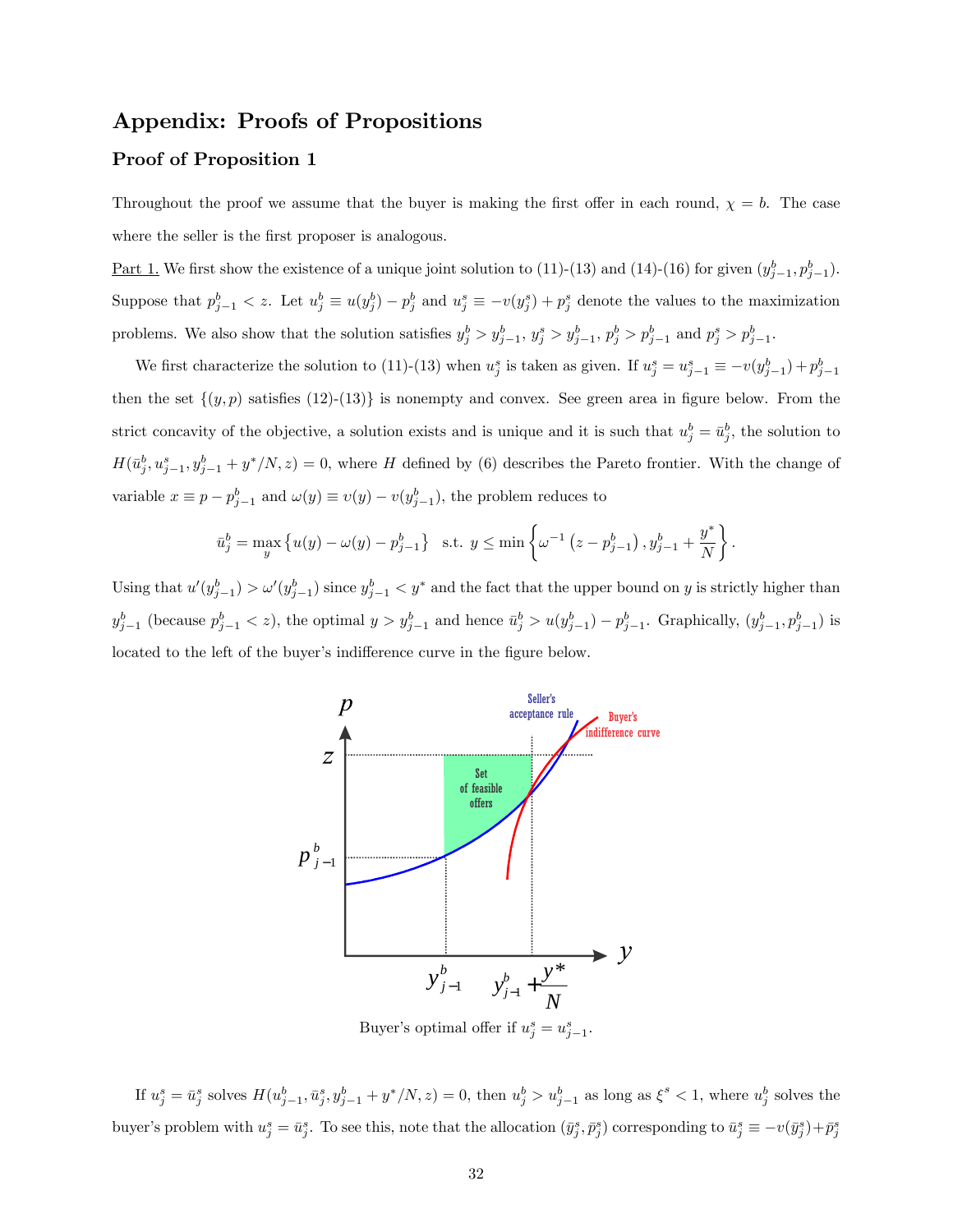# Appendix: Proofs of Propositions

### Proof of Proposition 1

Throughout the proof we assume that the buyer is making the first offer in each round,  $\chi = b$ . The case where the seller is the first proposer is analogous.

Part 1. We first show the existence of a unique joint solution to (11)-(13) and (14)-(16) for given  $(y_{j-1}^b, p_{j-1}^b)$ . Suppose that  $p_{j-1}^b < z$ . Let  $u_j^b \equiv u(y_j^b) - p_j^b$  and  $u_j^s \equiv -v(y_j^s) + p_j^s$  denote the values to the maximization problems. We also show that the solution satisfies  $y_j^b > y_{j-1}^b$ ,  $y_j^s > y_{j-1}^b$ ,  $p_j^b > p_{j-1}^b$  and  $p_j^s > p_{j-1}^b$ .

We first characterize the solution to (11)-(13) when  $u_j^s$  is taken as given. If  $u_j^s = u_{j-1}^s = -v(y_{j-1}^b) + p_{j-1}^b$ then the set  $\{(y, p)$  satisfies  $(12)-(13)\}$  is nonempty and convex. See green area in figure below. From the strict concavity of the objective, a solution exists and is unique and it is such that  $u_j^b = \bar{u}_j^b$ , the solution to  $H(\bar{u}_j^b, u_{j-1}^s, y_{j-1}^b + y^s/N, z) = 0$ , where H defined by (6) describes the Pareto frontier. With the change of variable  $x \equiv p - p_{j-1}^b$  and  $\omega(y) \equiv \upsilon(y) - \upsilon(y_{j-1}^b)$ , the problem reduces to

$$
\bar{u}_j^b = \max_y \left\{ u(y) - \omega(y) - p_{j-1}^b \right\} \text{ s.t. } y \le \min \left\{ \omega^{-1} \left( z - p_{j-1}^b \right), y_{j-1}^b + \frac{y^*}{N} \right\}.
$$

Using that  $u'(y_{j-1}^b) > \omega'(y_{j-1}^b)$  since  $y_{j-1}^b < y^*$  and the fact that the upper bound on y is strictly higher than  $y_{j-1}^b$  (because  $p_{j-1}^b < z$ ), the optimal  $y > y_{j-1}^b$  and hence  $\bar{u}_j^b > u(y_{j-1}^b) - p_{j-1}^b$ . Graphically,  $(y_{j-1}^b, p_{j-1}^b)$  is located to the left of the buyer's indifference curve in the figure below.



Buyer's optimal offer if  $u_j^s = u_{j-1}^s$ .

If  $u_j^s = \bar{u}_j^s$  solves  $H(u_{j-1}^b, \bar{u}_j^s, y_{j-1}^b + y^s/N, z) = 0$ , then  $u_j^b > u_{j-1}^b$  as long as  $\xi^s < 1$ , where  $u_j^b$  solves the buyer's problem with  $u_j^s = \bar{u}_j^s$ . To see this, note that the allocation  $(\bar{y}_j^s, \bar{p}_j^s)$  corresponding to  $\bar{u}_j^s \equiv -v(\bar{y}_j^s) + \bar{p}_j^s$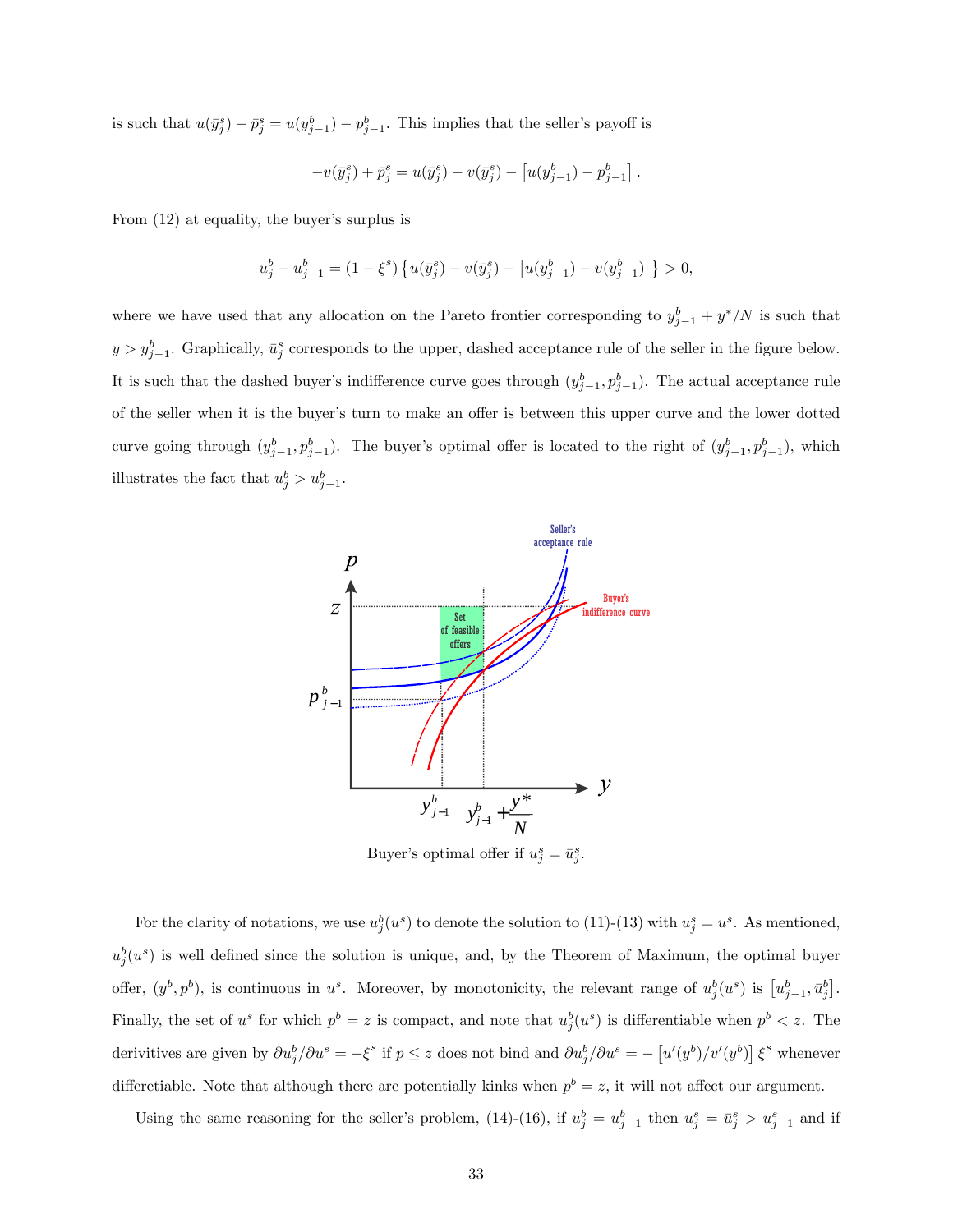is such that  $u(\bar{y}_j^s) - \bar{p}_j^s = u(y_{j-1}^b) - p_{j-1}^b$ . This implies that the seller's payoff is

$$
-v(\bar{y}_j^s) + \bar{p}_j^s = u(\bar{y}_j^s) - v(\bar{y}_j^s) - [u(y_{j-1}^b) - p_{j-1}^b].
$$

From  $(12)$  at equality, the buyer's surplus is

$$
u_j^b-u_{j-1}^b=\left(1-\xi^s\right)\left\{u(\bar y_j^s)-v(\bar y_j^s)-\left[u(y_{j-1}^b)-v(y_{j-1}^b)\right]\right\}>0,
$$

where we have used that any allocation on the Pareto frontier corresponding to  $y_{j-1}^b + y^* / N$  is such that  $y > y_{j-1}^b$ . Graphically,  $\bar{u}_j^s$  corresponds to the upper, dashed acceptance rule of the seller in the figure below. It is such that the dashed buyer's indifference curve goes through  $(y_{j-1}^b, p_{j-1}^b)$ . The actual acceptance rule of the seller when it is the buyer's turn to make an offer is between this upper curve and the lower dotted curve going through  $(y_{j-1}^b, p_{j-1}^b)$ . The buyer's optimal offer is located to the right of  $(y_{j-1}^b, p_{j-1}^b)$ , which illustrates the fact that  $u_j^b > u_{j-1}^b$ .



Buyer's optimal offer if  $u_j^s = \bar{u}_j^s$ .

For the clarity of notations, we use  $u_j^b(u^s)$  to denote the solution to (11)-(13) with  $u_j^s = u^s$ . As mentioned,  $u_j^b(u^s)$  is well defined since the solution is unique, and, by the Theorem of Maximum, the optimal buyer offer,  $(y^b, p^b)$ , is continuous in  $u^s$ . Moreover, by monotonicity, the relevant range of  $u_j^b(u^s)$  is  $[u_{j-1}^b, \bar{u}_j^b]$ . Finally, the set of  $u^s$  for which  $p^b = z$  is compact, and note that  $u_j^b(u^s)$  is differentiable when  $p^b < z$ . The derivitives are given by  $\partial u_j^b / \partial u^s = -\xi^s$  if  $p \le z$  does not bind and  $\partial u_j^b / \partial u^s = -\left[ u'(y^b)/v'(y^b) \right] \xi^s$  whenever differetiable. Note that although there are potentially kinks when  $p^b = z$ , it will not affect our argument.

Using the same reasoning for the seller's problem, (14)-(16), if  $u_j^b = u_{j-1}^b$  then  $u_j^s = \bar{u}_j^s > u_{j-1}^s$  and if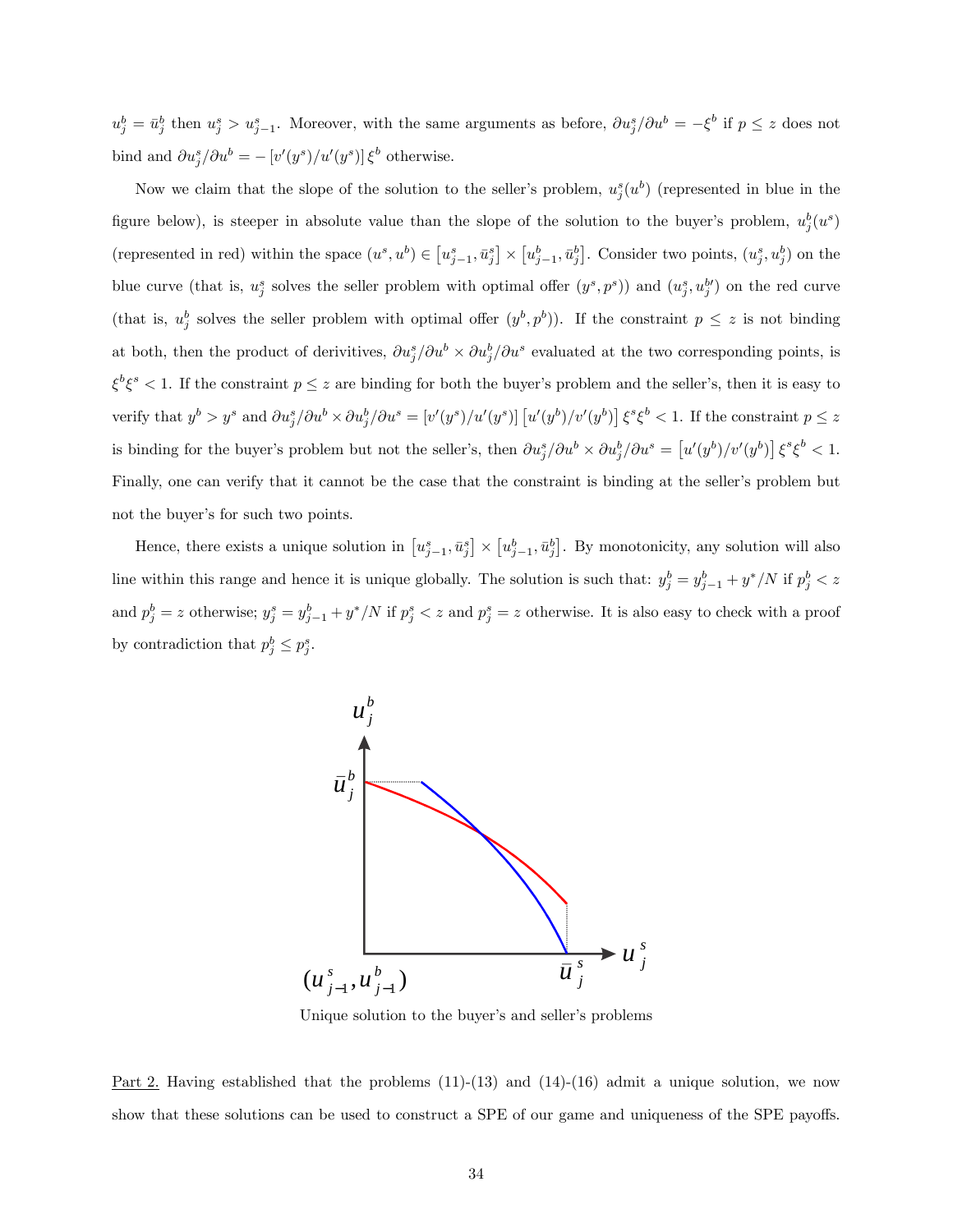$u_j^b = \bar{u}_j^b$  then  $u_j^s > u_{j-1}^s$ . Moreover, with the same arguments as before,  $\partial u_j^s / \partial u^b = -\xi^b$  if  $p \leq z$  does not bind and  $\partial u_j^s / \partial u^b = -\left[v'(y^s)/u'(y^s)\right] \xi^b$  otherwise.

Now we claim that the slope of the solution to the seller's problem,  $u_j^s(u^b)$  (represented in blue in the figure below), is steeper in absolute value than the slope of the solution to the buyer's problem,  $u_j^b(u^s)$ (represented in red) within the space  $(u^s, u^b) \in [u^s_{j-1}, \bar{u}^s_j] \times [u^b_{j-1}, \bar{u}^b_j]$ . Consider two points,  $(u^s_j, u^b_j)$  on the blue curve (that is,  $u_j^s$  solves the seller problem with optimal offer  $(y^s, p^s)$ ) and  $(u_j^s, u_j^{b'})$  on the red curve (that is,  $u_j^b$  solves the seller problem with optimal offer  $(y^b, p^b)$ ). If the constraint  $p \leq z$  is not binding at both, then the product of derivitives,  $\partial u_j^s / \partial u^b \times \partial u_j^b / \partial u^s$  evaluated at the two corresponding points, is  $\xi^b \xi^s < 1$ . If the constraint  $p \leq z$  are binding for both the buyer's problem and the seller's, then it is easy to verify that  $y^b > y^s$  and  $\partial u_j^s / \partial u^b \times \partial u_j^b / \partial u^s = [v'(y^s)/u'(y^s)] [u'(y^b)/v'(y^b)] \xi^s \xi^b < 1$ . If the constraint  $p \le z$ is binding for the buyer's problem but not the seller's, then  $\partial u_j^s / \partial u^b \times \partial u_j^b / \partial u^s = \left[ u'(y^b)/v'(y^b) \right] \xi^s \xi^b < 1$ . Finally, one can verify that it cannot be the case that the constraint is binding at the seller's problem but not the buyer's for such two points.

Hence, there exists a unique solution in  $[u_{j-1}^s, \bar{u}_j^s] \times [u_{j-1}^b, \bar{u}_j^b]$ . By monotonicity, any solution will also line within this range and hence it is unique globally. The solution is such that:  $y_j^b = y_{j-1}^b + y^* / N$  if  $p_j^b < z$ and  $p_j^b = z$  otherwise;  $y_j^s = y_{j-1}^b + y^* / N$  if  $p_j^s < z$  and  $p_j^s = z$  otherwise. It is also easy to check with a proof by contradiction that  $p_j^b \leq p_j^s$ .



Unique solution to the buyer's and seller's problems

Part 2. Having established that the problems  $(11)-(13)$  and  $(14)-(16)$  admit a unique solution, we now show that these solutions can be used to construct a SPE of our game and uniqueness of the SPE payoffs.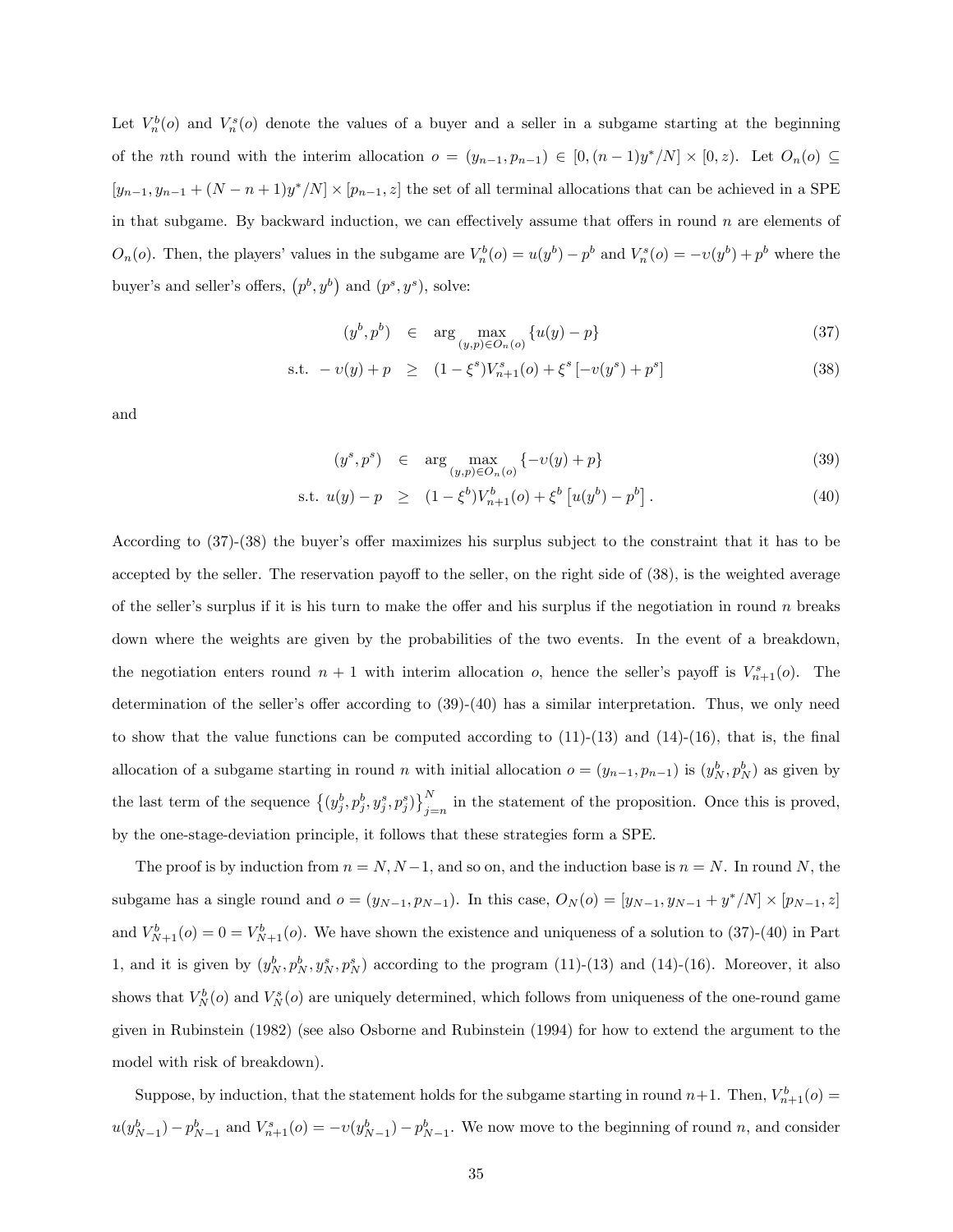Let  $V_n^b(o)$  and  $V_n^s(o)$  denote the values of a buyer and a seller in a subgame starting at the beginning of the *n*th round with the interim allocation  $o = (y_{n-1}, p_{n-1}) \in [0, (n-1)y^*/N] \times [0, z)$ . Let  $O_n(o) \subseteq$  $[y_{n-1}, y_{n-1} + (N - n + 1)y^* / N] \times [p_{n-1}, z]$  the set of all terminal allocations that can be achieved in a SPE in that subgame. By backward induction, we can effectively assume that offers in round  $n$  are elements of  $O_n(o)$ . Then, the players' values in the subgame are  $V_n^b(o) = u(y^b) - p^b$  and  $V_n^s(o) = -v(y^b) + p^b$  where the buyer's and seller's offers,  $(p^b, y^b)$  and  $(p^s, y^s)$ , solve:

$$
(y^{b}, p^{b}) \in \arg \max_{(y, p) \in O_n(o)} \{u(y) - p\} \tag{37}
$$

s.t. 
$$
-v(y) + p \ge (1 - \xi^s)V_{n+1}^s(o) + \xi^s [-v(y^s) + p^s]
$$
 (38)

and

$$
(y^s, p^s) \in \arg \max_{(y, p) \in O_n(o)} \{-v(y) + p\}
$$
\n(39)

s.t. 
$$
u(y) - p \ge (1 - \xi^b) V_{n+1}^b(o) + \xi^b [u(y^b) - p^b].
$$
 (40)

According to  $(37)-(38)$  the buyer's offer maximizes his surplus subject to the constraint that it has to be accepted by the seller. The reservation payoff to the seller, on the right side of  $(38)$ , is the weighted average of the seller's surplus if it is his turn to make the offer and his surplus if the negotiation in round n breaks down where the weights are given by the probabilities of the two events. In the event of a breakdown, the negotiation enters round  $n + 1$  with interim allocation o, hence the seller's payoff is  $V_{n+1}^s(o)$ . The determination of the seller's offer according to  $(39)-(40)$  has a similar interpretation. Thus, we only need to show that the value functions can be computed according to  $(11)-(13)$  and  $(14)-(16)$ , that is, the final allocation of a subgame starting in round n with initial allocation  $o = (y_{n-1}, p_{n-1})$  is  $(y_N^b, p_N^b)$  as given by the last term of the sequence  $\{(y_j^b, p_j^b, y_j^s, p_j^s)\}_{j=n}^N$  in the statement of the proposition. Once this is proved, by the one-stage-deviation principle, it follows that these strategies form a SPE.

The proof is by induction from  $n = N, N-1$ , and so on, and the induction base is  $n = N$ . In round N, the subgame has a single round and  $o = (y_{N-1}, p_{N-1})$ . In this case,  $O_N(o) = [y_{N-1}, y_{N-1} + y^* / N] \times [p_{N-1}, z]$ and  $V_{N+1}^b(o) = 0 = V_{N+1}^b(o)$ . We have shown the existence and uniqueness of a solution to (37)-(40) in Part 1, and it is given by  $(y_N^b, p_N^b, y_N^s, p_N^s)$  according to the program (11)-(13) and (14)-(16). Moreover, it also shows that  $V_N^b(o)$  and  $V_N^s(o)$  are uniquely determined, which follows from uniqueness of the one-round game given in Rubinstein (1982) (see also Osborne and Rubinstein (1994) for how to extend the argument to the model with risk of breakdown).

Suppose, by induction, that the statement holds for the subgame starting in round  $n+1$ . Then,  $V_{n+1}^b(o)$  $u(y_{N-1}^b) - p_{N-1}^b$  and  $V_{n+1}^s(o) = -v(y_{N-1}^b) - p_{N-1}^b$ . We now move to the beginning of round n, and consider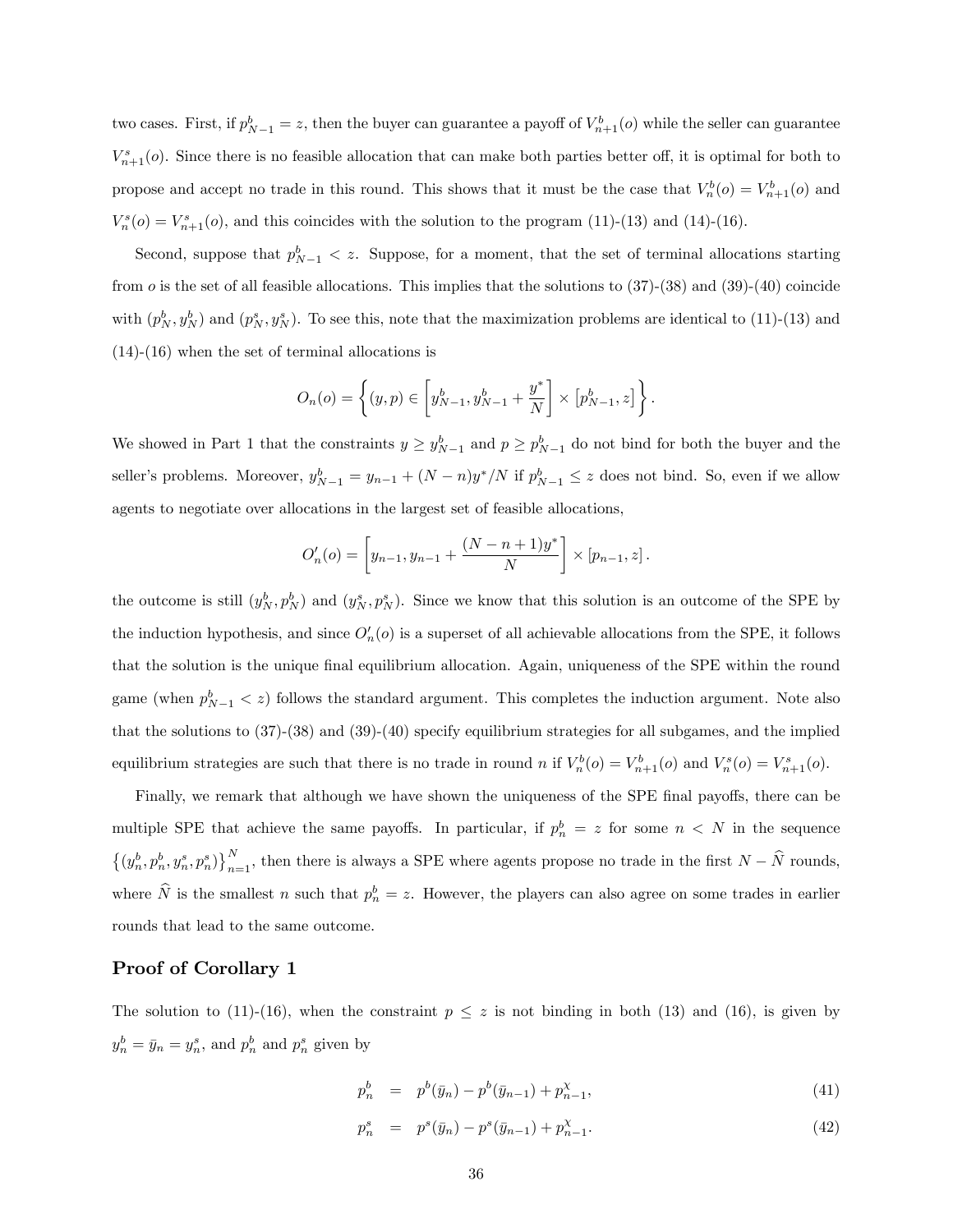two cases. First, if  $p_{N-1}^b = z$ , then the buyer can guarantee a payoff of  $V_{n+1}^b(o)$  while the seller can guarantee  $V_{n+1}^s(o)$ . Since there is no feasible allocation that can make both parties better off, it is optimal for both to propose and accept no trade in this round. This shows that it must be the case that  $V_n^b(o) = V_{n+1}^b(o)$  and  $V_n^s$ ( $o$ ) =  $V_{n+1}^s$ ( $o$ ), and this coincides with the solution to the program (11)-(13) and (14)-(16).

Second, suppose that  $p_{N-1}^b < z$ . Suppose, for a moment, that the set of terminal allocations starting from  $o$  is the set of all feasible allocations. This implies that the solutions to  $(37)-(38)$  and  $(39)-(40)$  coincide with  $(p_N^b, y_N^b)$  and  $(p_N^s, y_N^s)$ . To see this, note that the maximization problems are identical to (11)-(13) and (14)-(16) when the set of terminal allocations is

$$
O_n(o) = \left\{ (y, p) \in \left[ y_{N-1}^b, y_{N-1}^b + \frac{y^*}{N} \right] \times \left[ p_{N-1}^b, z \right] \right\}.
$$

We showed in Part 1 that the constraints  $y \ge y_{N-1}^b$  and  $p \ge p_{N-1}^b$  do not bind for both the buyer and the seller's problems. Moreover,  $y_{N-1}^b = y_{n-1} + (N - n)y^*/N$  if  $p_{N-1}^b \le z$  does not bind. So, even if we allow agents to negotiate over allocations in the largest set of feasible allocations,

$$
O'_{n}(o) = \left[y_{n-1}, y_{n-1} + \frac{(N-n+1)y^{*}}{N}\right] \times [p_{n-1}, z].
$$

the outcome is still  $(y_N^b, p_N^b)$  and  $(y_N^s, p_N^s)$ . Since we know that this solution is an outcome of the SPE by the induction hypothesis, and since  $O'_n(o)$  is a superset of all achievable allocations from the SPE, it follows that the solution is the unique final equilibrium allocation. Again, uniqueness of the SPE within the round game (when  $p_{N-1}^b < z$ ) follows the standard argument. This completes the induction argument. Note also that the solutions to (37)-(38) and (39)-(40) specify equilibrium strategies for all subgames, and the implied equilibrium strategies are such that there is no trade in round n if  $V_n^b(o) = V_{n+1}^b(o)$  and  $V_n^s(o) = V_{n+1}^s(o)$ .

Finally, we remark that although we have shown the uniqueness of the SPE final payoffs, there can be multiple SPE that achieve the same payoffs. In particular, if  $p_n^b = z$  for some  $n < N$  in the sequence  $\{(y_n^b, p_n^b, y_n^s, p_n^s)\}_{n=1}^N$ , then there is always a SPE where agents propose no trade in the first  $N - \widehat{N}$  rounds, where  $\hat{N}$  is the smallest n such that  $p_n^b = z$ . However, the players can also agree on some trades in earlier rounds that lead to the same outcome.

### Proof of Corollary 1

The solution to (11)-(16), when the constraint  $p \leq z$  is not binding in both (13) and (16), is given by  $y_n^b = \bar{y}_n = y_n^s$ , and  $p_n^b$  and  $p_n^s$  given by

$$
p_n^b = p^b(\bar{y}_n) - p^b(\bar{y}_{n-1}) + p_{n-1}^{\chi}, \tag{41}
$$

$$
p_n^s = p^s(\bar{y}_n) - p^s(\bar{y}_{n-1}) + p_{n-1}^\chi. \tag{42}
$$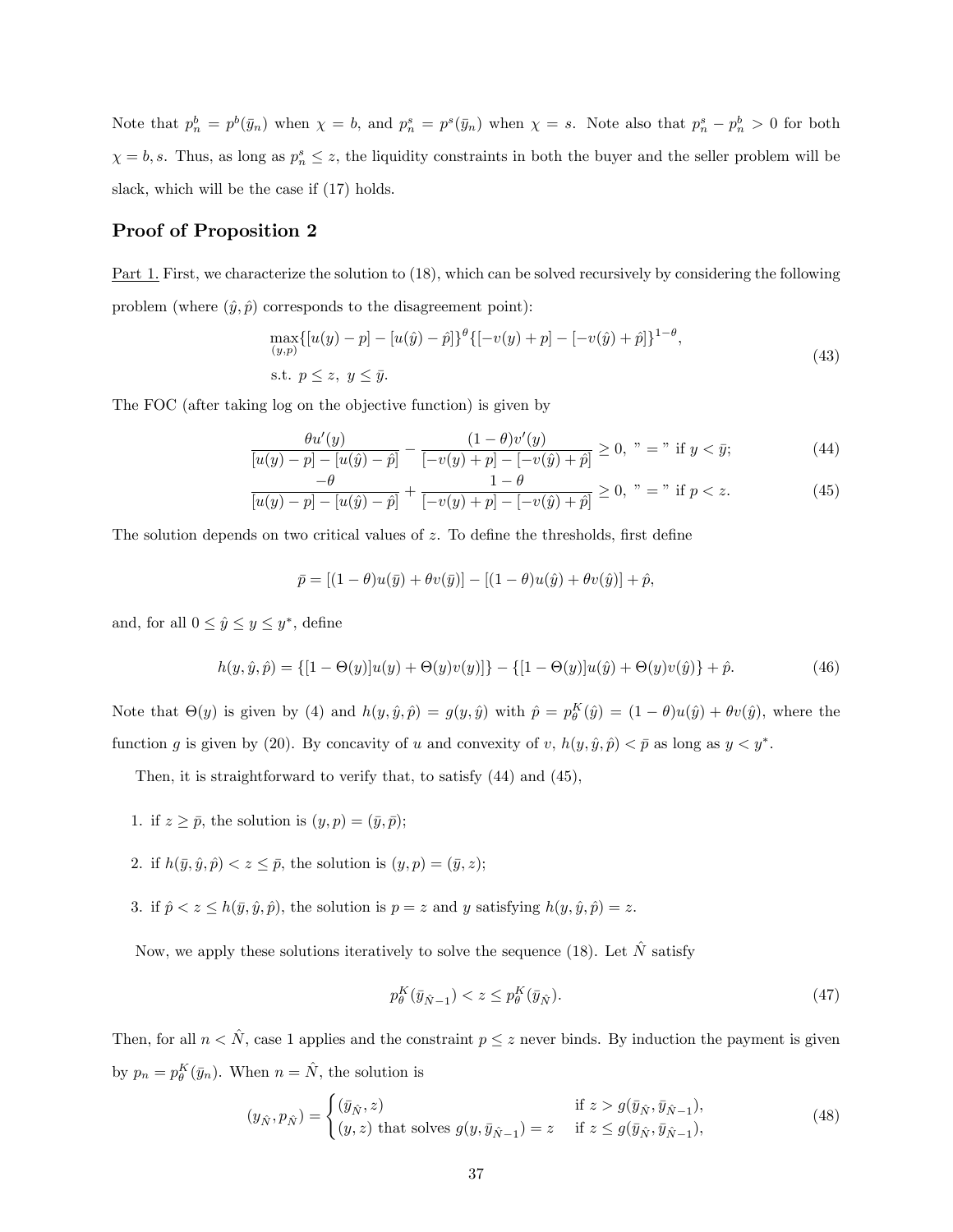Note that  $p_n^b = p^b(\bar{y}_n)$  when  $\chi = b$ , and  $p_n^s = p^s(\bar{y}_n)$  when  $\chi = s$ . Note also that  $p_n^s - p_n^b > 0$  for both  $\chi = b, s$ . Thus, as long as  $p_n^s \leq z$ , the liquidity constraints in both the buyer and the seller problem will be slack, which will be the case if (17) holds.

### Proof of Proposition 2

Part 1. First, we characterize the solution to (18), which can be solved recursively by considering the following problem (where  $(\hat{y}, \hat{p})$  corresponds to the disagreement point):

$$
\max_{(y,p)} \{ [u(y) - p] - [u(\hat{y}) - \hat{p}] \}^{\theta} \{ [-v(y) + p] - [-v(\hat{y}) + \hat{p}] \}^{1-\theta},
$$
  
s.t.  $p \le z, y \le \bar{y}.$  (43)

The FOC (after taking log on the objective function) is given by

$$
\frac{\theta u'(y)}{[u(y) - p] - [u(\hat{y}) - \hat{p}]} - \frac{(1 - \theta)v'(y)}{[-v(y) + p] - [-v(\hat{y}) + \hat{p}]} \ge 0, \quad \text{if } y < \bar{y};\tag{44}
$$

$$
\frac{-\theta}{[u(y)-p]-[u(\hat{y})-\hat{p}]} + \frac{1-\theta}{[-v(y)+p]-[-v(\hat{y})+\hat{p}]} \ge 0, \; " = " if p < z. \tag{45}
$$

The solution depends on two critical values of  $z$ . To define the thresholds, first define

$$
\bar{p} = [(1 - \theta)u(\bar{y}) + \theta v(\bar{y})] - [(1 - \theta)u(\hat{y}) + \theta v(\hat{y})] + \hat{p},
$$

and, for all  $0 \le \hat{y} \le y \le y^*$ , define

$$
h(y, \hat{y}, \hat{p}) = \{ [1 - \Theta(y)]u(y) + \Theta(y)v(y)] \} - \{ [1 - \Theta(y)]u(\hat{y}) + \Theta(y)v(\hat{y}) \} + \hat{p}.
$$
 (46)

Note that  $\Theta(y)$  is given by (4) and  $h(y, \hat{y}, \hat{p}) = g(y, \hat{y})$  with  $\hat{p} = p_{\theta}^{K}(\hat{y}) = (1 - \theta)u(\hat{y}) + \theta v(\hat{y})$ , where the function g is given by (20). By concavity of u and convexity of v,  $h(y, \hat{y}, \hat{p}) < \bar{p}$  as long as  $y < y^*$ .

Then, it is straightforward to verify that, to satisfy (44) and (45),

- 1. if  $z \geq \bar{p}$ , the solution is  $(y, p) = (\bar{y}, \bar{p})$ ;
- 2. if  $h(\bar{y}, \hat{y}, \hat{p}) < z \leq \bar{p}$ , the solution is  $(y, p) = (\bar{y}, z);$
- 3. if  $\hat{p} < z \le h(\bar{y}, \hat{y}, \hat{p})$ , the solution is  $p = z$  and y satisfying  $h(y, \hat{y}, \hat{p}) = z$ .

Now, we apply these solutions iteratively to solve the sequence (18). Let  $\hat{N}$  satisfy

$$
p_{\theta}^{K}(\bar{y}_{\hat{N}-1}) < z \le p_{\theta}^{K}(\bar{y}_{\hat{N}}). \tag{47}
$$

Then, for all  $n < \hat{N}$ , case 1 applies and the constraint  $p \leq z$  never binds. By induction the payment is given by  $p_n = p_\theta^K(\bar{y}_n)$ . When  $n = \hat{N}$ , the solution is

$$
(y_{\hat{N}}, p_{\hat{N}}) = \begin{cases} (\bar{y}_{\hat{N}}, z) & \text{if } z > g(\bar{y}_{\hat{N}}, \bar{y}_{\hat{N}-1}), \\ (y, z) \text{ that solves } g(y, \bar{y}_{\hat{N}-1}) = z & \text{if } z \le g(\bar{y}_{\hat{N}}, \bar{y}_{\hat{N}-1}), \end{cases}
$$
(48)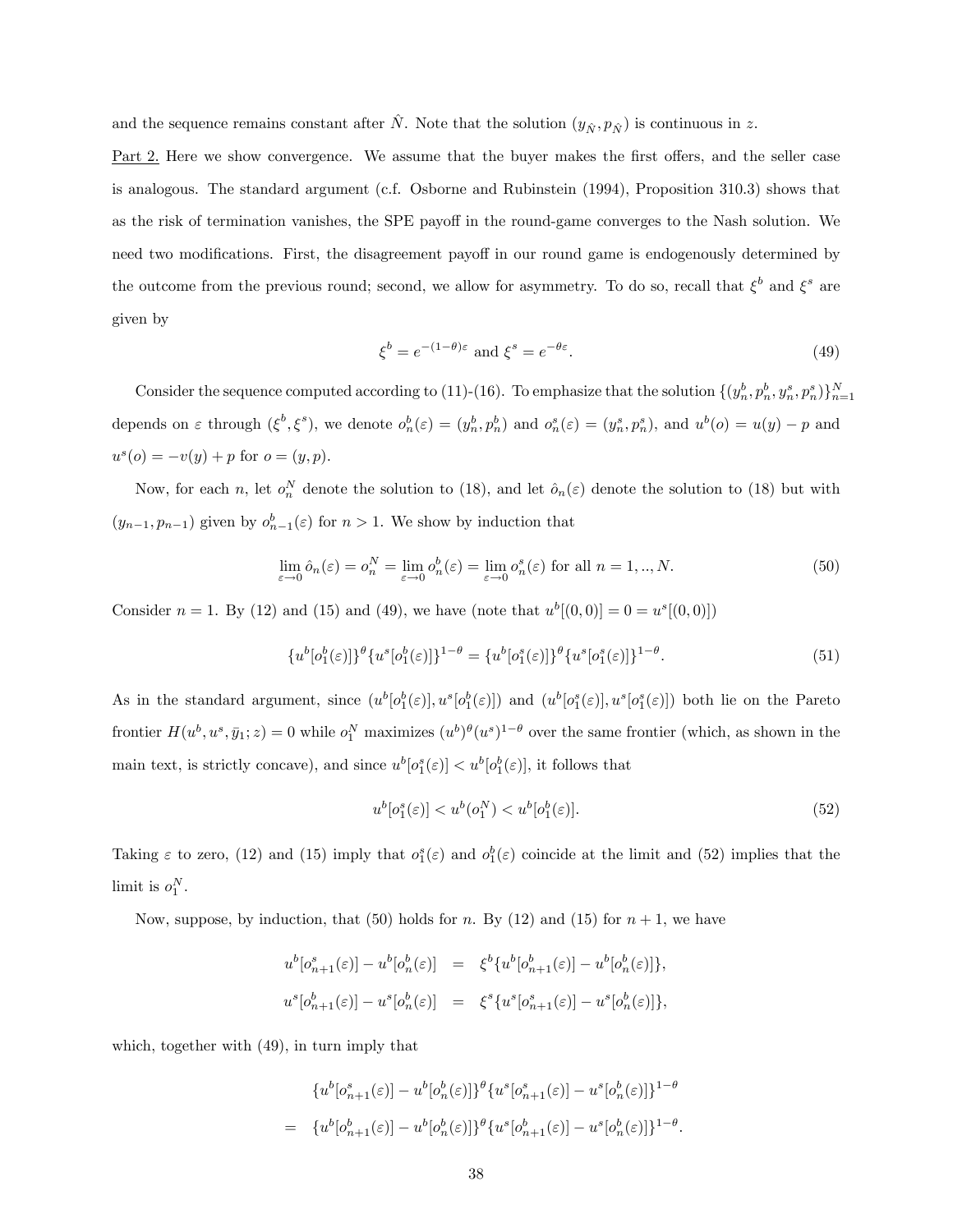and the sequence remains constant after  $\hat{N}$ . Note that the solution  $(y_{\hat{N}} , p_{\hat{N}} )$  is continuous in z.

Part 2. Here we show convergence. We assume that the buyer makes the first offers, and the seller case is analogous. The standard argument (c.f. Osborne and Rubinstein (1994), Proposition 310.3) shows that as the risk of termination vanishes, the SPE payoff in the round-game converges to the Nash solution. We need two modifications. First, the disagreement payoff in our round game is endogenously determined by the outcome from the previous round; second, we allow for asymmetry. To do so, recall that  $\xi^b$  and  $\xi^s$  are given by

$$
\xi^{b} = e^{-(1-\theta)\varepsilon} \text{ and } \xi^{s} = e^{-\theta\varepsilon}.
$$
\n(49)

Consider the sequence computed according to (11)-(16). To emphasize that the solution  $\{(y_n^b, p_n^b, y_n^s, p_n^s)\}_{n=1}^N$ depends on  $\varepsilon$  through  $(\xi^b, \xi^s)$ , we denote  $o_n^b(\varepsilon) = (y_n^b, p_n^b)$  and  $o_n^s(\varepsilon) = (y_n^s, p_n^s)$ , and  $u^b(o) = u(y) - p$  and  $u^{s}(o) = -v(y) + p$  for  $o = (y, p)$ .

Now, for each n, let  $o_n^N$  denote the solution to (18), and let  $\hat{o}_n(\varepsilon)$  denote the solution to (18) but with  $(y_{n-1}, p_{n-1})$  given by  $o_{n-1}^b(\varepsilon)$  for  $n > 1$ . We show by induction that

$$
\lim_{\varepsilon \to 0} \hat{o}_n(\varepsilon) = o_n^N = \lim_{\varepsilon \to 0} o_n^b(\varepsilon) = \lim_{\varepsilon \to 0} o_n^s(\varepsilon) \text{ for all } n = 1,..,N. \tag{50}
$$

Consider  $n = 1$ . By (12) and (15) and (49), we have (note that  $u^b[(0,0)] = 0 = u^s[(0,0)]$ )

$$
\{u^b[o_1^b(\varepsilon)]\}^\theta \{u^s[o_1^b(\varepsilon)]\}^{1-\theta} = \{u^b[o_1^s(\varepsilon)]\}^\theta \{u^s[o_1^s(\varepsilon)]\}^{1-\theta}.
$$
\n(51)

As in the standard argument, since  $(u^b[o_1^b(\varepsilon)], u^s[o_1^b(\varepsilon)])$  and  $(u^b[o_1^s(\varepsilon)], u^s[o_1^s(\varepsilon)])$  both lie on the Pareto frontier  $H(u^b, u^s, \bar{y}_1; z) = 0$  while  $o_1^N$  maximizes  $(u^b)^\theta (u^s)^{1-\theta}$  over the same frontier (which, as shown in the main text, is strictly concave), and since  $u^b[\rho_1^s(\varepsilon)] < u^b[\rho_1^b(\varepsilon)]$ , it follows that

$$
u^{b}[o_{1}^{s}(\varepsilon)] < u^{b}(o_{1}^{N}) < u^{b}[o_{1}^{b}(\varepsilon)].
$$
\n(52)

Taking  $\varepsilon$  to zero, (12) and (15) imply that  $o_1^s(\varepsilon)$  and  $o_1^b(\varepsilon)$  coincide at the limit and (52) implies that the limit is  $o_1^N$ .

Now, suppose, by induction, that (50) holds for n. By (12) and (15) for  $n + 1$ , we have

$$
\begin{array}{rcl} u^b[o_{n+1}^s(\varepsilon)] - u^b[o_n^b(\varepsilon)] & = & \xi^b \{ u^b[o_{n+1}^b(\varepsilon)] - u^b[o_n^b(\varepsilon)] \}, \\ u^s[o_{n+1}^b(\varepsilon)] - u^s[o_n^b(\varepsilon)] & = & \xi^s \{ u^s[o_{n+1}^s(\varepsilon)] - u^s[o_n^b(\varepsilon)] \}, \end{array}
$$

which, together with (49), in turn imply that

$$
\{u^b[o_{n+1}^s(\varepsilon)] - u^b[o_n^b(\varepsilon)]\}^\theta \{u^s[o_{n+1}^s(\varepsilon)] - u^s[o_n^b(\varepsilon)]\}^{1-\theta}
$$
  
= 
$$
\{u^b[o_{n+1}^b(\varepsilon)] - u^b[o_n^b(\varepsilon)]\}^\theta \{u^s[o_{n+1}^b(\varepsilon)] - u^s[o_n^b(\varepsilon)]\}^{1-\theta}.
$$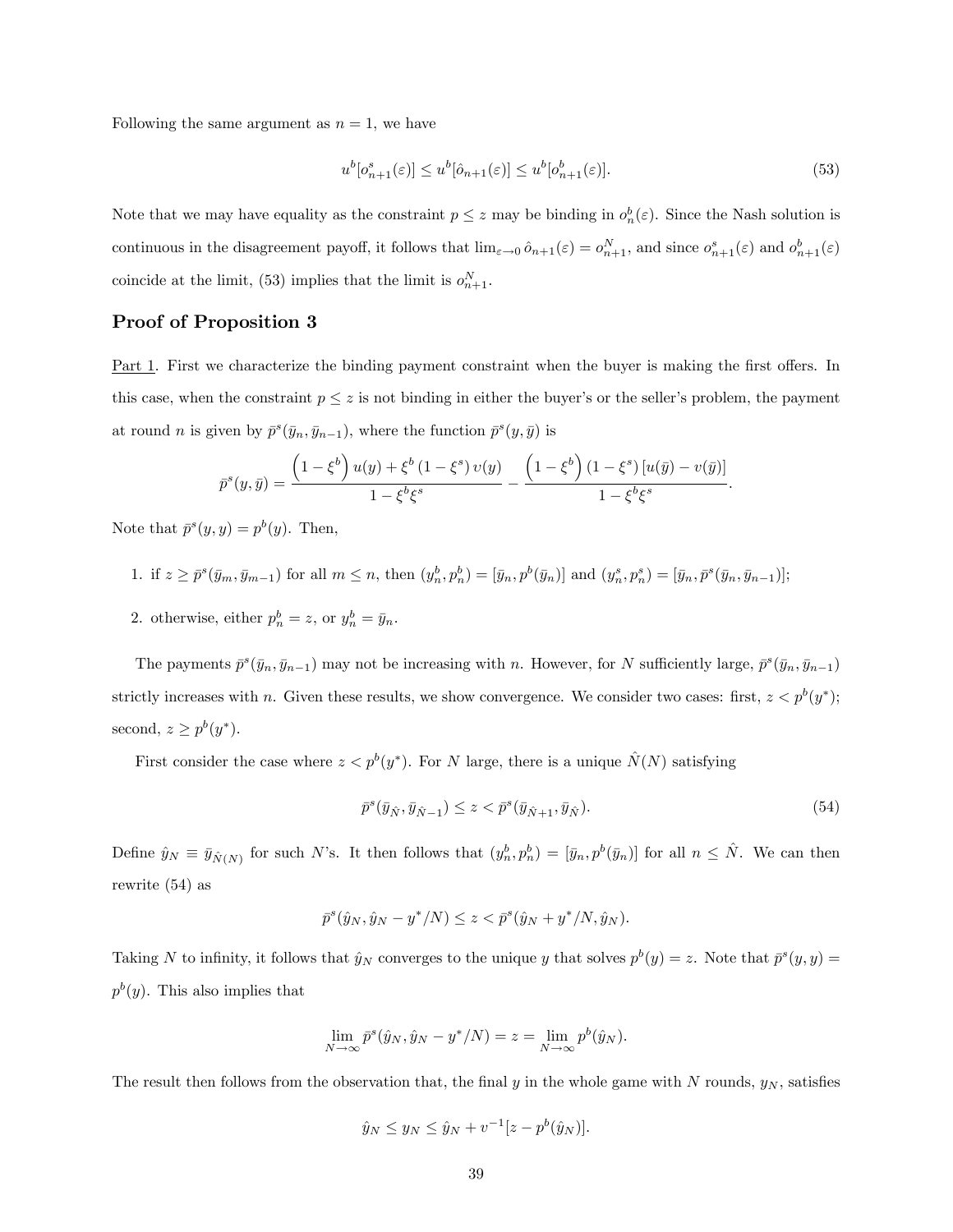Following the same argument as  $n = 1$ , we have

$$
u^{b}[o_{n+1}^{s}(\varepsilon)] \le u^{b}[\hat{o}_{n+1}(\varepsilon)] \le u^{b}[o_{n+1}^{b}(\varepsilon)].
$$
\n(53)

Note that we may have equality as the constraint  $p \leq z$  may be binding in  $o_n^b(\varepsilon)$ . Since the Nash solution is continuous in the disagreement payoff, it follows that  $\lim_{\varepsilon \to 0} \hat{o}_{n+1}(\varepsilon) = o_{n+1}^N$ , and since  $o_{n+1}^s(\varepsilon)$  and  $o_{n+1}^b(\varepsilon)$ coincide at the limit, (53) implies that the limit is  $o_{n+1}^N$ .

### Proof of Proposition 3

Part 1. First we characterize the binding payment constraint when the buyer is making the first offers. In this case, when the constraint  $p \leq z$  is not binding in either the buyer's or the seller's problem, the payment at round *n* is given by  $\bar{p}^s(\bar{y}_n, \bar{y}_{n-1})$ , where the function  $\bar{p}^s(y, \bar{y})$  is

$$
\bar{p}^s(y,\bar{y}) = \frac{\left(1-\xi^b\right)u(y) + \xi^b\left(1-\xi^s\right)v(y)}{1-\xi^b\xi^s} - \frac{\left(1-\xi^b\right)\left(1-\xi^s\right)\left[u(\bar{y}) - v(\bar{y})\right]}{1-\xi^b\xi^s}
$$

Note that  $\bar{p}^s(y, y) = p^b(y)$ . Then,

1. if 
$$
z \ge \bar{p}^s(\bar{y}_m, \bar{y}_{m-1})
$$
 for all  $m \le n$ , then  $(y_n^b, p_n^b) = [\bar{y}_n, p^b(\bar{y}_n)]$  and  $(y_n^s, p_n^s) = [\bar{y}_n, \bar{p}^s(\bar{y}_n, \bar{y}_{n-1})]$ ;

2. otherwise, either  $p_n^b = z$ , or  $y_n^b = \bar{y}_n$ .

The payments  $\bar{p}^s(\bar{y}_n, \bar{y}_{n-1})$  may not be increasing with n. However, for N sufficiently large,  $\bar{p}^s(\bar{y}_n, \bar{y}_{n-1})$ strictly increases with n. Given these results, we show convergence. We consider two cases: first,  $z < p^b(y^*)$ ; second,  $z \geq p^b(y^*)$ .

First consider the case where  $z < p^b(y^*)$ . For N large, there is a unique  $\hat{N}(N)$  satisfying

$$
\bar{p}^s(\bar{y}_{\hat{N}}, \bar{y}_{\hat{N}-1}) \le z < \bar{p}^s(\bar{y}_{\hat{N}+1}, \bar{y}_{\hat{N}}). \tag{54}
$$

:

Define  $\hat{y}_N \equiv \bar{y}_{\hat{N}(N)}$  for such N's. It then follows that  $(y_n^b, p_n^b) = [\bar{y}_n, p^b(\bar{y}_n)]$  for all  $n \leq \hat{N}$ . We can then rewrite (54) as

$$
\bar{p}^s(\hat{y}_N, \hat{y}_N - y^*/N) \le z < \bar{p}^s(\hat{y}_N + y^*/N, \hat{y}_N).
$$

Taking N to infinity, it follows that  $\hat{y}_N$  converges to the unique y that solves  $p^b(y) = z$ . Note that  $\bar{p}^s(y, y) = z$  $p^{b}(y)$ . This also implies that

$$
\lim_{N \to \infty} \bar{p}^s(\hat{y}_N, \hat{y}_N - y^*/N) = z = \lim_{N \to \infty} p^b(\hat{y}_N).
$$

The result then follows from the observation that, the final y in the whole game with N rounds,  $y_N$ , satisfies

$$
\hat{y}_N \le y_N \le \hat{y}_N + v^{-1}[z - p^b(\hat{y}_N)].
$$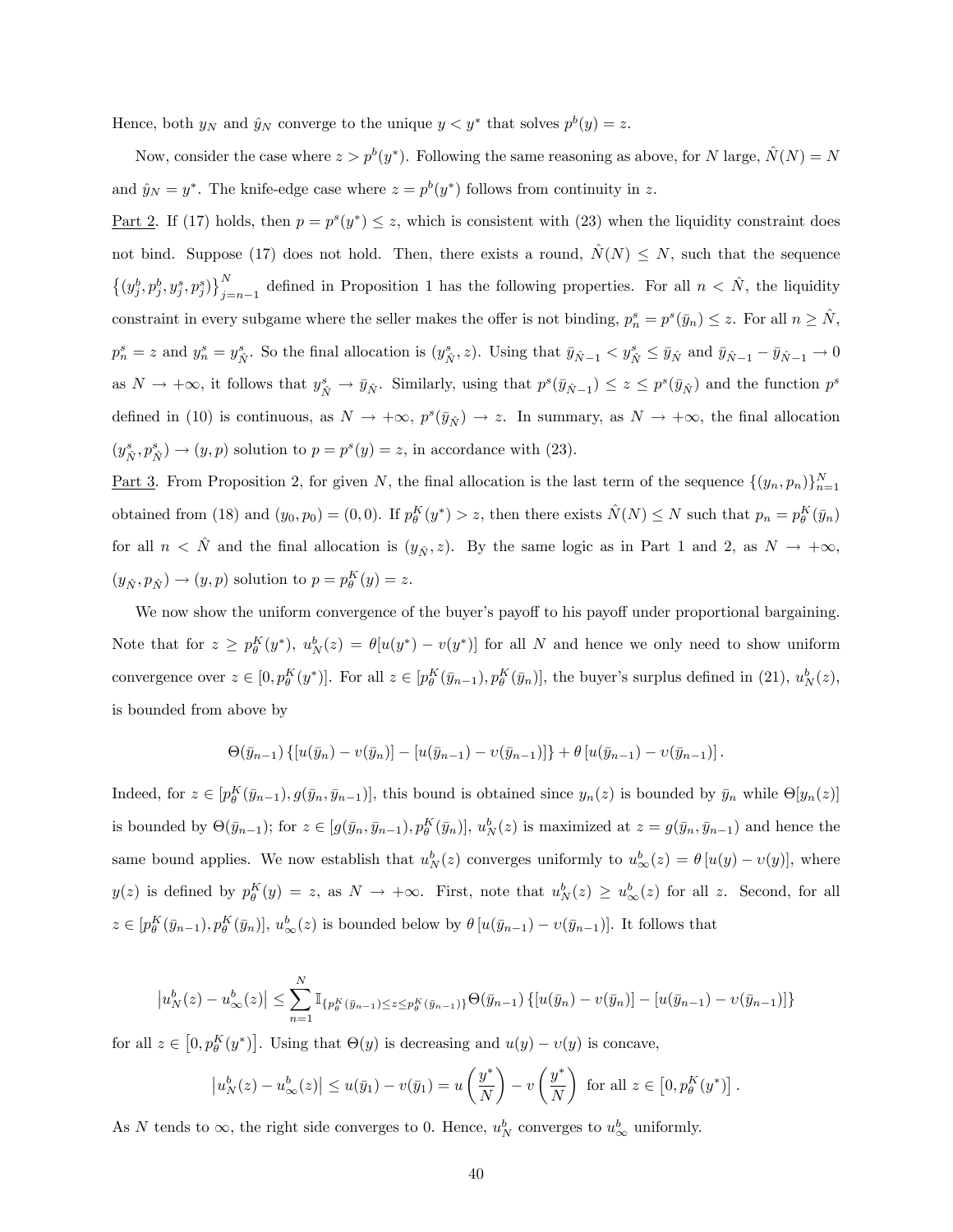Hence, both  $y_N$  and  $\hat{y}_N$  converge to the unique  $y < y^*$  that solves  $p^b(y) = z$ .

Now, consider the case where  $z > p^b(y^*)$ . Following the same reasoning as above, for N large,  $\hat{N}(N) = N$ and  $\hat{y}_N = y^*$ . The knife-edge case where  $z = p^b(y^*)$  follows from continuity in z.

<u>Part 2</u>. If (17) holds, then  $p = p^{s}(y^*) \leq z$ , which is consistent with (23) when the liquidity constraint does not bind. Suppose (17) does not hold. Then, there exists a round,  $\dot{N}(N) \leq N$ , such that the sequence  $\left\{ (y_{j}^{b}, p_{j}^{b}, y_{j}^{s}, p_{j}^{s}) \right\}_{j=1}^{N}$  $_{j=n-1}^N$  defined in Proposition 1 has the following properties. For all  $n < N$ , the liquidity constraint in every subgame where the seller makes the offer is not binding,  $p_n^s = p^s(\bar{y}_n) \leq z$ . For all  $n \geq \hat{N}$ ,  $p_n^s = z$  and  $y_n^s = y_{\hat{N}}^s$ . So the final allocation is  $(y_{\hat{N}}^s, z)$ . Using that  $\bar{y}_{\hat{N}-1} < y_{\hat{N}}^s \le \bar{y}_{\hat{N}}$  and  $\bar{y}_{\hat{N}-1} - \bar{y}_{\hat{N}-1} \to 0$ as  $N \to +\infty$ , it follows that  $y_{\hat{N}}^s \to \bar{y}_{\hat{N}}$ . Similarly, using that  $p^s(\bar{y}_{\hat{N}-1}) \leq z \leq p^s(\bar{y}_{\hat{N}})$  and the function  $p^s$ defined in (10) is continuous, as  $N \to +\infty$ ,  $p^{s}(\bar{y}_{N}) \to z$ . In summary, as  $N \to +\infty$ , the final allocation  $(y_{\hat{N}}^s, p_{\hat{N}}^s) \to (y, p)$  solution to  $p = p^s(y) = z$ , in accordance with (23).

<u>Part 3</u>. From Proposition 2, for given N, the final allocation is the last term of the sequence  $\{(y_n, p_n)\}_{n=1}^N$ obtained from (18) and  $(y_0, p_0) = (0, 0)$ . If  $p_{\theta}^K(y^*) > z$ , then there exists  $\hat{N}(N) \leq N$  such that  $p_n = p_{\theta}^K(\bar{y}_n)$ for all  $n < N$  and the final allocation is  $(y_{N}^{j}, z)$ . By the same logic as in Part 1 and 2, as  $N \rightarrow +\infty$ .  $(y_{\hat{N}} , p_{\hat{N}}) \rightarrow (y, p)$  solution to  $p = p_{\theta}^{K}(y) = z$ .

We now show the uniform convergence of the buyer's payoff to his payoff under proportional bargaining. Note that for  $z \ge p_\theta^K(y^*)$ ,  $u_N^b(z) = \theta[u(y^*) - v(y^*)]$  for all N and hence we only need to show uniform convergence over  $z \in [0, p_\theta^K(y^*)]$ . For all  $z \in [p_\theta^K(\bar{y}_{n-1}), p_\theta^K(\bar{y}_n)]$ , the buyer's surplus defined in (21),  $u_N^b(z)$ , is bounded from above by

$$
\Theta(\bar{y}_{n-1})\left\{[u(\bar{y}_n)-v(\bar{y}_n)]-[u(\bar{y}_{n-1})-v(\bar{y}_{n-1})]\right\}+\theta\left[u(\bar{y}_{n-1})-v(\bar{y}_{n-1})\right].
$$

Indeed, for  $z \in [p_{\theta}^K(\bar{y}_{n-1}), g(\bar{y}_n, \bar{y}_{n-1})]$ , this bound is obtained since  $y_n(z)$  is bounded by  $\bar{y}_n$  while  $\Theta[y_n(z)]$ is bounded by  $\Theta(\bar{y}_{n-1})$ ; for  $z \in [g(\bar{y}_n, \bar{y}_{n-1}), p_{\theta}^K(\bar{y}_n)], u_N^b(z)$  is maximized at  $z = g(\bar{y}_n, \bar{y}_{n-1})$  and hence the same bound applies. We now establish that  $u_N^b(z)$  converges uniformly to  $u_\infty^b(z) = \theta[u(y) - v(y)]$ , where  $y(z)$  is defined by  $p_{\theta}^{K}(y) = z$ , as  $N \to +\infty$ . First, note that  $u_{N}^{b}(z) \ge u_{\infty}^{b}(z)$  for all z. Second, for all  $z \in [p_{\theta}^{K}(\bar{y}_{n-1}), p_{\theta}^{K}(\bar{y}_n)], u_{\infty}^{b}(z)$  is bounded below by  $\theta[u(\bar{y}_{n-1}) - v(\bar{y}_{n-1})].$  It follows that

$$
|u_N^b(z) - u_\infty^b(z)| \le \sum_{n=1}^N \mathbb{I}_{\{p_\theta^K(\bar{y}_{n-1}) \le z \le p_\theta^K(\bar{y}_{n-1})\}} \Theta(\bar{y}_{n-1}) \{ [u(\bar{y}_n) - v(\bar{y}_n)] - [u(\bar{y}_{n-1}) - v(\bar{y}_{n-1})] \}
$$

for all  $z \in [0, p_\theta^K(y^*)]$ . Using that  $\Theta(y)$  is decreasing and  $u(y) - v(y)$  is concave,

$$
\left|u_N^b(z) - u_\infty^b(z)\right| \le u(\bar{y}_1) - v(\bar{y}_1) = u\left(\frac{y^*}{N}\right) - v\left(\frac{y^*}{N}\right) \text{ for all } z \in \left[0, p_\theta^K(y^*)\right].
$$

As N tends to  $\infty$ , the right side converges to 0. Hence,  $u_N^b$  converges to  $u_\infty^b$  uniformly.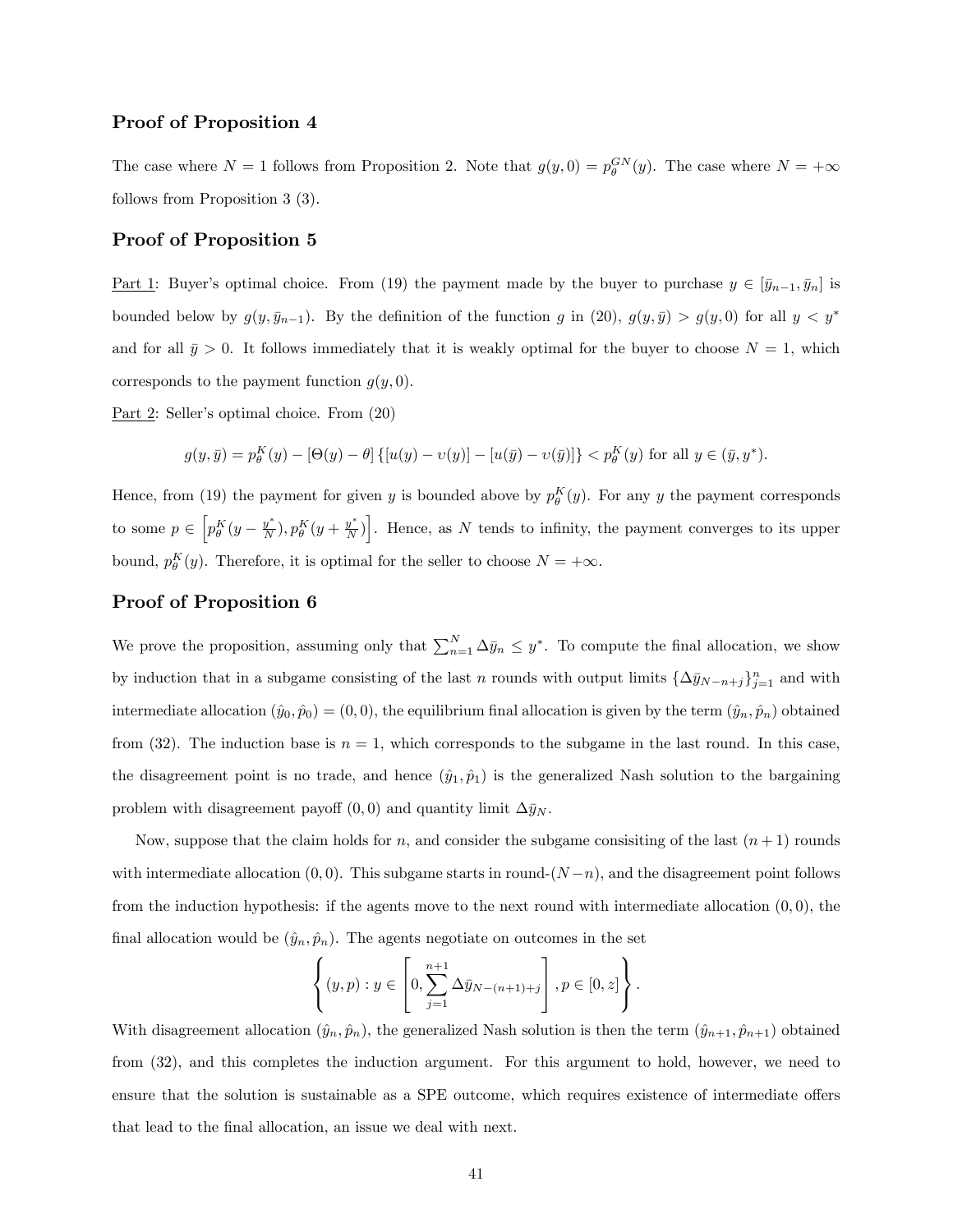### Proof of Proposition 4

The case where  $N = 1$  follows from Proposition 2. Note that  $g(y, 0) = p_\theta^{GN}(y)$ . The case where  $N = +\infty$ follows from Proposition 3 (3).

### Proof of Proposition 5

<u>Part 1</u>: Buyer's optimal choice. From (19) the payment made by the buyer to purchase  $y \in [\bar{y}_{n-1}, \bar{y}_n]$  is bounded below by  $g(y, \bar{y}_{n-1})$ . By the definition of the function g in (20),  $g(y, \bar{y}) > g(y, 0)$  for all  $y < y^*$ and for all  $\bar{y} > 0$ . It follows immediately that it is weakly optimal for the buyer to choose  $N = 1$ , which corresponds to the payment function  $g(y, 0)$ .

Part 2: Seller's optimal choice. From  $(20)$ 

$$
g(y,\bar{y}) = p_{\theta}^{K}(y) - [\Theta(y) - \theta] \{ [u(y) - v(y)] - [u(\bar{y}) - v(\bar{y})] \} < p_{\theta}^{K}(y) \text{ for all } y \in (\bar{y}, y^{*}).
$$

Hence, from (19) the payment for given y is bounded above by  $p_{\theta}^{K}(y)$ . For any y the payment corresponds to some  $p \in \left[p_{\theta}^K(y - \frac{y^*}{N}), p_{\theta}^K(y + \frac{y^*}{N})\right]$ . Hence, as N tends to infinity, the payment converges to its upper bound,  $p_{\theta}^{K}(y)$ . Therefore, it is optimal for the seller to choose  $N = +\infty$ .

### Proof of Proposition 6

We prove the proposition, assuming only that  $\sum_{n=1}^{N} \Delta \bar{y}_n \leq y^*$ . To compute the final allocation, we show by induction that in a subgame consisting of the last n rounds with output limits  $\{\Delta \bar{y}_{N-n+j}\}_{j=1}^n$  and with intermediate allocation  $(\hat{y}_0, \hat{p}_0) = (0, 0)$ , the equilibrium final allocation is given by the term  $(\hat{y}_n, \hat{p}_n)$  obtained from (32). The induction base is  $n = 1$ , which corresponds to the subgame in the last round. In this case, the disagreement point is no trade, and hence  $(\hat{y}_1, \hat{p}_1)$  is the generalized Nash solution to the bargaining problem with disagreement payoff  $(0,0)$  and quantity limit  $\Delta \bar{y}_N$ .

Now, suppose that the claim holds for n, and consider the subgame consisting of the last  $(n + 1)$  rounds with intermediate allocation  $(0, 0)$ . This subgame starts in round- $(N-n)$ , and the disagreement point follows from the induction hypothesis: if the agents move to the next round with intermediate allocation  $(0,0)$ , the final allocation would be  $(\hat{y}_n, \hat{p}_n)$ . The agents negotiate on outcomes in the set

$$
\left\{(y,p): y \in \left[0, \sum_{j=1}^{n+1} \Delta \bar{y}_{N-(n+1)+j}\right], p \in [0,z]\right\}.
$$

With disagreement allocation  $(\hat{y}_n, \hat{p}_n)$ , the generalized Nash solution is then the term  $(\hat{y}_{n+1}, \hat{p}_{n+1})$  obtained from (32), and this completes the induction argument. For this argument to hold, however, we need to ensure that the solution is sustainable as a SPE outcome, which requires existence of intermediate offers that lead to the Önal allocation, an issue we deal with next.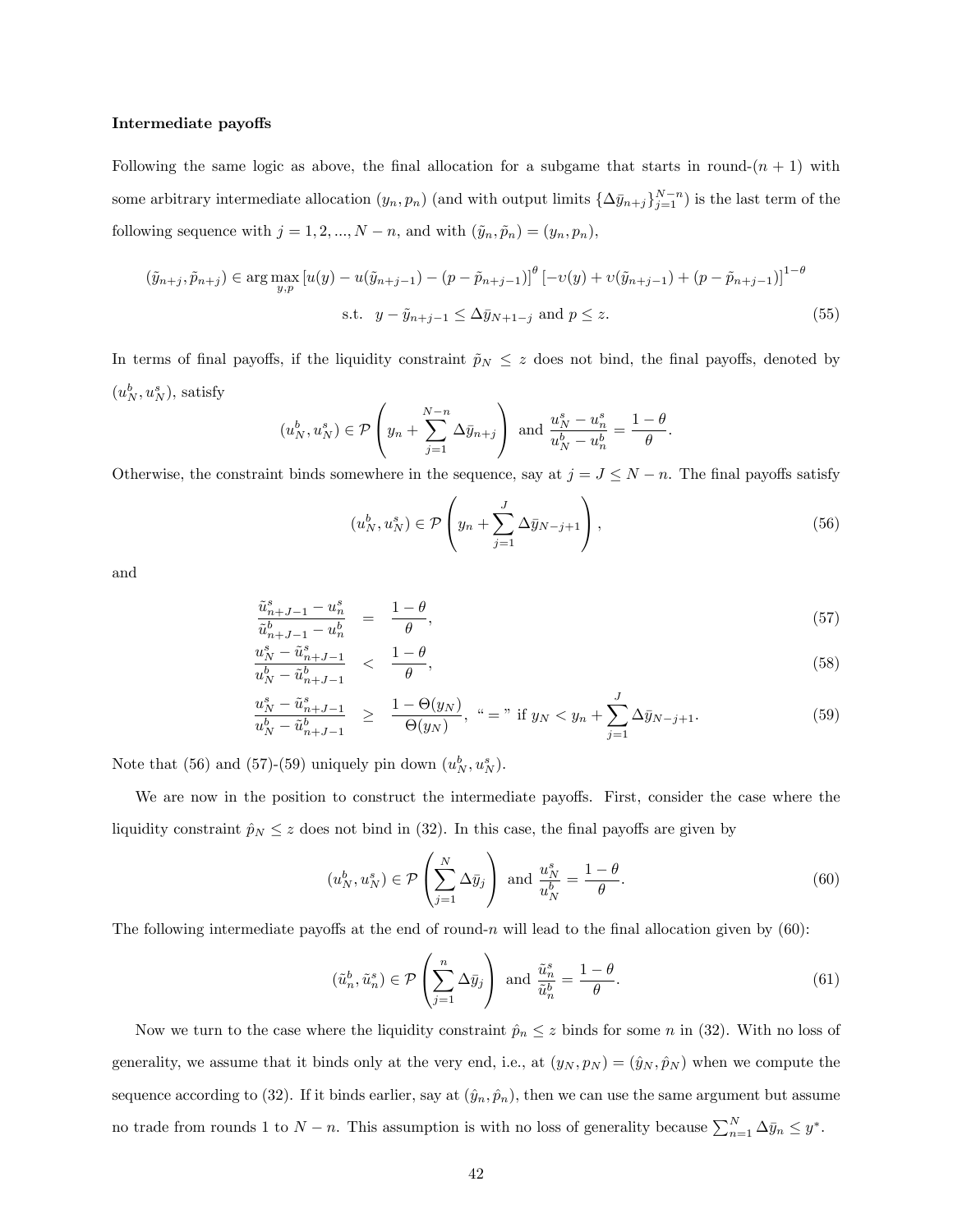#### Intermediate payoffs

Following the same logic as above, the final allocation for a subgame that starts in round- $(n + 1)$  with some arbitrary intermediate allocation  $(y_n, p_n)$  (and with output limits  $\{\Delta \bar{y}_{n+j}\}_{j=1}^{N-n}$ ) is the last term of the following sequence with  $j = 1, 2, ..., N - n$ , and with  $(\tilde{y}_n, \tilde{p}_n) = (y_n, p_n)$ ,

$$
(\tilde{y}_{n+j}, \tilde{p}_{n+j}) \in \arg \max_{y, p} \left[ u(y) - u(\tilde{y}_{n+j-1}) - (p - \tilde{p}_{n+j-1}) \right]^\theta \left[ -v(y) + v(\tilde{y}_{n+j-1}) + (p - \tilde{p}_{n+j-1}) \right]^{1-\theta}
$$
  
s.t.  $y - \tilde{y}_{n+j-1} \le \Delta \bar{y}_{N+1-j}$  and  $p \le z$ . (55)

In terms of final payoffs, if the liquidity constraint  $\tilde{p}_N \leq z$  does not bind, the final payoffs, denoted by  $(u_N^b, u_N^s)$ , satisfy

$$
(u_N^b, u_N^s) \in \mathcal{P}\left(y_n + \sum_{j=1}^{N-n} \Delta \bar{y}_{n+j}\right)
$$
 and  $\frac{u_N^s - u_n^s}{u_N^b - u_n^b} = \frac{1-\theta}{\theta}$ .

Otherwise, the constraint binds somewhere in the sequence, say at  $j = J \leq N - n$ . The final payoffs satisfy

$$
(u_N^b, u_N^s) \in \mathcal{P}\left(y_n + \sum_{j=1}^J \Delta \bar{y}_{N-j+1}\right),\tag{56}
$$

and

$$
\frac{\tilde{u}_{n+J-1}^s - u_n^s}{\tilde{u}_{n+J-1}^b - u_n^b} = \frac{1-\theta}{\theta},\tag{57}
$$

$$
\frac{u_N^s - \tilde{u}_{n+J-1}^s}{u_N^b - \tilde{u}_{n+J-1}^b} < \frac{1-\theta}{\theta},\tag{58}
$$

$$
\frac{u_N^s - \tilde{u}_{n+J-1}^s}{u_N^b - \tilde{u}_{n+J-1}^b} \ge \frac{1 - \Theta(y_N)}{\Theta(y_N)}, \quad \text{``} = \text{'' if } y_N < y_n + \sum_{j=1}^J \Delta \bar{y}_{N-j+1}.\tag{59}
$$

Note that (56) and (57)-(59) uniquely pin down  $(u_N^b, u_N^s)$ .

We are now in the position to construct the intermediate payoffs. First, consider the case where the liquidity constraint  $\hat{p}_N \leq z$  does not bind in (32). In this case, the final payoffs are given by

$$
(u_N^b, u_N^s) \in \mathcal{P}\left(\sum_{j=1}^N \Delta \bar{y}_j\right) \text{ and } \frac{u_N^s}{u_N^b} = \frac{1-\theta}{\theta}.
$$
 (60)

The following intermediate payoffs at the end of round-n will lead to the final allocation given by  $(60)$ :

$$
(\tilde{u}_n^b, \tilde{u}_n^s) \in \mathcal{P}\left(\sum_{j=1}^n \Delta \bar{y}_j\right) \text{ and } \frac{\tilde{u}_n^s}{\tilde{u}_n^b} = \frac{1-\theta}{\theta}.\tag{61}
$$

Now we turn to the case where the liquidity constraint  $\hat{p}_n \leq z$  binds for some n in (32). With no loss of generality, we assume that it binds only at the very end, i.e., at  $(y_N, p_N) = (\hat{y}_N, \hat{p}_N )$  when we compute the sequence according to (32). If it binds earlier, say at  $(\hat{y}_n, \hat{p}_n)$ , then we can use the same argument but assume no trade from rounds 1 to  $N-n$ . This assumption is with no loss of generality because  $\sum_{n=1}^{N} \Delta \bar{y}_n \leq y^*$ .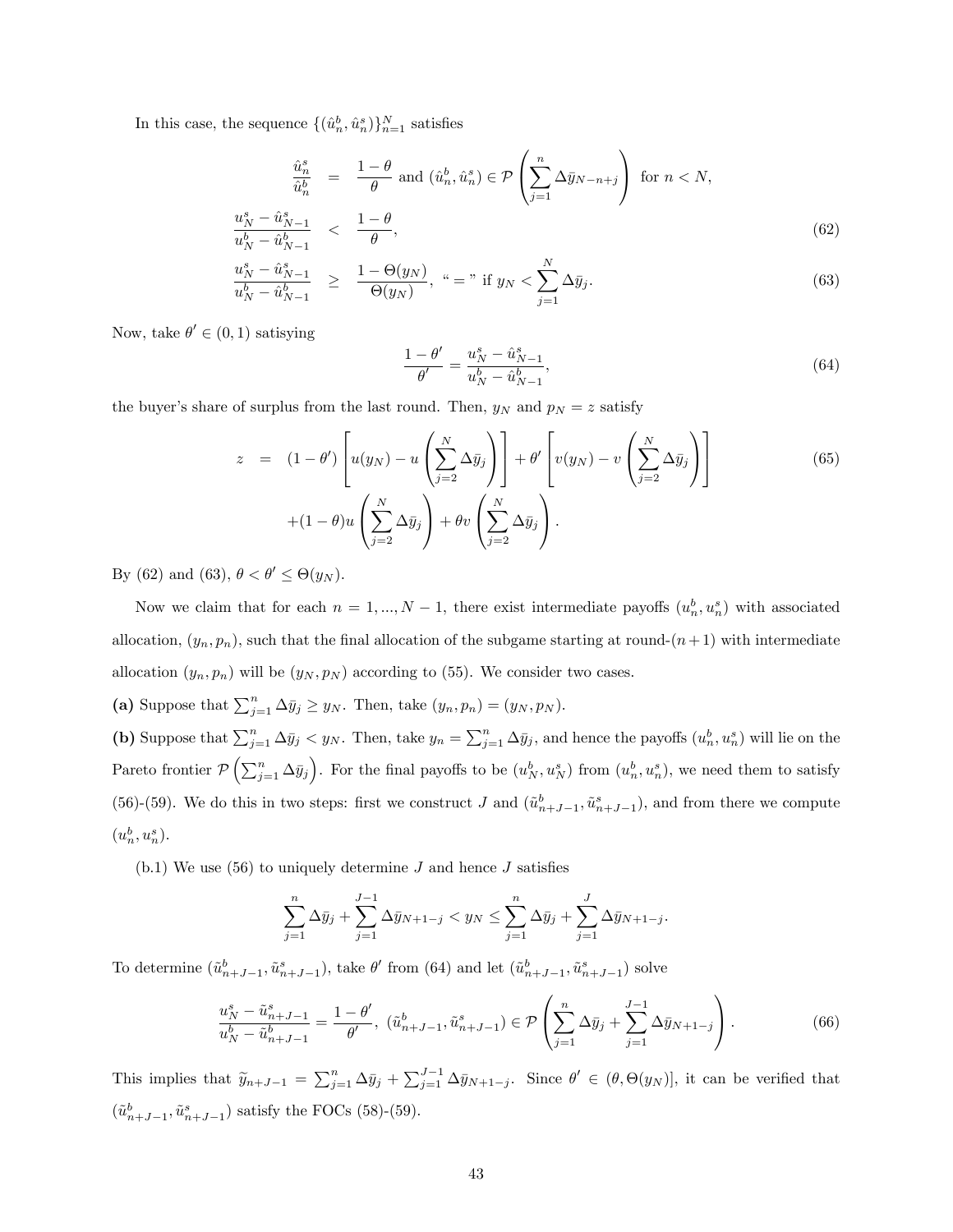In this case, the sequence  $\{(\hat{u}_n^b, \hat{u}_n^s)\}_{n=1}^N$  satisfies

$$
\frac{\hat{u}_n^s}{\hat{u}_n^b} = \frac{1-\theta}{\theta} \text{ and } (\hat{u}_n^b, \hat{u}_n^s) \in \mathcal{P}\left(\sum_{j=1}^n \Delta \bar{y}_{N-n+j}\right) \text{ for } n < N,
$$
\n
$$
\frac{u_N^s - \hat{u}_{N-1}^s}{\frac{h}{\theta} - \hat{u}_N^s} < \frac{1-\theta}{\theta},\tag{62}
$$

$$
\frac{u_N^s - \hat{u}_{N-1}^s}{u_N^b - \hat{u}_{N-1}^b} < \frac{1 - \theta}{\theta},
$$
\n
$$
\frac{u_N^s - \hat{u}_{N-1}^s}{u_N^b - \hat{u}_{N-1}^b} \ge \frac{1 - \Theta(y_N)}{\Theta(y_N)}, \quad \text{``} = \text{'' if } y_N < \sum_{j=1}^N \Delta \bar{y}_j.
$$
\n
$$
(63)
$$

 $\overline{j=1}$ 

Now, take  $\theta' \in (0,1)$  satisying

$$
\frac{1-\theta'}{\theta'} = \frac{u_N^s - \hat{u}_{N-1}^s}{u_N^b - \hat{u}_{N-1}^b},\tag{64}
$$

the buyer's share of surplus from the last round. Then,  $y_N$  and  $p_N = z$  satisfy

$$
z = (1 - \theta') \left[ u(y_N) - u \left( \sum_{j=2}^{N} \Delta \bar{y}_j \right) \right] + \theta' \left[ v(y_N) - v \left( \sum_{j=2}^{N} \Delta \bar{y}_j \right) \right]
$$
(65)  
 
$$
+ (1 - \theta) u \left( \sum_{j=2}^{N} \Delta \bar{y}_j \right) + \theta v \left( \sum_{j=2}^{N} \Delta \bar{y}_j \right).
$$

By (62) and (63),  $\theta < \theta' \leq \Theta(y_N)$ .

Now we claim that for each  $n = 1, ..., N - 1$ , there exist intermediate payoffs  $(u_n^b, u_n^s)$  with associated allocation,  $(y_n, p_n)$ , such that the final allocation of the subgame starting at round- $(n+1)$  with intermediate allocation  $(y_n, p_n)$  will be  $(y_N, p_N)$  according to (55). We consider two cases.

(a) Suppose that  $\sum_{j=1}^{n} \Delta \bar{y}_j \geq y_N$ . Then, take  $(y_n, p_n) = (y_N, p_N)$ .

(b) Suppose that  $\sum_{j=1}^n \Delta \bar{y}_j < y_N$ . Then, take  $y_n = \sum_{j=1}^n \Delta \bar{y}_j$ , and hence the payoffs  $(u_n^b, u_n^s)$  will lie on the Pareto frontier  $\mathcal{P}\left(\sum_{j=1}^n \Delta \bar{y}_j\right)$ . For the final payoffs to be  $(u_N^b, u_N^s)$  from  $(u_n^b, u_n^s)$ , we need them to satisfy (56)-(59). We do this in two steps: first we construct J and  $(\tilde{u}_{n+J-1}^b, \tilde{u}_{n+J-1}^s)$ , and from there we compute  $(u_n^b, u_n^s)$ .

(b.1) We use (56) to uniquely determine  $J$  and hence  $J$  satisfies

$$
\sum_{j=1}^{n} \Delta \bar{y}_j + \sum_{j=1}^{J-1} \Delta \bar{y}_{N+1-j} < y_N \le \sum_{j=1}^{n} \Delta \bar{y}_j + \sum_{j=1}^{J} \Delta \bar{y}_{N+1-j}.
$$

To determine  $(\tilde{u}_{n+J-1}^b, \tilde{u}_{n+J-1}^s)$ , take  $\theta'$  from (64) and let  $(\tilde{u}_{n+J-1}^b, \tilde{u}_{n+J-1}^s)$  solve

$$
\frac{u_N^s - \tilde{u}_{n+J-1}^s}{u_N^b - \tilde{u}_{n+J-1}^b} = \frac{1 - \theta'}{\theta'}, \ (\tilde{u}_{n+J-1}^b, \tilde{u}_{n+J-1}^s) \in \mathcal{P}\left(\sum_{j=1}^n \Delta \bar{y}_j + \sum_{j=1}^{J-1} \Delta \bar{y}_{N+1-j}\right). \tag{66}
$$

This implies that  $\widetilde{y}_{n+J-1} = \sum_{j=1}^{n} \Delta \overline{y}_j + \sum_{j=1}^{J-1} \Delta \overline{y}_{N+1-j}$ . Since  $\theta' \in (\theta, \Theta(y_N)],$  it can be verified that  $(\tilde{u}_{n+J-1}^b, \tilde{u}_{n+J-1}^s)$  satisfy the FOCs (58)-(59).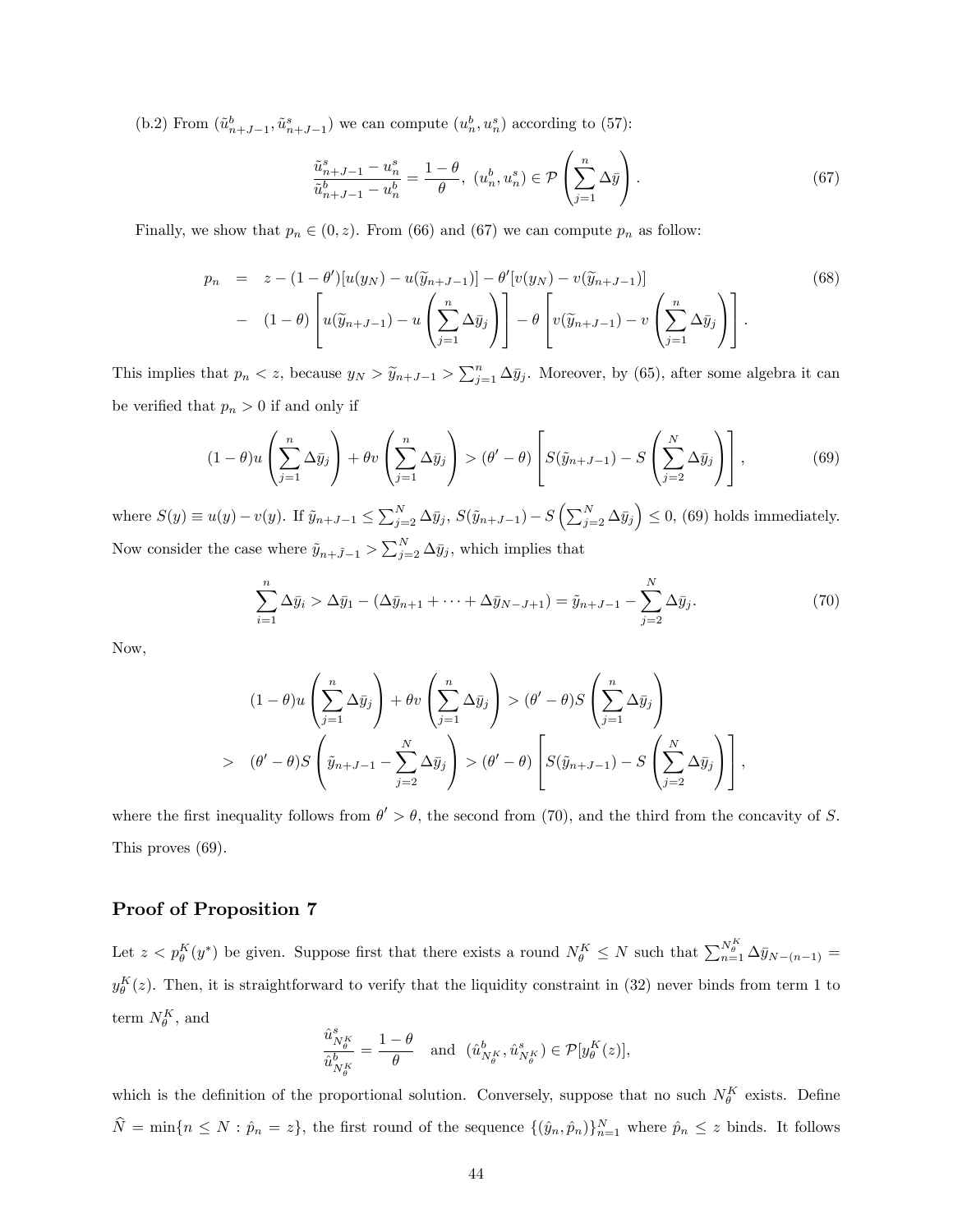(b.2) From  $(\tilde{u}_{n+J-1}^b, \tilde{u}_{n+J-1}^s)$  we can compute  $(u_n^b, u_n^s)$  according to (57):

$$
\frac{\tilde{u}_{n+J-1}^s - u_n^s}{\tilde{u}_{n+J-1}^b - u_n^b} = \frac{1 - \theta}{\theta}, \ (u_n^b, u_n^s) \in \mathcal{P}\left(\sum_{j=1}^n \Delta \bar{y}\right). \tag{67}
$$

Finally, we show that  $p_n \in (0, z)$ . From (66) and (67) we can compute  $p_n$  as follow:

$$
p_n = z - (1 - \theta')[u(y_N) - u(\widetilde{y}_{n+J-1})] - \theta'[v(y_N) - v(\widetilde{y}_{n+J-1})]
$$
(68)  

$$
- (1 - \theta) \left[ u(\widetilde{y}_{n+J-1}) - u\left(\sum_{j=1}^n \Delta \bar{y}_j\right) \right] - \theta \left[ v(\widetilde{y}_{n+J-1}) - v\left(\sum_{j=1}^n \Delta \bar{y}_j\right) \right].
$$

This implies that  $p_n < z$ , because  $y_N > \tilde{y}_{n+J-1} > \sum_{j=1}^n \Delta \bar{y}_j$ . Moreover, by (65), after some algebra it can be verified that  $p_n > 0$  if and only if

$$
(1 - \theta)u\left(\sum_{j=1}^{n} \Delta \bar{y}_j\right) + \theta v\left(\sum_{j=1}^{n} \Delta \bar{y}_j\right) > (\theta' - \theta)\left[S(\tilde{y}_{n+J-1}) - S\left(\sum_{j=2}^{N} \Delta \bar{y}_j\right)\right],
$$
(69)

where  $S(y) \equiv u(y) - v(y)$ . If  $\tilde{y}_{n+J-1} \le \sum_{j=2}^N \Delta \bar{y}_j$ ,  $S(\tilde{y}_{n+J-1}) - S(\sum_{j=2}^N \Delta \bar{y}_j) \le 0$ , (69) holds immediately. Now consider the case where  $\tilde{y}_{n+\tilde{J}-1} > \sum_{j=2}^{N} \Delta \bar{y}_j$ , which implies that

$$
\sum_{i=1}^{n} \Delta \bar{y}_i > \Delta \bar{y}_1 - (\Delta \bar{y}_{n+1} + \dots + \Delta \bar{y}_{N-J+1}) = \tilde{y}_{n+J-1} - \sum_{j=2}^{N} \Delta \bar{y}_j.
$$
 (70)

Now,

$$
(1 - \theta)u\left(\sum_{j=1}^{n} \Delta \bar{y}_{j}\right) + \theta v\left(\sum_{j=1}^{n} \Delta \bar{y}_{j}\right) > (\theta' - \theta)S\left(\sum_{j=1}^{n} \Delta \bar{y}_{j}\right)
$$

$$
> (\theta' - \theta)S\left(\tilde{y}_{n+J-1} - \sum_{j=2}^{N} \Delta \bar{y}_{j}\right) > (\theta' - \theta)\left[S(\tilde{y}_{n+J-1}) - S\left(\sum_{j=2}^{N} \Delta \bar{y}_{j}\right)\right],
$$

where the first inequality follows from  $\theta' > \theta$ , the second from (70), and the third from the concavity of S. This proves (69).

### Proof of Proposition 7

Let  $z < p_\theta^K(y^*)$  be given. Suppose first that there exists a round  $N_\theta^K \leq N$  such that  $\sum_{n=1}^{N_\theta^K} \Delta \bar{y}_{N-(n-1)} =$  $y_{\theta}^{K}(z)$ . Then, it is straightforward to verify that the liquidity constraint in (32) never binds from term 1 to term  $N_{\theta}^K$ , and

$$
\frac{\hat u^s_{N^K_{\theta}}}{\hat u^b_{N^K_{\theta}}}=\frac{1-\theta}{\theta} \quad \text{and} \ \ (\hat u^b_{N^K_{\theta}},\hat u^s_{N^K_{\theta}}) \in \mathcal{P}[y^K_{\theta}(z)],
$$

which is the definition of the proportional solution. Conversely, suppose that no such  $N_{\theta}^K$  exists. Define  $\hat{N} = \min\{n \leq N : \hat{p}_n = z\}$ , the first round of the sequence  $\{(\hat{y}_n, \hat{p}_n)\}_{n=1}^N$  where  $\hat{p}_n \leq z$  binds. It follows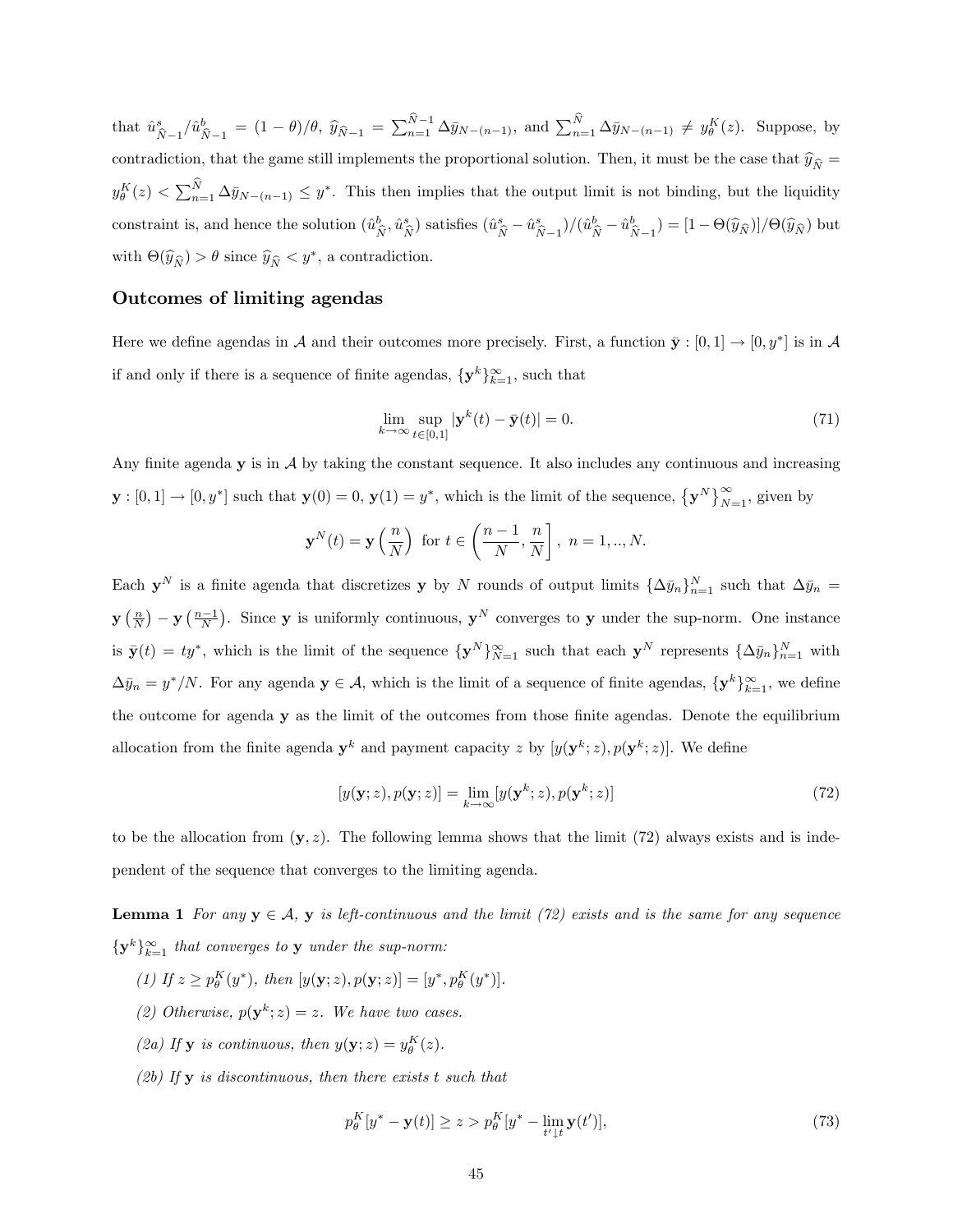that  $\hat{u}^s_i$  $\frac{s}{\hat{N}-1}/\hat{u}_{\hat{I}}^b$  $N_{\widehat{N}-1} = (1 - \theta)/\theta$ ,  $\widehat{y}_{\widehat{N}-1} = \sum_{n=1}^{N-1} \Delta \bar{y}_{N-(n-1)}$ , and  $\sum_{n=1}^{N} \Delta \bar{y}_{N-(n-1)} \neq y_{\theta}^{K}(z)$ . Suppose, by contradiction, that the game still implements the proportional solution. Then, it must be the case that  $\hat{y}_{\hat{N}} =$  $y_{\theta}^K(z) < \sum_{n=1}^N \Delta \bar{y}_{N-(n-1)} \leq y^*$ . This then implies that the output limit is not binding, but the liquidity constraint is, and hence the solution  $(\hat{u}^b_i)$  $\hat{\hat{N}}^b, \hat{u}^s_{\hat{N}}$  $s\choose\hat N$  satisfies  $(\hat u_{\widehat N}^s-\hat u_{\widehat N}^s$  $(\hat{w}_{\widehat{N}-1}^s)/(\hat{u}_{\widehat{N}}^b - \hat{u}_{\widehat{N}}^b)$  $(\hat{N}_{\widehat{N}-1}) = [1 - \Theta(\widehat{y}_{\widehat{N}})]/\Theta(\widehat{y}_{\widehat{N}})$  but with  $\Theta(\widehat{y}_{\widehat{N}}) > \theta$  since  $\widehat{y}_{\widehat{N}} < y^*$ , a contradiction.

### Outcomes of limiting agendas

Here we define agendas in A and their outcomes more precisely. First, a function  $\bar{\mathbf{y}} : [0,1] \to [0,y^*]$  is in A if and only if there is a sequence of finite agendas,  $\{y^k\}_{k=1}^{\infty}$ , such that

$$
\lim_{k \to \infty} \sup_{t \in [0,1]} |\mathbf{y}^k(t) - \bar{\mathbf{y}}(t)| = 0.
$$
\n(71)

Any finite agenda  $y$  is in  $A$  by taking the constant sequence. It also includes any continuous and increasing  $\mathbf{y} : [0,1] \to [0,y^*]$  such that  $\mathbf{y}(0) = 0$ ,  $\mathbf{y}(1) = y^*$ , which is the limit of the sequence,  $\{\mathbf{y}^N\}_{N=1}^\infty$ , given by

$$
\mathbf{y}^{N}(t) = \mathbf{y} \left( \frac{n}{N} \right) \text{ for } t \in \left( \frac{n-1}{N}, \frac{n}{N} \right], n = 1, ..., N.
$$

Each  $y^N$  is a finite agenda that discretizes y by N rounds of output limits  $\{\Delta \bar{y}_n\}_{n=1}^N$  such that  $\Delta \bar{y}_n =$  $\mathbf{y}\left(\frac{n}{N}\right) - \mathbf{y}\left(\frac{n-1}{N}\right)$ . Since y is uniformly continuous,  $\mathbf{y}^N$  converges to y under the sup-norm. One instance is  $\bar{\mathbf{y}}(t) = ty^*$ , which is the limit of the sequence  $\{\mathbf{y}^N\}_{N=1}^{\infty}$  such that each  $\mathbf{y}^N$  represents  $\{\Delta \bar{y}_n\}_{n=1}^N$  with  $\Delta \bar{y}_n = y^*/N$ . For any agenda  $y \in A$ , which is the limit of a sequence of finite agendas,  $\{y^k\}_{k=1}^{\infty}$ , we define the outcome for agenda y as the limit of the outcomes from those finite agendas. Denote the equilibrium allocation from the finite agenda  $y^k$  and payment capacity z by  $[y(y^k; z), p(y^k; z)]$ . We define

$$
[y(\mathbf{y};z), p(\mathbf{y};z)] = \lim_{k \to \infty} [y(\mathbf{y}^k;z), p(\mathbf{y}^k;z)] \tag{72}
$$

to be the allocation from  $(y, z)$ . The following lemma shows that the limit (72) always exists and is independent of the sequence that converges to the limiting agenda.

**Lemma 1** For any  $y \in A$ , y is left-continuous and the limit (72) exists and is the same for any sequence  $\{y^k\}_{k=1}^{\infty}$  that converges to **y** under the sup-norm:

- (1) If  $z \ge p_\theta^K(y^*)$ , then  $[y(\mathbf{y}; z), p(\mathbf{y}; z)] = [y^*, p_\theta^K(y^*)]$ .
- (2) Otherwise,  $p(\mathbf{y}^k; z) = z$ . We have two cases.
- (2a) If **y** is continuous, then  $y(\mathbf{y}; z) = y_\theta^K(z)$ .
- $(2b)$  If **y** is discontinuous, then there exists t such that

$$
p_{\theta}^{K}[y^{*} - \mathbf{y}(t)] \ge z > p_{\theta}^{K}[y^{*} - \lim_{t' \downarrow t} \mathbf{y}(t')],
$$
\n(73)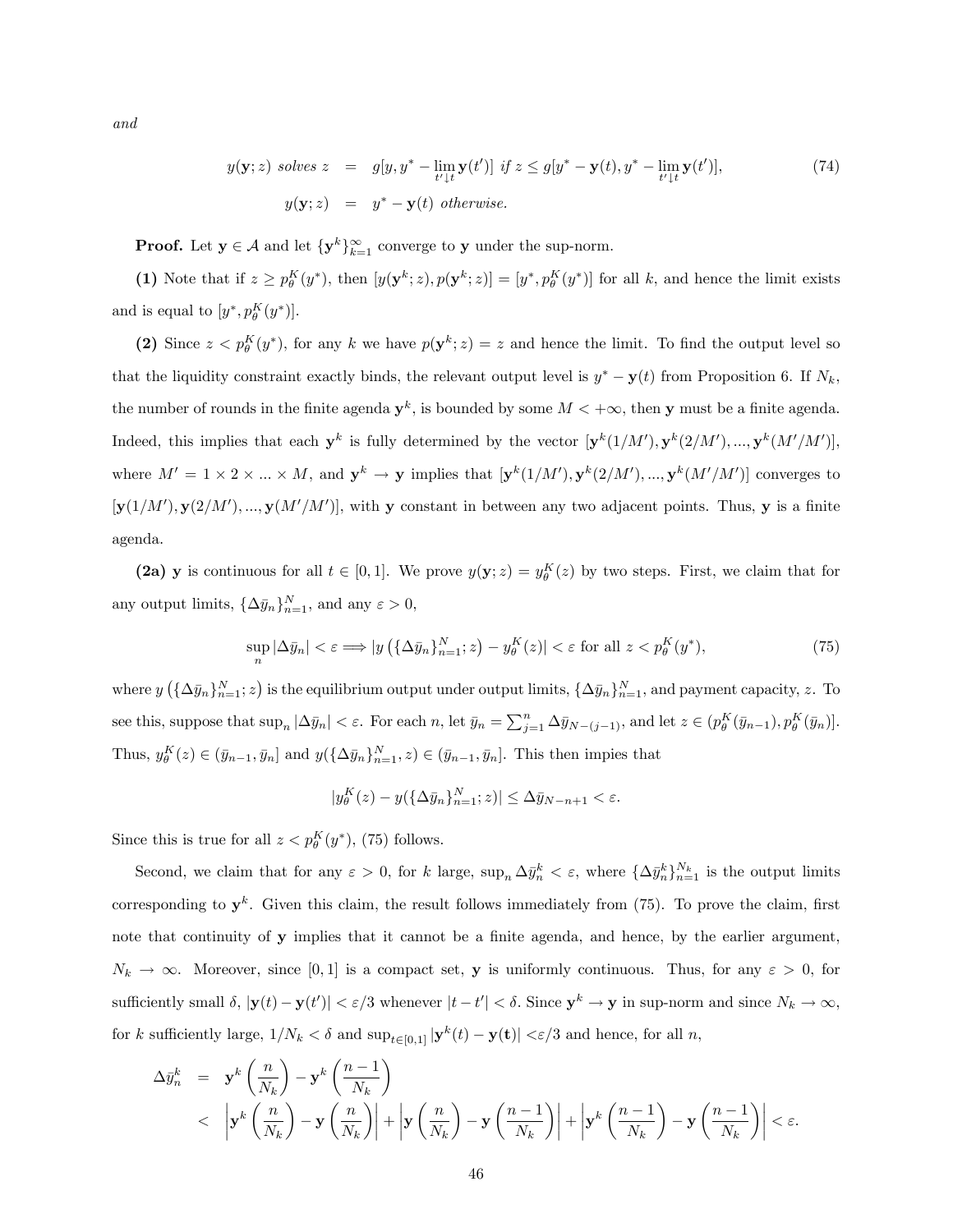and

$$
y(\mathbf{y}; z) \text{ solves } z = g[y, y^* - \lim_{t' \downarrow t} \mathbf{y}(t')] \text{ if } z \le g[y^* - \mathbf{y}(t), y^* - \lim_{t' \downarrow t} \mathbf{y}(t')],
$$
\n
$$
y(\mathbf{y}; z) = y^* - \mathbf{y}(t) \text{ otherwise.}
$$
\n
$$
(74)
$$

**Proof.** Let  $\mathbf{y} \in \mathcal{A}$  and let  $\{\mathbf{y}^k\}_{k=1}^{\infty}$  converge to  $\mathbf{y}$  under the sup-norm.

(1) Note that if  $z \ge p_\theta^K(y^*)$ , then  $[y(\mathbf{y}^k; z), p(\mathbf{y}^k; z)] = [y^*, p_\theta^K(y^*)]$  for all k, and hence the limit exists and is equal to  $[y^*, p_\theta^K(y^*)]$ .

(2) Since  $z < p_{\theta}^{K}(y^*)$ , for any k we have  $p(y^k; z) = z$  and hence the limit. To find the output level so that the liquidity constraint exactly binds, the relevant output level is  $y^* - \mathbf{y}(t)$  from Proposition 6. If  $N_k$ , the number of rounds in the finite agenda  $y^k$ , is bounded by some  $M < +\infty$ , then y must be a finite agenda. Indeed, this implies that each  $y^k$  is fully determined by the vector  $[y^k(1/M'), y^k(2/M'), ..., y^k(M'/M')]$ , where  $M' = 1 \times 2 \times ... \times M$ , and  $y^k \to y$  implies that  $[y^k(1/M'), y^k(2/M'), ..., y^k(M/M')]$  converges to  $[\mathbf{y}(1/M'), \mathbf{y}(2/M'), ..., \mathbf{y}(M/M')],$  with y constant in between any two adjacent points. Thus, y is a finite agenda.

(2a) y is continuous for all  $t \in [0, 1]$ . We prove  $y(y; z) = y_{\theta}^{K}(z)$  by two steps. First, we claim that for any output limits,  $\{\Delta \bar{y}_n\}_{n=1}^N$ , and any  $\varepsilon > 0$ ,

$$
\sup_{n} |\Delta \bar{y}_n| < \varepsilon \Longrightarrow |y| \left( \{\Delta \bar{y}_n\}_{n=1}^N; z \right) - y_\theta^K(z)| < \varepsilon \text{ for all } z < p_\theta^K(y^*), \tag{75}
$$

where  $y\left(\{\Delta \bar{y}_n\}_{n=1}^N; z\right)$  is the equilibrium output under output limits,  $\{\Delta \bar{y}_n\}_{n=1}^N$ , and payment capacity, z. To see this, suppose that  $\sup_n |\Delta \bar{y}_n| < \varepsilon$ . For each n, let  $\bar{y}_n = \sum_{j=1}^n \Delta \bar{y}_{N-(j-1)}$ , and let  $z \in (p_\theta^K(\bar{y}_{n-1}), p_\theta^K(\bar{y}_n)]$ . Thus,  $y_{\theta}^{K}(z) \in (\bar{y}_{n-1}, \bar{y}_{n}]$  and  $y(\{\Delta \bar{y}_{n}\}_{n=1}^{N}, z) \in (\bar{y}_{n-1}, \bar{y}_{n}]$ . This then impies that

$$
|y_{\theta}^{K}(z) - y(\{\Delta \bar{y}_{n}\}_{n=1}^{N};z)| \leq \Delta \bar{y}_{N-n+1} < \varepsilon.
$$

Since this is true for all  $z < p_{\theta}^{K}(y^*)$ , (75) follows.

Second, we claim that for any  $\varepsilon > 0$ , for k large,  $\sup_n \Delta \bar{y}_n^k < \varepsilon$ , where  $\{\Delta \bar{y}_n^k\}_{n=1}^{N_k}$  is the output limits corresponding to  $y^k$ . Given this claim, the result follows immediately from (75). To prove the claim, first note that continuity of y implies that it cannot be a finite agenda, and hence, by the earlier argument,  $N_k \to \infty$ . Moreover, since [0,1] is a compact set, y is uniformly continuous. Thus, for any  $\varepsilon > 0$ , for sufficiently small  $\delta$ ,  $|\mathbf{y}(t) - \mathbf{y}(t')| < \varepsilon/3$  whenever  $|t - t'| < \delta$ . Since  $\mathbf{y}^k \to \mathbf{y}$  in sup-norm and since  $N_k \to \infty$ , for k sufficiently large,  $1/N_k < \delta$  and  $\sup_{t\in[0,1]} |\mathbf{y}^k(t) - \mathbf{y}(t)| < \varepsilon/3$  and hence, for all n,

$$
\Delta \bar{y}_{n}^{k} = \mathbf{y}^{k} \left( \frac{n}{N_{k}} \right) - \mathbf{y}^{k} \left( \frac{n-1}{N_{k}} \right)
$$
\n
$$
< \left| \mathbf{y}^{k} \left( \frac{n}{N_{k}} \right) - \mathbf{y} \left( \frac{n}{N_{k}} \right) \right| + \left| \mathbf{y} \left( \frac{n}{N_{k}} \right) - \mathbf{y} \left( \frac{n-1}{N_{k}} \right) \right| + \left| \mathbf{y}^{k} \left( \frac{n-1}{N_{k}} \right) - \mathbf{y} \left( \frac{n-1}{N_{k}} \right) \right| < \varepsilon.
$$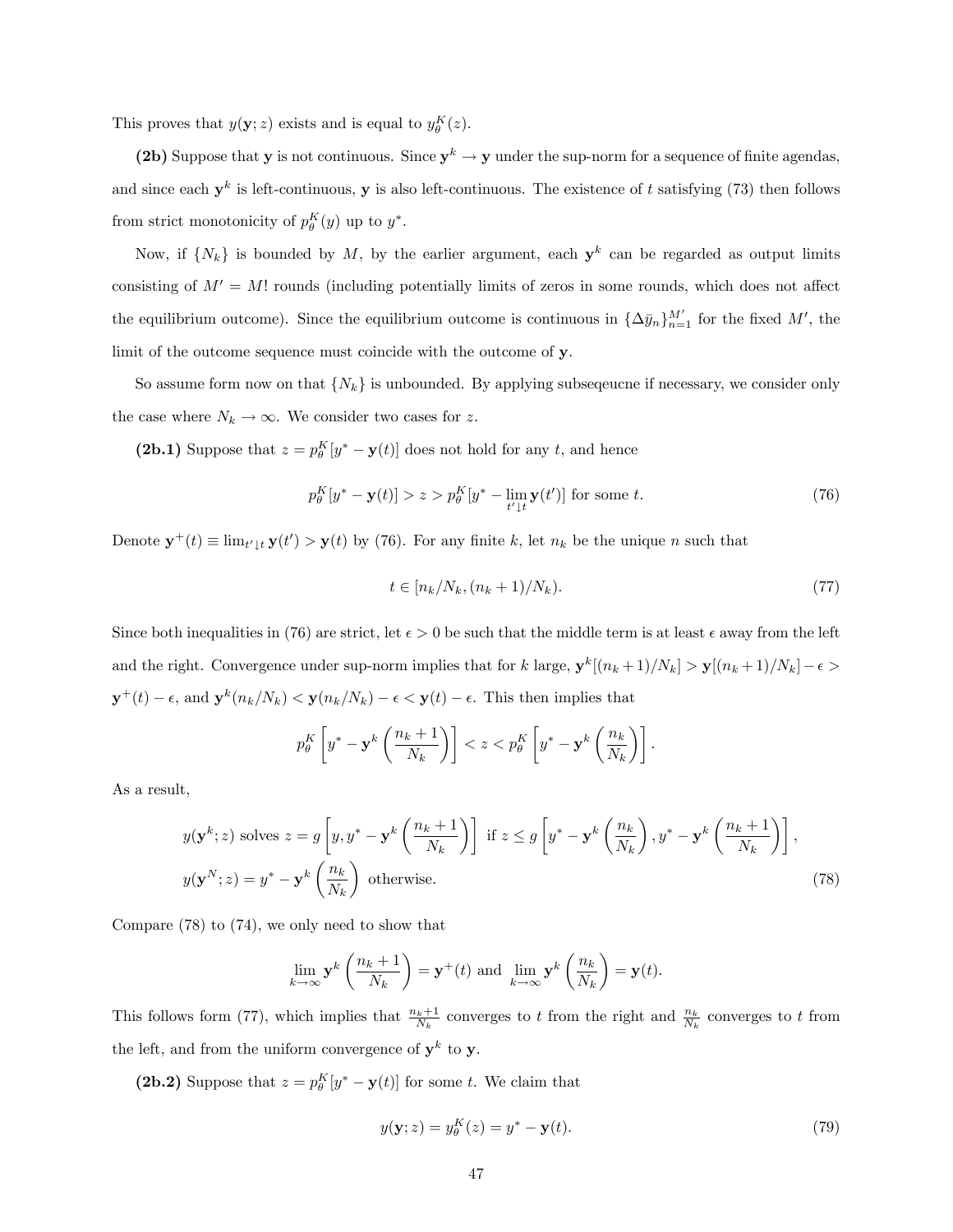This proves that  $y(\mathbf{y}; z)$  exists and is equal to  $y_{\theta}^{K}(z)$ .

(2b) Suppose that **y** is not continuous. Since  $y^k \to y$  under the sup-norm for a sequence of finite agendas, and since each  $y^k$  is left-continuous, y is also left-continuous. The existence of t satisfying (73) then follows from strict monotonicity of  $p_{\theta}^{K}(y)$  up to  $y^{*}$ .

Now, if  $\{N_k\}$  is bounded by M, by the earlier argument, each  $y^k$  can be regarded as output limits consisting of  $M' = M!$  rounds (including potentially limits of zeros in some rounds, which does not affect the equilibrium outcome). Since the equilibrium outcome is continuous in  $\{\Delta \bar{y}_n\}_{n=1}^{M'}$  for the fixed  $M'$ , the limit of the outcome sequence must coincide with the outcome of y.

So assume form now on that  $\{N_k\}$  is unbounded. By applying subsequente if necessary, we consider only the case where  $N_k \rightarrow \infty.$  We consider two cases for  $z.$ 

(2b.1) Suppose that  $z = p_\theta^K[y^* - \mathbf{y}(t)]$  does not hold for any t, and hence

$$
p_{\theta}^{K}[y^{*} - \mathbf{y}(t)] > z > p_{\theta}^{K}[y^{*} - \lim_{t' \downarrow t} \mathbf{y}(t')] \text{ for some } t.
$$
 (76)

Denote  $\mathbf{y}^+(t) \equiv \lim_{t' \downarrow t} \mathbf{y}(t') > \mathbf{y}(t)$  by (76). For any finite k, let  $n_k$  be the unique n such that

$$
t \in [n_k/N_k, (n_k+1)/N_k). \tag{77}
$$

Since both inequalities in (76) are strict, let  $\epsilon > 0$  be such that the middle term is at least  $\epsilon$  away from the left and the right. Convergence under sup-norm implies that for k large,  $\mathbf{y}^k[(n_k+1)/N_k] > \mathbf{y}[(n_k+1)/N_k] - \epsilon >$  $\mathbf{y}^+(t) - \epsilon$ , and  $\mathbf{y}^k(n_k/N_k) < \mathbf{y}(n_k/N_k) - \epsilon < \mathbf{y}(t) - \epsilon$ . This then implies that

$$
p_{\theta}^{K}\left[y^{*}-\mathbf{y}^{k}\left(\frac{n_{k}+1}{N_{k}}\right)\right] < z < p_{\theta}^{K}\left[y^{*}-\mathbf{y}^{k}\left(\frac{n_{k}}{N_{k}}\right)\right].
$$

As a result,

$$
y(\mathbf{y}^k; z) \text{ solves } z = g\left[y, y^* - \mathbf{y}^k\left(\frac{n_k + 1}{N_k}\right)\right] \text{ if } z \le g\left[y^* - \mathbf{y}^k\left(\frac{n_k}{N_k}\right), y^* - \mathbf{y}^k\left(\frac{n_k + 1}{N_k}\right)\right],
$$
  

$$
y(\mathbf{y}^N; z) = y^* - \mathbf{y}^k\left(\frac{n_k}{N_k}\right) \text{ otherwise.}
$$
 (78)

Compare (78) to (74), we only need to show that

$$
\lim_{k \to \infty} \mathbf{y}^k \left( \frac{n_k + 1}{N_k} \right) = \mathbf{y}^+(t) \text{ and } \lim_{k \to \infty} \mathbf{y}^k \left( \frac{n_k}{N_k} \right) = \mathbf{y}(t).
$$

This follows form (77), which implies that  $\frac{n_k+1}{N_k}$  converges to t from the right and  $\frac{n_k}{N_k}$  converges to t from the left, and from the uniform convergence of  $y^k$  to y.

(2b.2) Suppose that  $z = p_{\theta}^{K}[y^* - y(t)]$  for some t. We claim that

$$
y(\mathbf{y};z) = y_{\theta}^{K}(z) = y^{*} - \mathbf{y}(t). \tag{79}
$$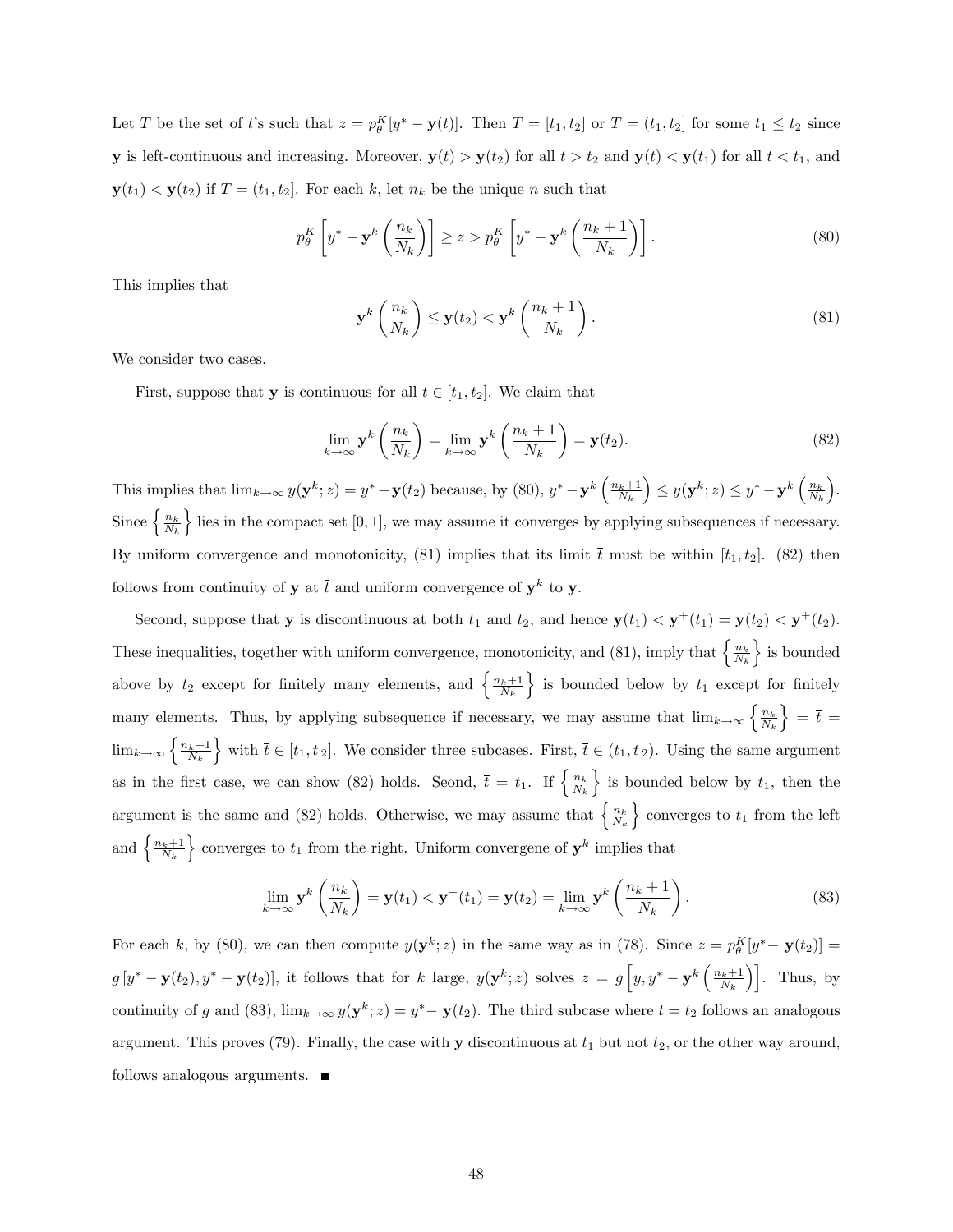Let T be the set of t's such that  $z = p_\theta^K[y^* - \mathbf{y}(t)]$ . Then  $T = [t_1, t_2]$  or  $T = (t_1, t_2]$  for some  $t_1 \le t_2$  since **y** is left-continuous and increasing. Moreover,  $y(t) > y(t_2)$  for all  $t > t_2$  and  $y(t) < y(t_1)$  for all  $t < t_1$ , and  $y(t_1) < y(t_2)$  if  $T = (t_1, t_2]$ . For each k, let  $n_k$  be the unique n such that

$$
p_{\theta}^{K}\left[y^{*} - \mathbf{y}^{k}\left(\frac{n_{k}}{N_{k}}\right)\right] \geq z > p_{\theta}^{K}\left[y^{*} - \mathbf{y}^{k}\left(\frac{n_{k} + 1}{N_{k}}\right)\right].
$$
\n(80)

This implies that

$$
\mathbf{y}^{k}\left(\frac{n_{k}}{N_{k}}\right) \leq \mathbf{y}(t_{2}) < \mathbf{y}^{k}\left(\frac{n_{k}+1}{N_{k}}\right). \tag{81}
$$

We consider two cases.

First, suppose that **y** is continuous for all  $t \in [t_1, t_2]$ . We claim that

$$
\lim_{k \to \infty} \mathbf{y}^k \left( \frac{n_k}{N_k} \right) = \lim_{k \to \infty} \mathbf{y}^k \left( \frac{n_k + 1}{N_k} \right) = \mathbf{y}(t_2). \tag{82}
$$

This implies that  $\lim_{k\to\infty} y(\mathbf{y}^k; z) = y^* - \mathbf{y}(t_2)$  because, by (80),  $y^* - \mathbf{y}^k \left( \frac{n_k+1}{N_k} \right)$  $\left(y\right) \leq y(\mathbf{y}^k; z) \leq y^* - \mathbf{y}^k \left(\frac{n_k}{N_k}\right)$  . Since  $\left\{\frac{n_k}{N_k}\right\}$ lies in the compact set  $[0, 1]$ , we may assume it converges by applying subsequences if necessary. By uniform convergence and monotonicity, (81) implies that its limit  $\bar{t}$  must be within [ $t_1, t_2$ ]. (82) then follows from continuity of **y** at  $\bar{t}$  and uniform convergence of  $y^k$  to **y**.

Second, suppose that **y** is discontinuous at both  $t_1$  and  $t_2$ , and hence  $y(t_1) < y^+(t_1) = y(t_2) < y^+(t_2)$ . These inequalities, together with uniform convergence, monotonicity, and (81), imply that  $\left\{\frac{n_k}{N_k}\right\}$  $\}$  is bounded above by  $t_2$  except for finitely many elements, and  $\left\{\frac{n_k+1}{N_k}\right\}$  $\}$  is bounded below by  $t_1$  except for finitely many elements. Thus, by applying subsequence if necessary, we may assume that  $\lim_{k\to\infty}\left\{\frac{n_k}{N_k}\right\}$  $\} = \overline{t} =$  $\lim_{k\to\infty}\left\{\frac{n_k+1}{N_k}\right\}$ with  $\bar{t} \in [t_1, t_2]$ . We consider three subcases. First,  $\bar{t} \in (t_1, t_2)$ . Using the same argument as in the first case, we can show (82) holds. Seond,  $\bar{t} = t_1$ . If  $\left\{ \frac{n_k}{N_k} \right\}$ is bounded below by  $t_1$ , then the argument is the same and (82) holds. Otherwise, we may assume that  $\left\{\frac{n_k}{N_k}\right\}$  $\}$  converges to  $t_1$  from the left and  $\left\{\frac{n_k+1}{N_k}\right\}$  $\}$  converges to  $t_1$  from the right. Uniform convergene of  $y^k$  implies that

$$
\lim_{k \to \infty} \mathbf{y}^k \left( \frac{n_k}{N_k} \right) = \mathbf{y}(t_1) < \mathbf{y}^+(t_1) = \mathbf{y}(t_2) = \lim_{k \to \infty} \mathbf{y}^k \left( \frac{n_k + 1}{N_k} \right). \tag{83}
$$

For each k, by (80), we can then compute  $y(y^k; z)$  in the same way as in (78). Since  $z = p_\theta^K[y^* - y(t_2)] =$  $g[y^* - \mathbf{y}(t_2), y^* - \mathbf{y}(t_2)]$ , it follows that for k large,  $y(\mathbf{y}^k; z)$  solves  $z = g\left[y, y^* - \mathbf{y}^k\left(\frac{n_k+1}{N_k}\right)\right]$ . Thus, by continuity of g and (83),  $\lim_{k\to\infty} y(\mathbf{y}^k; z) = y^* - \mathbf{y}(t_2)$ . The third subcase where  $\bar{t} = t_2$  follows an analogous argument. This proves (79). Finally, the case with **y** discontinuous at  $t_1$  but not  $t_2$ , or the other way around, follows analogous arguments.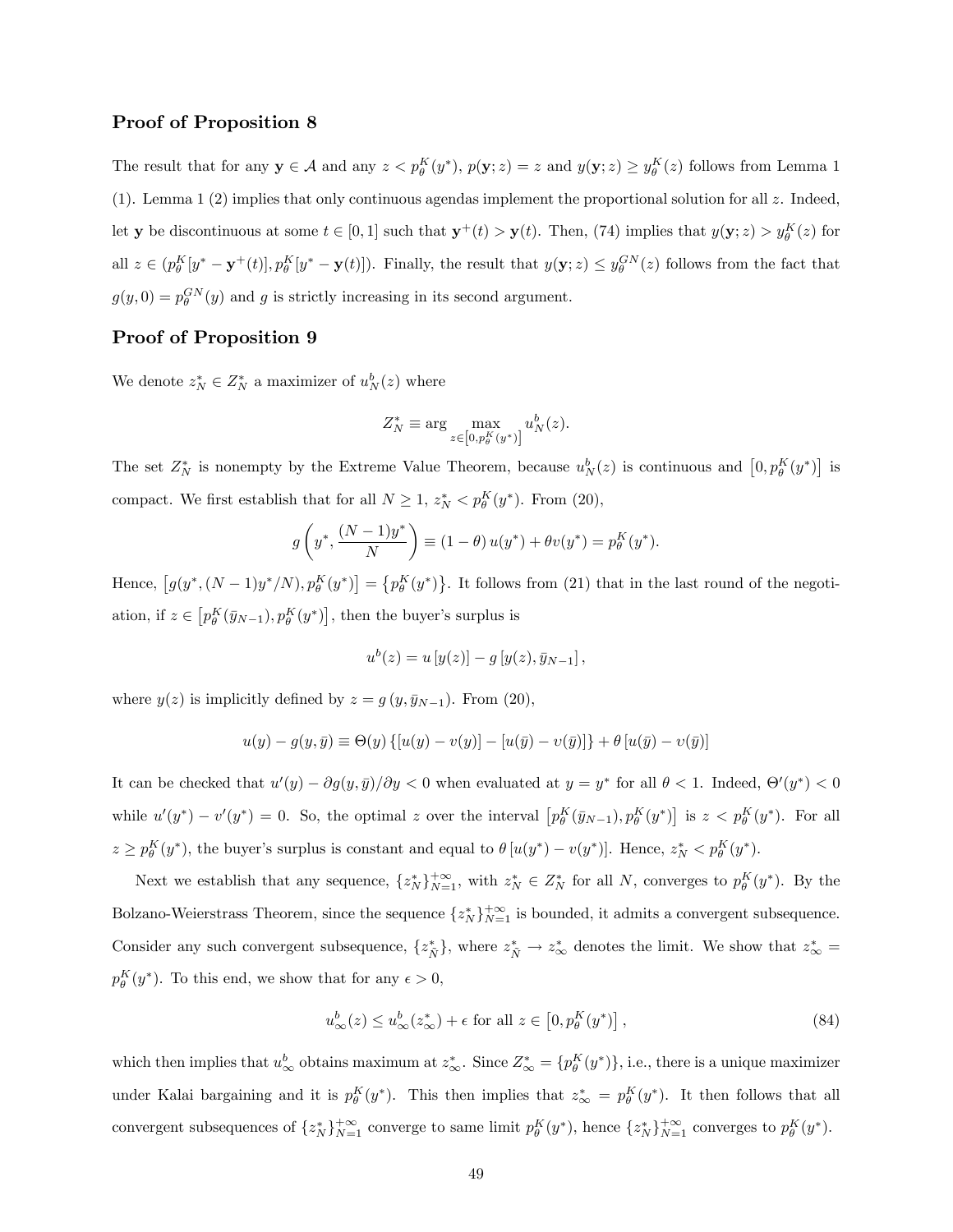### Proof of Proposition 8

The result that for any  $y \in A$  and any  $z < p_\theta^K(y^*)$ ,  $p(y; z) = z$  and  $y(y; z) \ge y_\theta^K(z)$  follows from Lemma 1 (1). Lemma 1 (2) implies that only continuous agendas implement the proportional solution for all  $z$ . Indeed, let **y** be discontinuous at some  $t \in [0, 1]$  such that  $y^+(t) > y(t)$ . Then, (74) implies that  $y(y; z) > y_\theta^K(z)$  for all  $z \in (p_\theta^K[y^* - \mathbf{y}^+(t)], p_\theta^K[y^* - \mathbf{y}(t)])$ . Finally, the result that  $y(\mathbf{y}; z) \leq y_\theta^{GN}(z)$  follows from the fact that  $g(y, 0) = p_\theta^{GN}(y)$  and g is strictly increasing in its second argument.

### Proof of Proposition 9

We denote  $z_N^* \in Z_N^*$  a maximizer of  $u_N^b(z)$  where

$$
Z_N^* \equiv \arg\max_{z\in\left[0,p_\theta^K(y^*)\right]} u_N^b(z).
$$

The set  $Z_N^*$  is nonempty by the Extreme Value Theorem, because  $u_N^b(z)$  is continuous and  $[0, p_\theta^K(y^*)]$  is compact. We first establish that for all  $N \geq 1$ ,  $z_N^* < p_\theta^K(y^*)$ . From (20),

$$
g\left(y^*, \frac{(N-1)y^*}{N}\right) \equiv (1-\theta) u(y^*) + \theta v(y^*) = p_{\theta}^K(y^*).
$$

Hence,  $[g(y^*, (N-1)y^*/N), p_\theta^K(y^*)] = \{p_\theta^K(y^*)\}$ . It follows from (21) that in the last round of the negotiation, if  $z \in [p_\theta^K(\bar{y}_{N-1}), p_\theta^K(y^*)]$ , then the buyer's surplus is

$$
u^{b}(z) = u [y(z)] - g [y(z), \bar{y}_{N-1}],
$$

where  $y(z)$  is implicitly defined by  $z = g(y, \bar{y}_{N-1})$ . From (20),

$$
u(y) - g(y, \bar{y}) \equiv \Theta(y) \{ [u(y) - v(y)] - [u(\bar{y}) - v(\bar{y})] \} + \theta [u(\bar{y}) - v(\bar{y})]
$$

It can be checked that  $u'(y) - \partial g(y, \bar{y})/\partial y < 0$  when evaluated at  $y = y^*$  for all  $\theta < 1$ . Indeed,  $\Theta'(y^*) < 0$ while  $u'(y^*) - v'(y^*) = 0$ . So, the optimal z over the interval  $\left[ p_\theta^K(\bar{y}_{N-1}), p_\theta^K(y^*) \right]$  is  $z < p_\theta^K(y^*)$ . For all  $z \ge p_\theta^K(y^*)$ , the buyer's surplus is constant and equal to  $\theta[u(y^*) - v(y^*)]$ . Hence,  $z_N^* < p_\theta^K(y^*)$ .

Next we establish that any sequence,  $\{z_N^*\}_{N=1}^{+\infty}$ , with  $z_N^* \in Z_N^*$  for all N, converges to  $p_\theta^K(y^*)$ . By the Bolzano-Weierstrass Theorem, since the sequence  $\{z_N^*\}_{N=1}^{+\infty}$  is bounded, it admits a convergent subsequence. Consider any such convergent subsequence,  $\{z_{\tilde{N}}^*\}\$ , where  $z_{\tilde{N}}^* \to z_{\infty}^*$  denotes the limit. We show that  $z_{\infty}^* =$  $p_{\theta}^{K}(y^*)$ . To this end, we show that for any  $\epsilon > 0$ ,

$$
u_{\infty}^{b}(z) \le u_{\infty}^{b}(z_{\infty}^{*}) + \epsilon \text{ for all } z \in [0, p_{\theta}^{K}(y^{*})],
$$
\n(84)

which then implies that  $u_{\infty}^b$  obtains maximum at  $z_{\infty}^*$ . Since  $Z_{\infty}^* = \{p_{\theta}^K(y^*)\}$ , i.e., there is a unique maximizer under Kalai bargaining and it is  $p_{\theta}^{K}(y^*)$ . This then implies that  $z_{\infty}^{*} = p_{\theta}^{K}(y^*)$ . It then follows that all convergent subsequences of  $\{z_N^*\}_{N=1}^{+\infty}$  converge to same limit  $p_\theta^K(y^*)$ , hence  $\{z_N^*\}_{N=1}^{+\infty}$  converges to  $p_\theta^K(y^*)$ .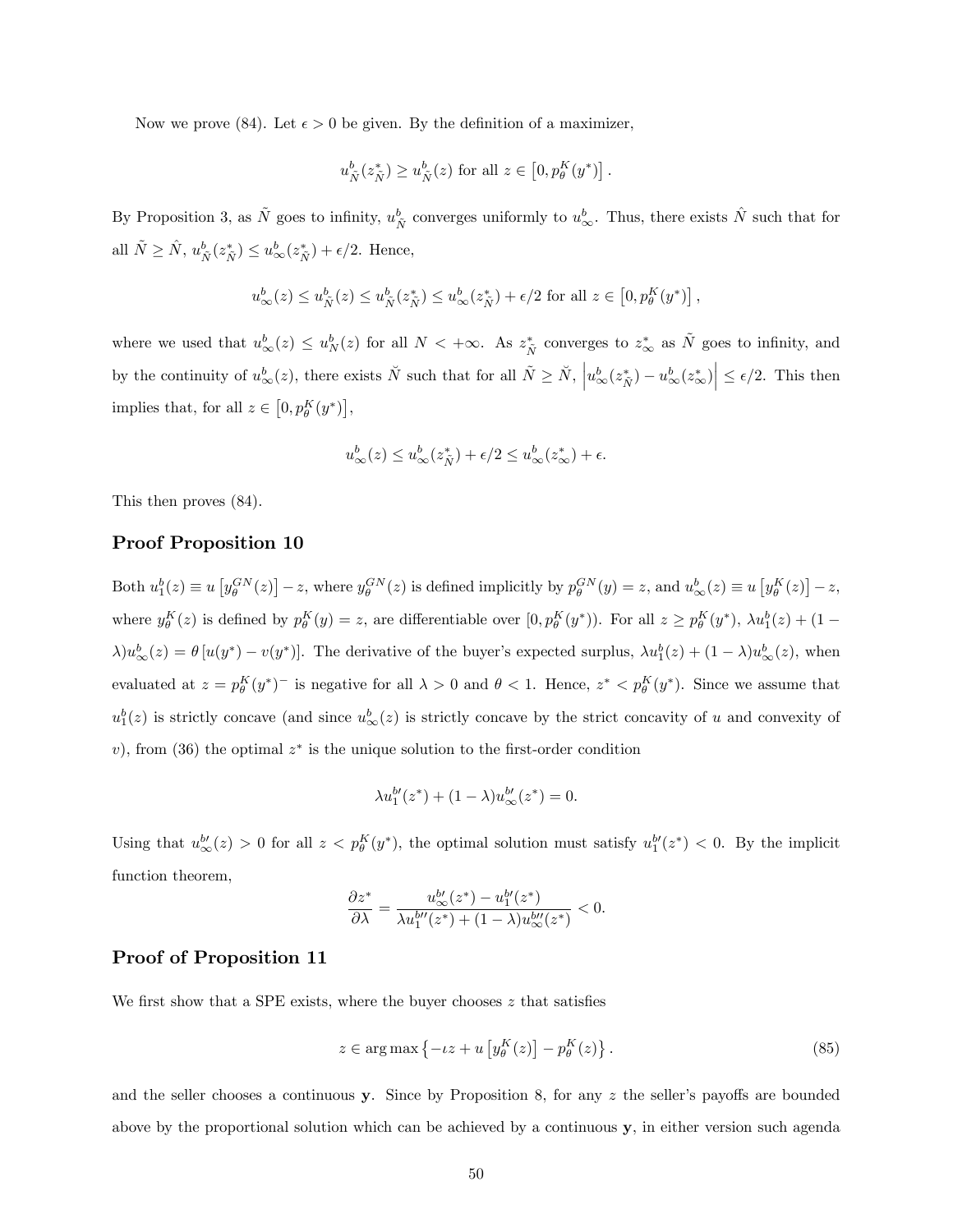Now we prove (84). Let  $\epsilon > 0$  be given. By the definition of a maximizer,

$$
u_{\tilde{N}}^b(z_{\tilde{N}}^*) \ge u_{\tilde{N}}^b(z) \text{ for all } z \in [0, p_{\theta}^K(y^*)].
$$

By Proposition 3, as  $\tilde{N}$  goes to infinity,  $u_{\tilde{N}}^b$  converges uniformly to  $u_{\infty}^b$ . Thus, there exists  $\hat{N}$  such that for all  $\tilde{N} \geq \hat{N}$ ,  $u_{\tilde{N}}^{b}(z_{\tilde{N}}^{*}) \leq u_{\infty}^{b}(z_{\tilde{N}}^{*}) + \epsilon/2$ . Hence,

$$
u^b_{\infty}(z) \leq u^b_{\tilde{N}}(z) \leq u^b_{\tilde{N}}(z^*_{\tilde{N}}) \leq u^b_{\infty}(z^*_{\tilde{N}}) + \epsilon/2 \text{ for all } z \in \left[0, p^K_{\theta}(y^*)\right],
$$

where we used that  $u_{\infty}^b(z) \leq u_N^b(z)$  for all  $N < +\infty$ . As  $z_N^*$  converges to  $z_{\infty}^*$  as  $\tilde{N}$  goes to infinity, and by the continuity of  $u_{\infty}^b(z)$ , there exists  $\check{N}$  such that for all  $\tilde{N} \geq \check{N}$ ,  $\left| u_{\infty}^b(z_{\check{N}}^*) - u_{\infty}^b(z_{\infty}^*) \right| \leq \epsilon/2$ . This then implies that, for all  $z \in [0, p_\theta^K(y^*)]$ ,

$$
u_{\infty}^{b}(z) \le u_{\infty}^{b}(z_{\tilde{N}}^{*}) + \epsilon/2 \le u_{\infty}^{b}(z_{\infty}^{*}) + \epsilon.
$$

This then proves (84).

### Proof Proposition 10

Both  $u_1^b(z) \equiv u \left[ y_\theta^{GN}(z) \right] - z$ , where  $y_\theta^{GN}(z)$  is defined implicitly by  $p_\theta^{GN}(y) = z$ , and  $u_\infty^b(z) \equiv u \left[ y_\theta^K(z) \right] - z$ , where  $y_{\theta}^{K}(z)$  is defined by  $p_{\theta}^{K}(y) = z$ , are differentiable over  $[0, p_{\theta}^{K}(y^{*}))$ . For all  $z \geq p_{\theta}^{K}(y^{*})$ ,  $\lambda u_{1}^{b}(z) + (1 - \lambda)u_{2}^{b}(z^{*})$  $\lambda)u_{\infty}^{b}(z) = \theta[u(y^{*}) - v(y^{*})]$ . The derivative of the buyer's expected surplus,  $\lambda u_{1}^{b}(z) + (1 - \lambda)u_{\infty}^{b}(z)$ , when evaluated at  $z = p_\theta^K(y^*)$  is negative for all  $\lambda > 0$  and  $\theta < 1$ . Hence,  $z^* < p_\theta^K(y^*)$ . Since we assume that  $u_1^b(z)$  is strictly concave (and since  $u_\infty^b(z)$  is strictly concave by the strict concavity of u and convexity of v), from (36) the optimal  $z^*$  is the unique solution to the first-order condition

$$
\lambda u_1^{b'}(z^*) + (1 - \lambda)u_\infty^{b'}(z^*) = 0.
$$

Using that  $u_{\infty}^{b'}(z) > 0$  for all  $z < p_{\theta}^{K}(y^*)$ , the optimal solution must satisfy  $u_{1}^{b'}(z^*) < 0$ . By the implicit function theorem,

$$
\frac{\partial z^*}{\partial \lambda} = \frac{u_{\infty}^{b'}(z^*) - u_1^{b'}(z^*)}{\lambda u_1^{b''}(z^*) + (1 - \lambda)u_{\infty}^{b''}(z^*)} < 0.
$$

### Proof of Proposition 11

We first show that a SPE exists, where the buyer chooses  $z$  that satisfies

$$
z \in \arg \max \left\{ -tz + u \left[ y_{\theta}^{K}(z) \right] - p_{\theta}^{K}(z) \right\}.
$$
 (85)

and the seller chooses a continuous y. Since by Proposition 8, for any  $z$  the seller's payoffs are bounded above by the proportional solution which can be achieved by a continuous y, in either version such agenda